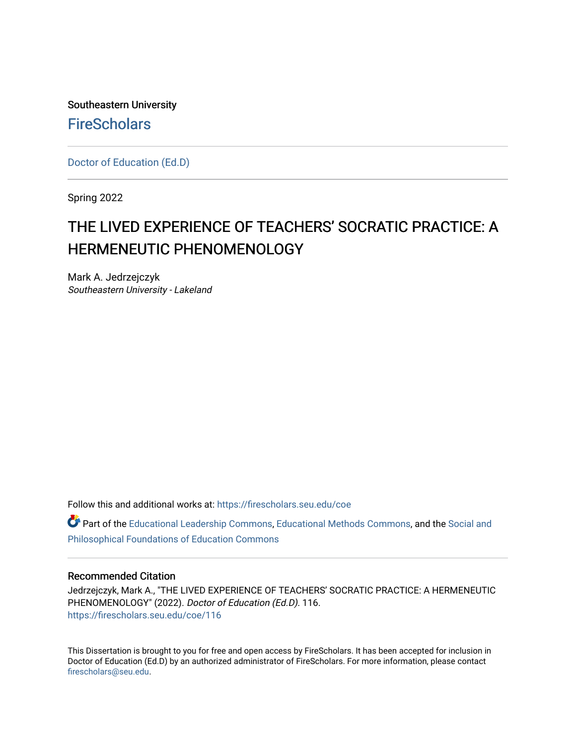Southeastern University **FireScholars** 

[Doctor of Education \(Ed.D\)](https://firescholars.seu.edu/coe) 

Spring 2022

# THE LIVED EXPERIENCE OF TEACHERS' SOCRATIC PRACTICE: A HERMENEUTIC PHENOMENOLOGY

Mark A. Jedrzejczyk Southeastern University - Lakeland

Follow this and additional works at: [https://firescholars.seu.edu/coe](https://firescholars.seu.edu/coe?utm_source=firescholars.seu.edu%2Fcoe%2F116&utm_medium=PDF&utm_campaign=PDFCoverPages)

Part of the [Educational Leadership Commons,](http://network.bepress.com/hgg/discipline/1230?utm_source=firescholars.seu.edu%2Fcoe%2F116&utm_medium=PDF&utm_campaign=PDFCoverPages) [Educational Methods Commons,](http://network.bepress.com/hgg/discipline/1227?utm_source=firescholars.seu.edu%2Fcoe%2F116&utm_medium=PDF&utm_campaign=PDFCoverPages) and the [Social and](http://network.bepress.com/hgg/discipline/799?utm_source=firescholars.seu.edu%2Fcoe%2F116&utm_medium=PDF&utm_campaign=PDFCoverPages)  [Philosophical Foundations of Education Commons](http://network.bepress.com/hgg/discipline/799?utm_source=firescholars.seu.edu%2Fcoe%2F116&utm_medium=PDF&utm_campaign=PDFCoverPages) 

#### Recommended Citation

Jedrzejczyk, Mark A., "THE LIVED EXPERIENCE OF TEACHERS' SOCRATIC PRACTICE: A HERMENEUTIC PHENOMENOLOGY" (2022). Doctor of Education (Ed.D). 116. [https://firescholars.seu.edu/coe/116](https://firescholars.seu.edu/coe/116?utm_source=firescholars.seu.edu%2Fcoe%2F116&utm_medium=PDF&utm_campaign=PDFCoverPages) 

This Dissertation is brought to you for free and open access by FireScholars. It has been accepted for inclusion in Doctor of Education (Ed.D) by an authorized administrator of FireScholars. For more information, please contact [firescholars@seu.edu.](mailto:firescholars@seu.edu)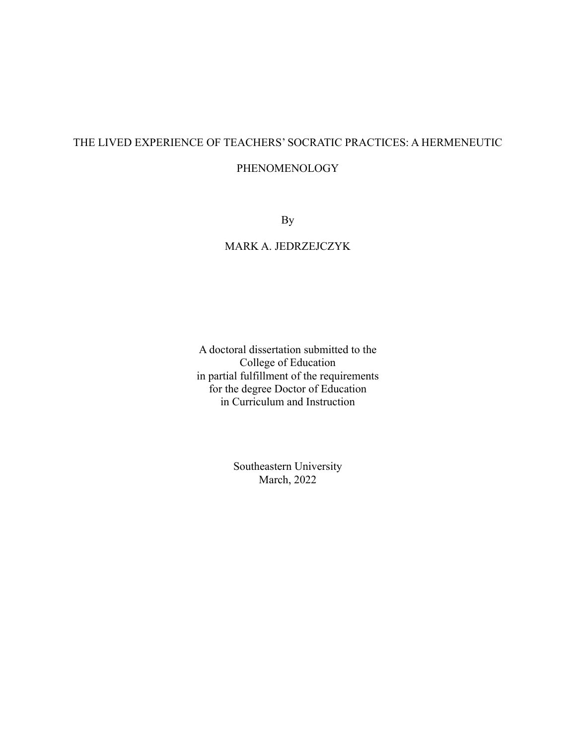# THE LIVED EXPERIENCE OF TEACHERS' SOCRATIC PRACTICES: A HERMENEUTIC

### PHENOMENOLOGY

By

# MARK A. JEDRZEJCZYK

A doctoral dissertation submitted to the College of Education in partial fulfillment of the requirements for the degree Doctor of Education in Curriculum and Instruction

> Southeastern University March, 2022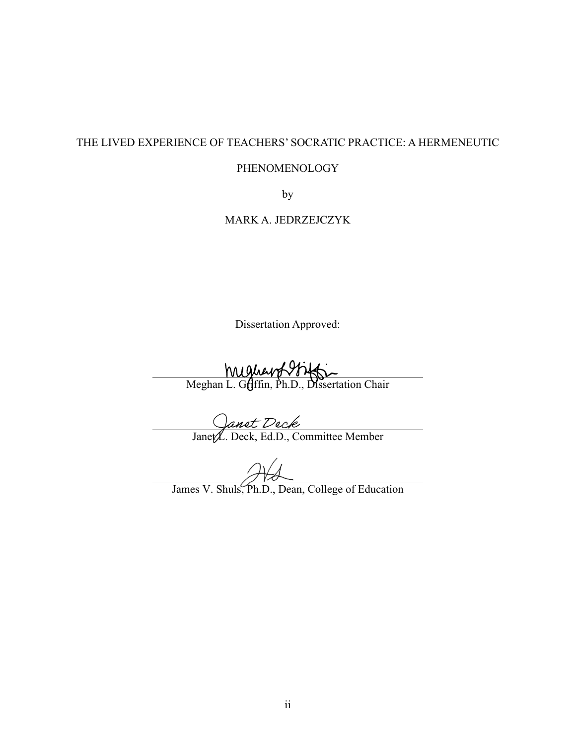## THE LIVED EXPERIENCE OF TEACHERS' SOCRATIC PRACTICE: A HERMENEUTIC

#### PHENOMENOLOGY

by

### MARK A. JEDRZEJCZYK

Dissertation Approved:

Mughey Miller Company Mughey Miller<br>Meghan L. Griffin, Ph.D., Dissertation Chair

Janet L. Deck, Ed.D., Committee Member

James V. Shuls, Ph.D., Dean, College of Education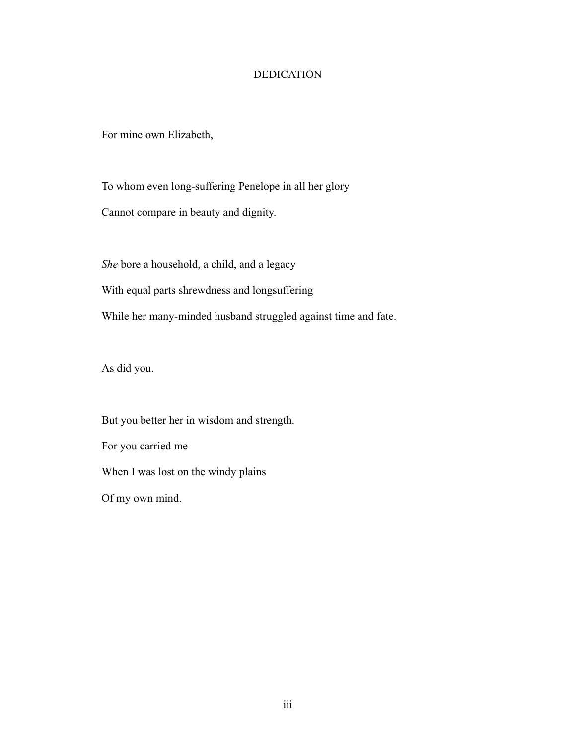### DEDICATION

For mine own Elizabeth,

To whom even long-suffering Penelope in all her glory

Cannot compare in beauty and dignity.

*She* bore a household, a child, and a legacy

With equal parts shrewdness and longsuffering

While her many-minded husband struggled against time and fate.

As did you.

But you better her in wisdom and strength.

For you carried me

When I was lost on the windy plains

Of my own mind.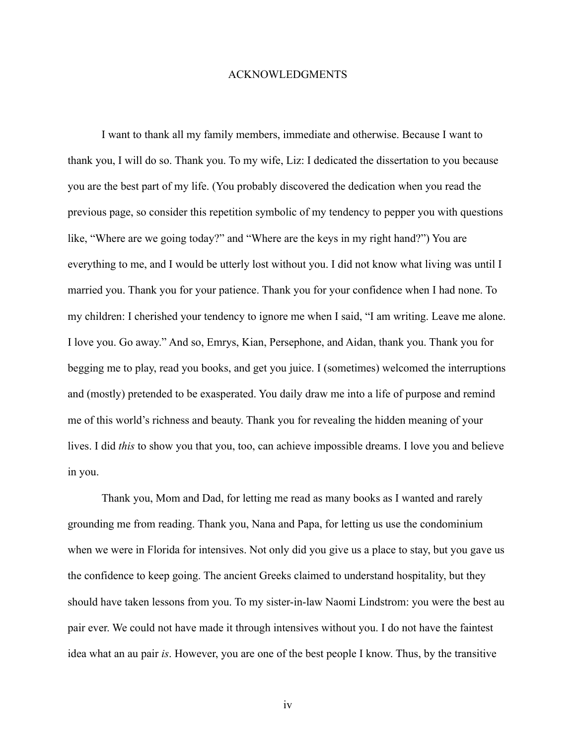#### ACKNOWLEDGMENTS

I want to thank all my family members, immediate and otherwise. Because I want to thank you, I will do so. Thank you. To my wife, Liz: I dedicated the dissertation to you because you are the best part of my life. (You probably discovered the dedication when you read the previous page, so consider this repetition symbolic of my tendency to pepper you with questions like, "Where are we going today?" and "Where are the keys in my right hand?") You are everything to me, and I would be utterly lost without you. I did not know what living was until I married you. Thank you for your patience. Thank you for your confidence when I had none. To my children: I cherished your tendency to ignore me when I said, "I am writing. Leave me alone. I love you. Go away." And so, Emrys, Kian, Persephone, and Aidan, thank you. Thank you for begging me to play, read you books, and get you juice. I (sometimes) welcomed the interruptions and (mostly) pretended to be exasperated. You daily draw me into a life of purpose and remind me of this world's richness and beauty. Thank you for revealing the hidden meaning of your lives. I did *this* to show you that you, too, can achieve impossible dreams. I love you and believe in you.

Thank you, Mom and Dad, for letting me read as many books as I wanted and rarely grounding me from reading. Thank you, Nana and Papa, for letting us use the condominium when we were in Florida for intensives. Not only did you give us a place to stay, but you gave us the confidence to keep going. The ancient Greeks claimed to understand hospitality, but they should have taken lessons from you. To my sister-in-law Naomi Lindstrom: you were the best au pair ever. We could not have made it through intensives without you. I do not have the faintest idea what an au pair *is*. However, you are one of the best people I know. Thus, by the transitive

iv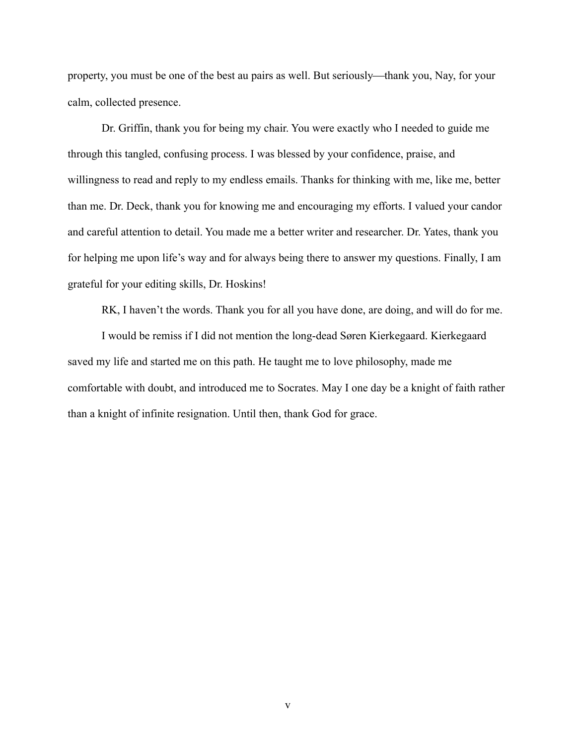property, you must be one of the best au pairs as well. But seriously—thank you, Nay, for your calm, collected presence.

Dr. Griffin, thank you for being my chair. You were exactly who I needed to guide me through this tangled, confusing process. I was blessed by your confidence, praise, and willingness to read and reply to my endless emails. Thanks for thinking with me, like me, better than me. Dr. Deck, thank you for knowing me and encouraging my efforts. I valued your candor and careful attention to detail. You made me a better writer and researcher. Dr. Yates, thank you for helping me upon life's way and for always being there to answer my questions. Finally, I am grateful for your editing skills, Dr. Hoskins!

RK, I haven't the words. Thank you for all you have done, are doing, and will do for me.

I would be remiss if I did not mention the long-dead Søren Kierkegaard. Kierkegaard saved my life and started me on this path. He taught me to love philosophy, made me comfortable with doubt, and introduced me to Socrates. May I one day be a knight of faith rather than a knight of infinite resignation. Until then, thank God for grace.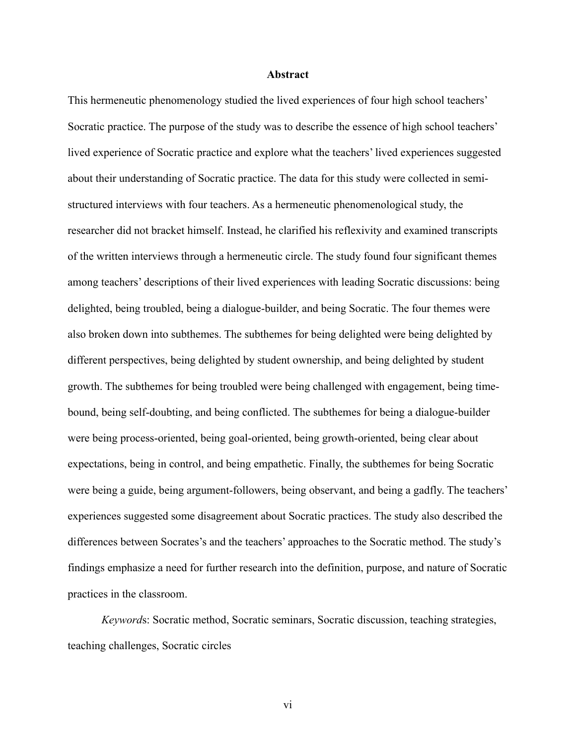#### **Abstract**

This hermeneutic phenomenology studied the lived experiences of four high school teachers' Socratic practice. The purpose of the study was to describe the essence of high school teachers' lived experience of Socratic practice and explore what the teachers' lived experiences suggested about their understanding of Socratic practice. The data for this study were collected in semistructured interviews with four teachers. As a hermeneutic phenomenological study, the researcher did not bracket himself. Instead, he clarified his reflexivity and examined transcripts of the written interviews through a hermeneutic circle. The study found four significant themes among teachers' descriptions of their lived experiences with leading Socratic discussions: being delighted, being troubled, being a dialogue-builder, and being Socratic. The four themes were also broken down into subthemes. The subthemes for being delighted were being delighted by different perspectives, being delighted by student ownership, and being delighted by student growth. The subthemes for being troubled were being challenged with engagement, being timebound, being self-doubting, and being conflicted. The subthemes for being a dialogue-builder were being process-oriented, being goal-oriented, being growth-oriented, being clear about expectations, being in control, and being empathetic. Finally, the subthemes for being Socratic were being a guide, being argument-followers, being observant, and being a gadfly. The teachers' experiences suggested some disagreement about Socratic practices. The study also described the differences between Socrates's and the teachers' approaches to the Socratic method. The study's findings emphasize a need for further research into the definition, purpose, and nature of Socratic practices in the classroom.

*Keyword*s: Socratic method, Socratic seminars, Socratic discussion, teaching strategies, teaching challenges, Socratic circles

vi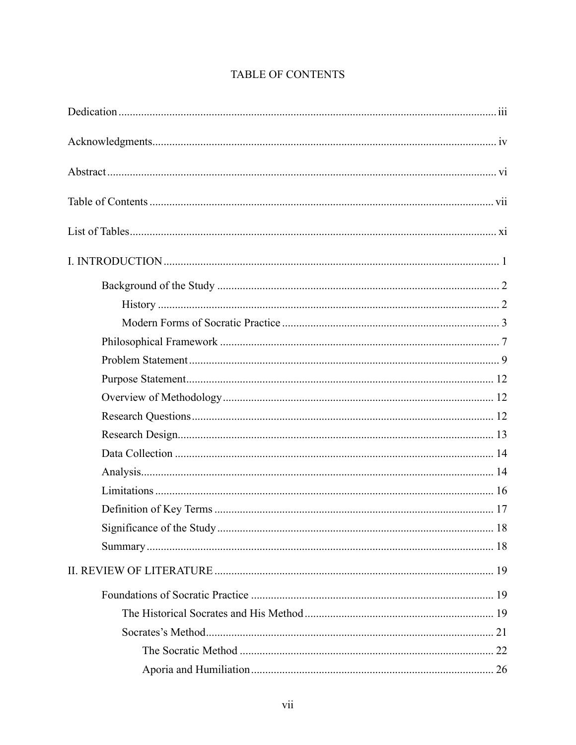# TABLE OF CONTENTS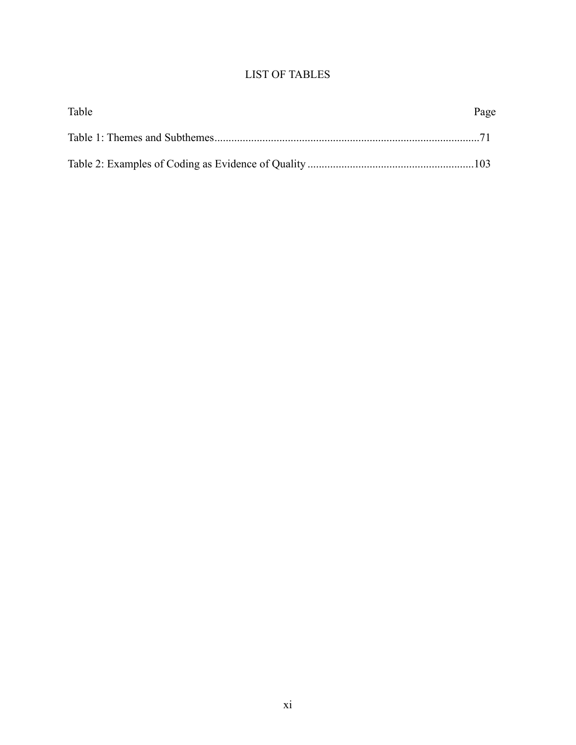# LIST OF TABLES

| Table | Page |
|-------|------|
|       |      |
|       |      |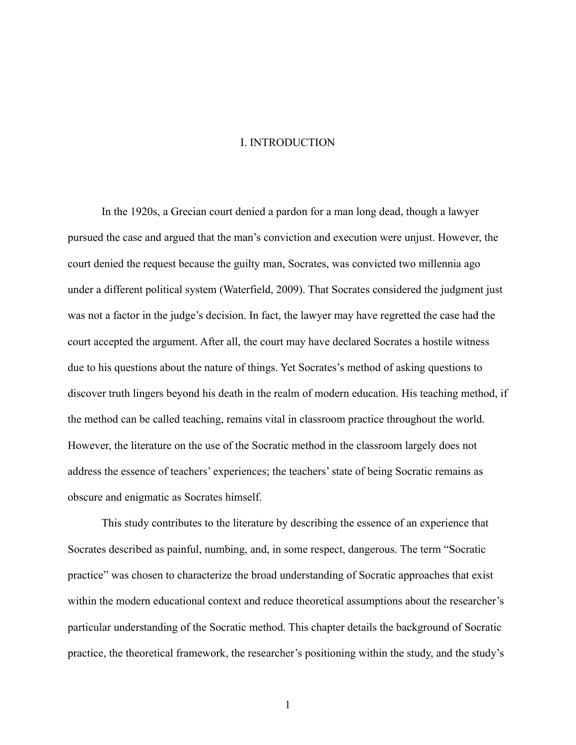#### I. INTRODUCTION

In the 1920s, a Grecian court denied a pardon for a man long dead, though a lawyer pursued the case and argued that the man's conviction and execution were unjust. However, the court denied the request because the guilty man, Socrates, was convicted two millennia ago under a different political system (Waterfield, 2009). That Socrates considered the judgment just was not a factor in the judge's decision. In fact, the lawyer may have regretted the case had the court accepted the argument. After all, the court may have declared Socrates a hostile witness due to his questions about the nature of things. Yet Socrates's method of asking questions to discover truth lingers beyond his death in the realm of modern education. His teaching method, if the method can be called teaching, remains vital in classroom practice throughout the world. However, the literature on the use of the Socratic method in the classroom largely does not address the essence of teachers' experiences; the teachers'state of being Socratic remains as obscure and enigmatic as Socrates himself.

This study contributes to the literature by describing the essence of an experience that Socrates described as painful, numbing, and, in some respect, dangerous. The term "Socratic practice" was chosen to characterize the broad understanding of Socratic approaches that exist within the modern educational context and reduce theoretical assumptions about the researcher's particular understanding of the Socratic method. This chapter details the background of Socratic practice, the theoretical framework, the researcher's positioning within the study, and the study's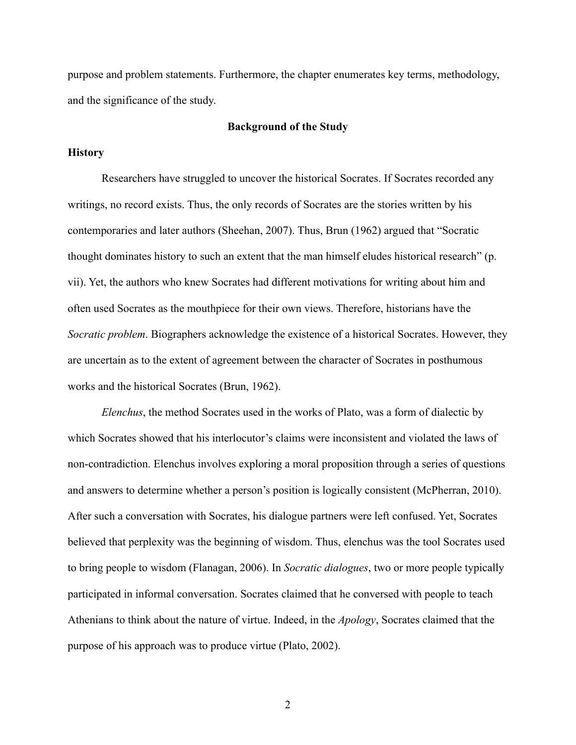purpose and problem statements. Furthermore, the chapter enumerates key terms, methodology, and the significance of the study.

#### **Background of the Study**

#### **History**

Researchers have struggled to uncover the historical Socrates. If Socrates recorded any writings, no record exists. Thus, the only records of Socrates are the stories written by his contemporaries and later authors (Sheehan, 2007). Thus, Brun (1962) argued that "Socratic thought dominates history to such an extent that the man himself eludes historical research" (p. vii). Yet, the authors who knew Socrates had different motivations for writing about him and often used Socrates as the mouthpiece for their own views. Therefore, historians have the *Socratic problem*. Biographers acknowledge the existence of a historical Socrates. However, they are uncertain as to the extent of agreement between the character of Socrates in posthumous works and the historical Socrates (Brun, 1962).

*Elenchus*, the method Socrates used in the works of Plato, was a form of dialectic by which Socrates showed that his interlocutor's claims were inconsistent and violated the laws of non-contradiction. Elenchus involves exploring a moral proposition through a series of questions and answers to determine whether a person's position is logically consistent (McPherran, 2010). After such a conversation with Socrates, his dialogue partners were left confused. Yet, Socrates believed that perplexity was the beginning of wisdom. Thus, elenchus was the tool Socrates used to bring people to wisdom (Flanagan, 2006). In *Socratic dialogues*, two or more people typically participated in informal conversation. Socrates claimed that he conversed with people to teach Athenians to think about the nature of virtue. Indeed, in the *Apology*, Socrates claimed that the purpose of his approach was to produce virtue (Plato, 2002).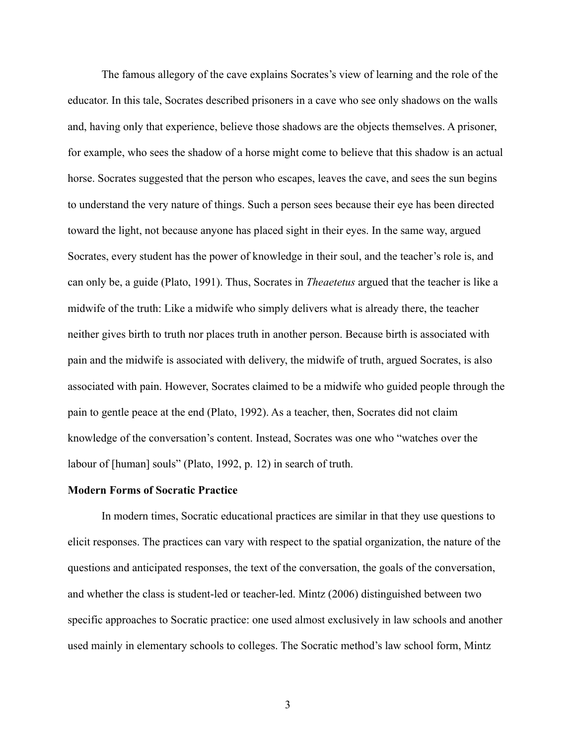The famous allegory of the cave explains Socrates's view of learning and the role of the educator. In this tale, Socrates described prisoners in a cave who see only shadows on the walls and, having only that experience, believe those shadows are the objects themselves. A prisoner, for example, who sees the shadow of a horse might come to believe that this shadow is an actual horse. Socrates suggested that the person who escapes, leaves the cave, and sees the sun begins to understand the very nature of things. Such a person sees because their eye has been directed toward the light, not because anyone has placed sight in their eyes. In the same way, argued Socrates, every student has the power of knowledge in their soul, and the teacher's role is, and can only be, a guide (Plato, 1991). Thus, Socrates in *Theaetetus* argued that the teacher is like a midwife of the truth: Like a midwife who simply delivers what is already there, the teacher neither gives birth to truth nor places truth in another person. Because birth is associated with pain and the midwife is associated with delivery, the midwife of truth, argued Socrates, is also associated with pain. However, Socrates claimed to be a midwife who guided people through the pain to gentle peace at the end (Plato, 1992). As a teacher, then, Socrates did not claim knowledge of the conversation's content. Instead, Socrates was one who "watches over the labour of [human] souls" (Plato, 1992, p. 12) in search of truth.

#### **Modern Forms of Socratic Practice**

In modern times, Socratic educational practices are similar in that they use questions to elicit responses. The practices can vary with respect to the spatial organization, the nature of the questions and anticipated responses, the text of the conversation, the goals of the conversation, and whether the class is student-led or teacher-led. Mintz (2006) distinguished between two specific approaches to Socratic practice: one used almost exclusively in law schools and another used mainly in elementary schools to colleges. The Socratic method's law school form, Mintz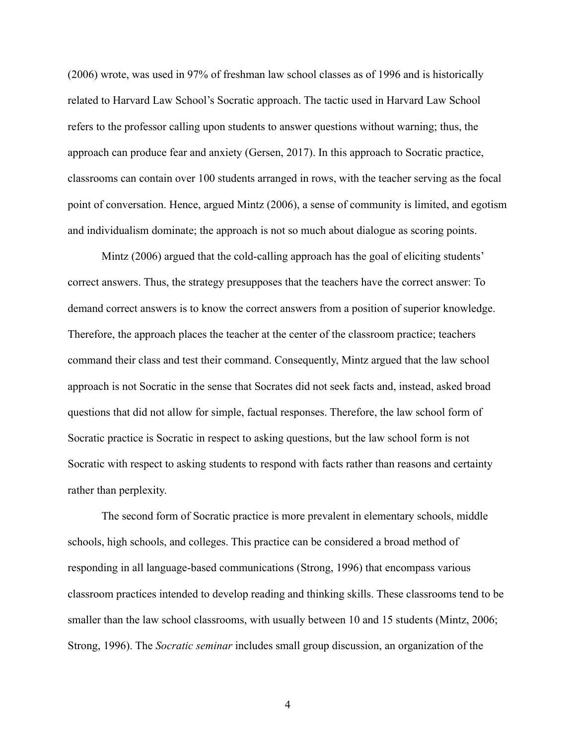(2006) wrote, was used in 97% of freshman law school classes as of 1996 and is historically related to Harvard Law School's Socratic approach. The tactic used in Harvard Law School refers to the professor calling upon students to answer questions without warning; thus, the approach can produce fear and anxiety (Gersen, 2017). In this approach to Socratic practice, classrooms can contain over 100 students arranged in rows, with the teacher serving as the focal point of conversation. Hence, argued Mintz (2006), a sense of community is limited, and egotism and individualism dominate; the approach is not so much about dialogue as scoring points.

Mintz (2006) argued that the cold-calling approach has the goal of eliciting students' correct answers. Thus, the strategy presupposes that the teachers have the correct answer: To demand correct answers is to know the correct answers from a position of superior knowledge. Therefore, the approach places the teacher at the center of the classroom practice; teachers command their class and test their command. Consequently, Mintz argued that the law school approach is not Socratic in the sense that Socrates did not seek facts and, instead, asked broad questions that did not allow for simple, factual responses. Therefore, the law school form of Socratic practice is Socratic in respect to asking questions, but the law school form is not Socratic with respect to asking students to respond with facts rather than reasons and certainty rather than perplexity.

The second form of Socratic practice is more prevalent in elementary schools, middle schools, high schools, and colleges. This practice can be considered a broad method of responding in all language-based communications (Strong, 1996) that encompass various classroom practices intended to develop reading and thinking skills. These classrooms tend to be smaller than the law school classrooms, with usually between 10 and 15 students (Mintz, 2006; Strong, 1996). The *Socratic seminar* includes small group discussion, an organization of the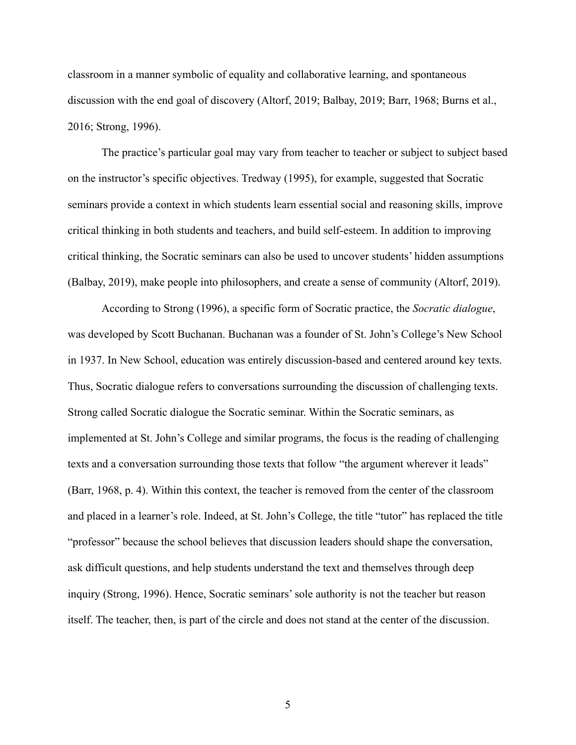classroom in a manner symbolic of equality and collaborative learning, and spontaneous discussion with the end goal of discovery (Altorf, 2019; Balbay, 2019; Barr, 1968; Burns et al., 2016; Strong, 1996).

The practice's particular goal may vary from teacher to teacher or subject to subject based on the instructor's specific objectives. Tredway (1995), for example, suggested that Socratic seminars provide a context in which students learn essential social and reasoning skills, improve critical thinking in both students and teachers, and build self-esteem. In addition to improving critical thinking, the Socratic seminars can also be used to uncover students' hidden assumptions (Balbay, 2019), make people into philosophers, and create a sense of community (Altorf, 2019).

According to Strong (1996), a specific form of Socratic practice, the *Socratic dialogue*, was developed by Scott Buchanan. Buchanan was a founder of St. John's College's New School in 1937. In New School, education was entirely discussion-based and centered around key texts. Thus, Socratic dialogue refers to conversations surrounding the discussion of challenging texts. Strong called Socratic dialogue the Socratic seminar. Within the Socratic seminars, as implemented at St. John's College and similar programs, the focus is the reading of challenging texts and a conversation surrounding those texts that follow "the argument wherever it leads" (Barr, 1968, p. 4). Within this context, the teacher is removed from the center of the classroom and placed in a learner's role. Indeed, at St. John's College, the title "tutor" has replaced the title "professor" because the school believes that discussion leaders should shape the conversation, ask difficult questions, and help students understand the text and themselves through deep inquiry (Strong, 1996). Hence, Socratic seminars'sole authority is not the teacher but reason itself. The teacher, then, is part of the circle and does not stand at the center of the discussion.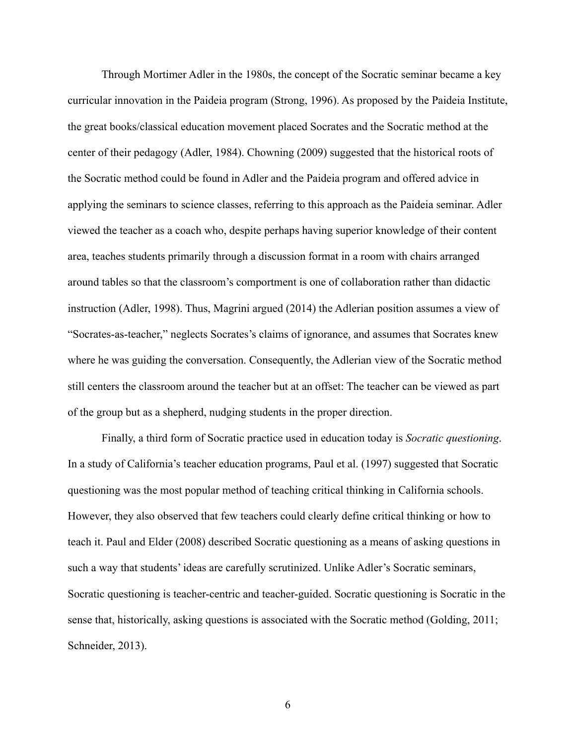Through Mortimer Adler in the 1980s, the concept of the Socratic seminar became a key curricular innovation in the Paideia program (Strong, 1996). As proposed by the Paideia Institute, the great books/classical education movement placed Socrates and the Socratic method at the center of their pedagogy (Adler, 1984). Chowning (2009) suggested that the historical roots of the Socratic method could be found in Adler and the Paideia program and offered advice in applying the seminars to science classes, referring to this approach as the Paideia seminar. Adler viewed the teacher as a coach who, despite perhaps having superior knowledge of their content area, teaches students primarily through a discussion format in a room with chairs arranged around tables so that the classroom's comportment is one of collaboration rather than didactic instruction (Adler, 1998). Thus, Magrini argued (2014) the Adlerian position assumes a view of "Socrates-as-teacher," neglects Socrates's claims of ignorance, and assumes that Socrates knew where he was guiding the conversation. Consequently, the Adlerian view of the Socratic method still centers the classroom around the teacher but at an offset: The teacher can be viewed as part of the group but as a shepherd, nudging students in the proper direction.

Finally, a third form of Socratic practice used in education today is *Socratic questioning*. In a study of California's teacher education programs, Paul et al. (1997) suggested that Socratic questioning was the most popular method of teaching critical thinking in California schools. However, they also observed that few teachers could clearly define critical thinking or how to teach it. Paul and Elder (2008) described Socratic questioning as a means of asking questions in such a way that students' ideas are carefully scrutinized. Unlike Adler's Socratic seminars, Socratic questioning is teacher-centric and teacher-guided. Socratic questioning is Socratic in the sense that, historically, asking questions is associated with the Socratic method (Golding, 2011; Schneider, 2013).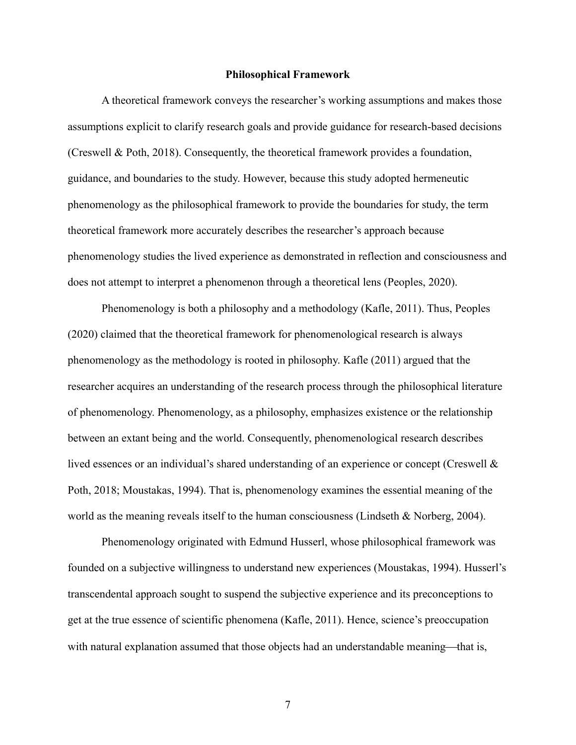#### **Philosophical Framework**

A theoretical framework conveys the researcher's working assumptions and makes those assumptions explicit to clarify research goals and provide guidance for research-based decisions (Creswell & Poth, 2018). Consequently, the theoretical framework provides a foundation, guidance, and boundaries to the study. However, because this study adopted hermeneutic phenomenology as the philosophical framework to provide the boundaries for study, the term theoretical framework more accurately describes the researcher's approach because phenomenology studies the lived experience as demonstrated in reflection and consciousness and does not attempt to interpret a phenomenon through a theoretical lens (Peoples, 2020).

Phenomenology is both a philosophy and a methodology (Kafle, 2011). Thus, Peoples (2020) claimed that the theoretical framework for phenomenological research is always phenomenology as the methodology is rooted in philosophy. Kafle (2011) argued that the researcher acquires an understanding of the research process through the philosophical literature of phenomenology. Phenomenology, as a philosophy, emphasizes existence or the relationship between an extant being and the world. Consequently, phenomenological research describes lived essences or an individual's shared understanding of an experience or concept (Creswell & Poth, 2018; Moustakas, 1994). That is, phenomenology examines the essential meaning of the world as the meaning reveals itself to the human consciousness (Lindseth & Norberg, 2004).

Phenomenology originated with Edmund Husserl, whose philosophical framework was founded on a subjective willingness to understand new experiences (Moustakas, 1994). Husserl's transcendental approach sought to suspend the subjective experience and its preconceptions to get at the true essence of scientific phenomena (Kafle, 2011). Hence, science's preoccupation with natural explanation assumed that those objects had an understandable meaning—that is,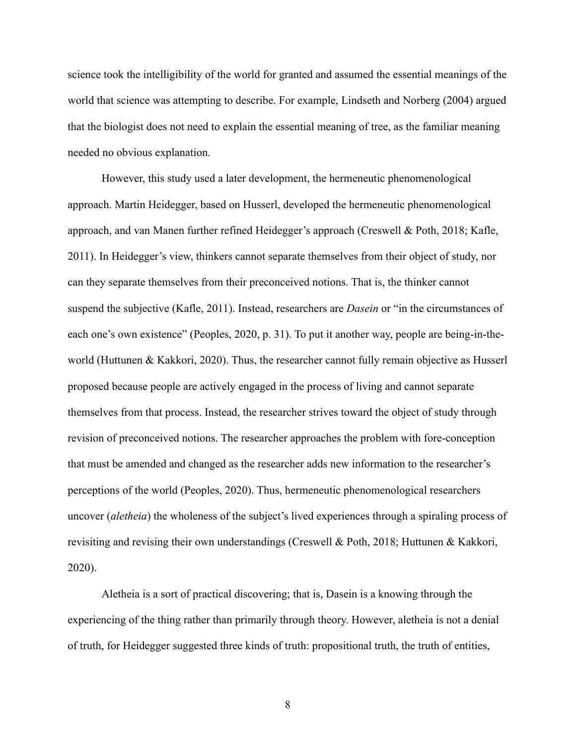science took the intelligibility of the world for granted and assumed the essential meanings of the world that science was attempting to describe. For example, Lindseth and Norberg (2004) argued that the biologist does not need to explain the essential meaning of tree, as the familiar meaning needed no obvious explanation.

However, this study used a later development, the hermeneutic phenomenological approach. Martin Heidegger, based on Husserl, developed the hermeneutic phenomenological approach, and van Manen further refined Heidegger's approach (Creswell & Poth, 2018; Kafle, 2011). In Heidegger's view, thinkers cannot separate themselves from their object of study, nor can they separate themselves from their preconceived notions. That is, the thinker cannot suspend the subjective (Kafle, 2011). Instead, researchers are *Dasein* or "in the circumstances of each one's own existence" (Peoples, 2020, p. 31). To put it another way, people are being-in-theworld (Huttunen & Kakkori, 2020). Thus, the researcher cannot fully remain objective as Husserl proposed because people are actively engaged in the process of living and cannot separate themselves from that process. Instead, the researcher strives toward the object of study through revision of preconceived notions. The researcher approaches the problem with fore-conception that must be amended and changed as the researcher adds new information to the researcher's perceptions of the world (Peoples, 2020). Thus, hermeneutic phenomenological researchers uncover (*aletheia*) the wholeness of the subject's lived experiences through a spiraling process of revisiting and revising their own understandings (Creswell & Poth, 2018; Huttunen & Kakkori, 2020).

Aletheia is a sort of practical discovering; that is, Dasein is a knowing through the experiencing of the thing rather than primarily through theory. However, aletheia is not a denial of truth, for Heidegger suggested three kinds of truth: propositional truth, the truth of entities,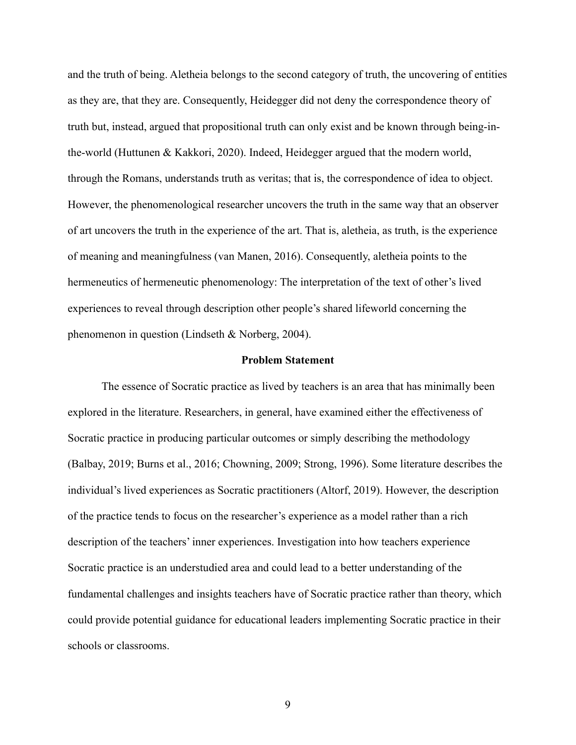and the truth of being. Aletheia belongs to the second category of truth, the uncovering of entities as they are, that they are. Consequently, Heidegger did not deny the correspondence theory of truth but, instead, argued that propositional truth can only exist and be known through being-inthe-world (Huttunen & Kakkori, 2020). Indeed, Heidegger argued that the modern world, through the Romans, understands truth as veritas; that is, the correspondence of idea to object. However, the phenomenological researcher uncovers the truth in the same way that an observer of art uncovers the truth in the experience of the art. That is, aletheia, as truth, is the experience of meaning and meaningfulness (van Manen, 2016). Consequently, aletheia points to the hermeneutics of hermeneutic phenomenology: The interpretation of the text of other's lived experiences to reveal through description other people's shared lifeworld concerning the phenomenon in question (Lindseth & Norberg, 2004).

#### **Problem Statement**

The essence of Socratic practice as lived by teachers is an area that has minimally been explored in the literature. Researchers, in general, have examined either the effectiveness of Socratic practice in producing particular outcomes or simply describing the methodology (Balbay, 2019; Burns et al., 2016; Chowning, 2009; Strong, 1996). Some literature describes the individual's lived experiences as Socratic practitioners (Altorf, 2019). However, the description of the practice tends to focus on the researcher's experience as a model rather than a rich description of the teachers' inner experiences. Investigation into how teachers experience Socratic practice is an understudied area and could lead to a better understanding of the fundamental challenges and insights teachers have of Socratic practice rather than theory, which could provide potential guidance for educational leaders implementing Socratic practice in their schools or classrooms.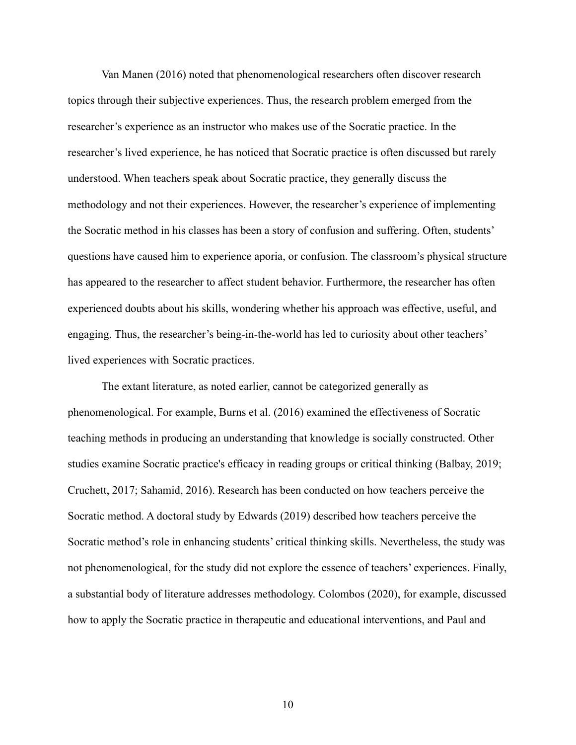Van Manen (2016) noted that phenomenological researchers often discover research topics through their subjective experiences. Thus, the research problem emerged from the researcher's experience as an instructor who makes use of the Socratic practice. In the researcher's lived experience, he has noticed that Socratic practice is often discussed but rarely understood. When teachers speak about Socratic practice, they generally discuss the methodology and not their experiences. However, the researcher's experience of implementing the Socratic method in his classes has been a story of confusion and suffering. Often, students' questions have caused him to experience aporia, or confusion. The classroom's physical structure has appeared to the researcher to affect student behavior. Furthermore, the researcher has often experienced doubts about his skills, wondering whether his approach was effective, useful, and engaging. Thus, the researcher's being-in-the-world has led to curiosity about other teachers' lived experiences with Socratic practices.

The extant literature, as noted earlier, cannot be categorized generally as phenomenological. For example, Burns et al. (2016) examined the effectiveness of Socratic teaching methods in producing an understanding that knowledge is socially constructed. Other studies examine Socratic practice's efficacy in reading groups or critical thinking (Balbay, 2019; Cruchett, 2017; Sahamid, 2016). Research has been conducted on how teachers perceive the Socratic method. A doctoral study by Edwards (2019) described how teachers perceive the Socratic method's role in enhancing students' critical thinking skills. Nevertheless, the study was not phenomenological, for the study did not explore the essence of teachers' experiences. Finally, a substantial body of literature addresses methodology. Colombos (2020), for example, discussed how to apply the Socratic practice in therapeutic and educational interventions, and Paul and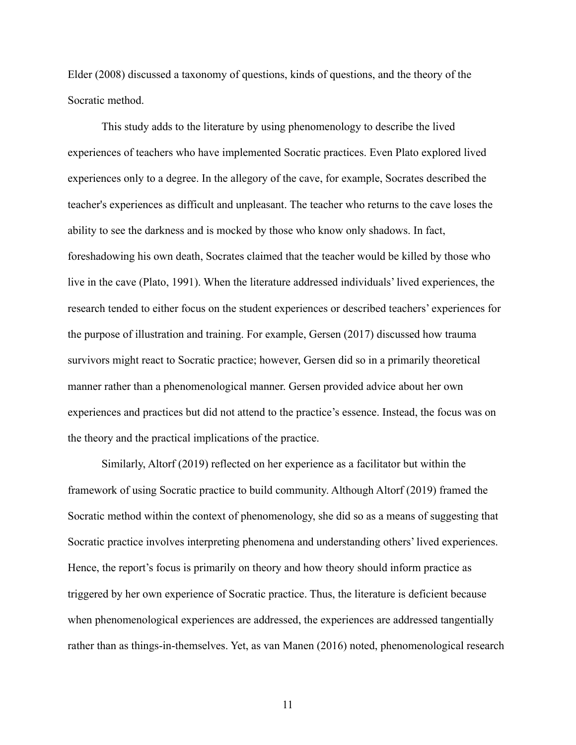Elder (2008) discussed a taxonomy of questions, kinds of questions, and the theory of the Socratic method.

This study adds to the literature by using phenomenology to describe the lived experiences of teachers who have implemented Socratic practices. Even Plato explored lived experiences only to a degree. In the allegory of the cave, for example, Socrates described the teacher's experiences as difficult and unpleasant. The teacher who returns to the cave loses the ability to see the darkness and is mocked by those who know only shadows. In fact, foreshadowing his own death, Socrates claimed that the teacher would be killed by those who live in the cave (Plato, 1991). When the literature addressed individuals' lived experiences, the research tended to either focus on the student experiences or described teachers' experiences for the purpose of illustration and training. For example, Gersen (2017) discussed how trauma survivors might react to Socratic practice; however, Gersen did so in a primarily theoretical manner rather than a phenomenological manner. Gersen provided advice about her own experiences and practices but did not attend to the practice's essence. Instead, the focus was on the theory and the practical implications of the practice.

Similarly, Altorf (2019) reflected on her experience as a facilitator but within the framework of using Socratic practice to build community. Although Altorf (2019) framed the Socratic method within the context of phenomenology, she did so as a means of suggesting that Socratic practice involves interpreting phenomena and understanding others' lived experiences. Hence, the report's focus is primarily on theory and how theory should inform practice as triggered by her own experience of Socratic practice. Thus, the literature is deficient because when phenomenological experiences are addressed, the experiences are addressed tangentially rather than as things-in-themselves. Yet, as van Manen (2016) noted, phenomenological research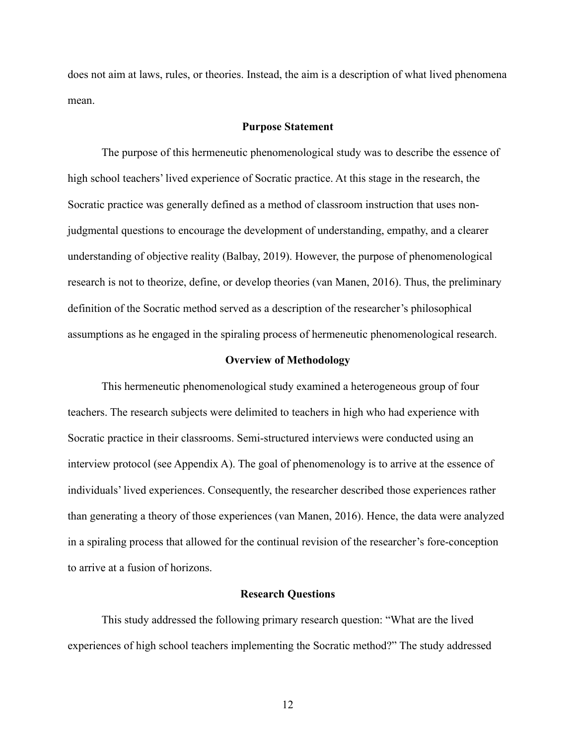does not aim at laws, rules, or theories. Instead, the aim is a description of what lived phenomena mean.

#### **Purpose Statement**

The purpose of this hermeneutic phenomenological study was to describe the essence of high school teachers' lived experience of Socratic practice. At this stage in the research, the Socratic practice was generally defined as a method of classroom instruction that uses nonjudgmental questions to encourage the development of understanding, empathy, and a clearer understanding of objective reality (Balbay, 2019). However, the purpose of phenomenological research is not to theorize, define, or develop theories (van Manen, 2016). Thus, the preliminary definition of the Socratic method served as a description of the researcher's philosophical assumptions as he engaged in the spiraling process of hermeneutic phenomenological research.

#### **Overview of Methodology**

This hermeneutic phenomenological study examined a heterogeneous group of four teachers. The research subjects were delimited to teachers in high who had experience with Socratic practice in their classrooms. Semi-structured interviews were conducted using an interview protocol (see Appendix A). The goal of phenomenology is to arrive at the essence of individuals' lived experiences. Consequently, the researcher described those experiences rather than generating a theory of those experiences (van Manen, 2016). Hence, the data were analyzed in a spiraling process that allowed for the continual revision of the researcher's fore-conception to arrive at a fusion of horizons.

#### **Research Questions**

This study addressed the following primary research question: "What are the lived experiences of high school teachers implementing the Socratic method?" The study addressed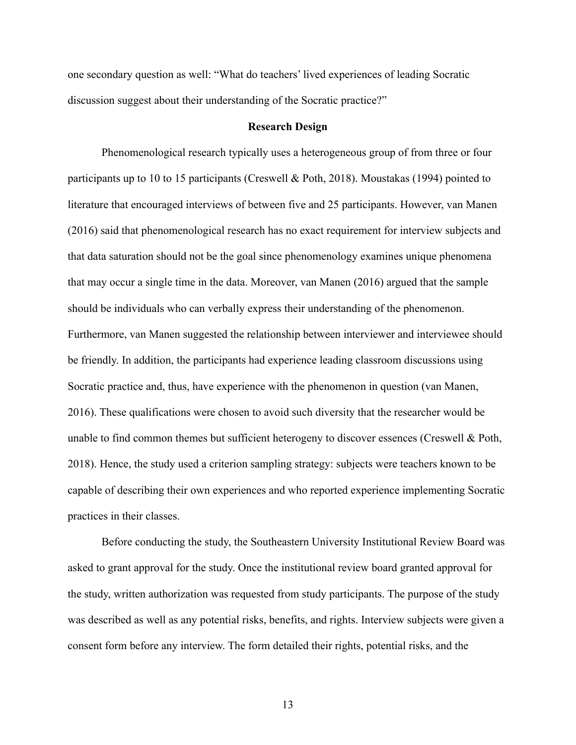one secondary question as well: "What do teachers' lived experiences of leading Socratic discussion suggest about their understanding of the Socratic practice?"

#### **Research Design**

Phenomenological research typically uses a heterogeneous group of from three or four participants up to 10 to 15 participants (Creswell & Poth, 2018). Moustakas (1994) pointed to literature that encouraged interviews of between five and 25 participants. However, van Manen (2016) said that phenomenological research has no exact requirement for interview subjects and that data saturation should not be the goal since phenomenology examines unique phenomena that may occur a single time in the data. Moreover, van Manen (2016) argued that the sample should be individuals who can verbally express their understanding of the phenomenon. Furthermore, van Manen suggested the relationship between interviewer and interviewee should be friendly. In addition, the participants had experience leading classroom discussions using Socratic practice and, thus, have experience with the phenomenon in question (van Manen, 2016). These qualifications were chosen to avoid such diversity that the researcher would be unable to find common themes but sufficient heterogeny to discover essences (Creswell & Poth, 2018). Hence, the study used a criterion sampling strategy: subjects were teachers known to be capable of describing their own experiences and who reported experience implementing Socratic practices in their classes.

Before conducting the study, the Southeastern University Institutional Review Board was asked to grant approval for the study. Once the institutional review board granted approval for the study, written authorization was requested from study participants. The purpose of the study was described as well as any potential risks, benefits, and rights. Interview subjects were given a consent form before any interview. The form detailed their rights, potential risks, and the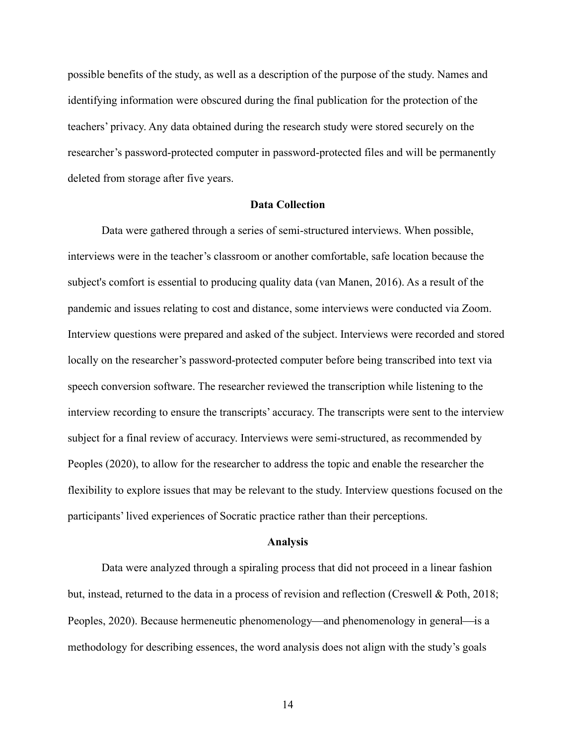possible benefits of the study, as well as a description of the purpose of the study. Names and identifying information were obscured during the final publication for the protection of the teachers' privacy. Any data obtained during the research study were stored securely on the researcher's password-protected computer in password-protected files and will be permanently deleted from storage after five years.

#### **Data Collection**

Data were gathered through a series of semi-structured interviews. When possible, interviews were in the teacher's classroom or another comfortable, safe location because the subject's comfort is essential to producing quality data (van Manen, 2016). As a result of the pandemic and issues relating to cost and distance, some interviews were conducted via Zoom. Interview questions were prepared and asked of the subject. Interviews were recorded and stored locally on the researcher's password-protected computer before being transcribed into text via speech conversion software. The researcher reviewed the transcription while listening to the interview recording to ensure the transcripts' accuracy. The transcripts were sent to the interview subject for a final review of accuracy. Interviews were semi-structured, as recommended by Peoples (2020), to allow for the researcher to address the topic and enable the researcher the flexibility to explore issues that may be relevant to the study. Interview questions focused on the participants' lived experiences of Socratic practice rather than their perceptions.

#### **Analysis**

Data were analyzed through a spiraling process that did not proceed in a linear fashion but, instead, returned to the data in a process of revision and reflection (Creswell & Poth, 2018; Peoples, 2020). Because hermeneutic phenomenology—and phenomenology in general—is a methodology for describing essences, the word analysis does not align with the study's goals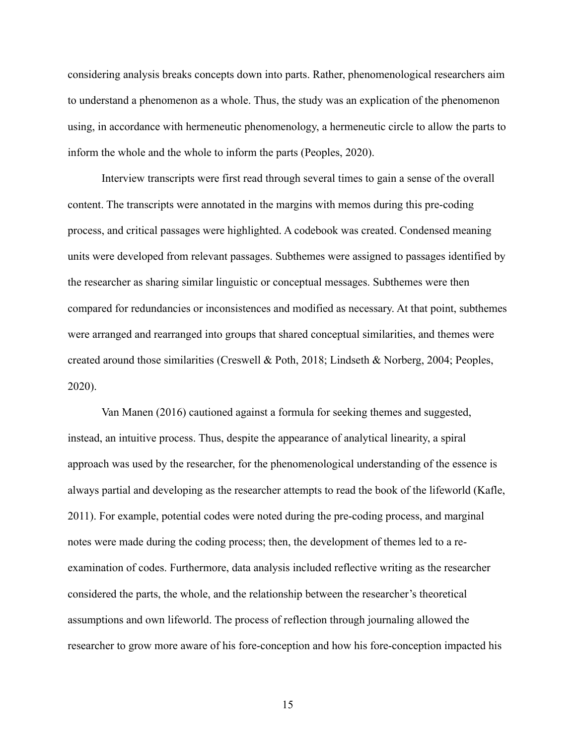considering analysis breaks concepts down into parts. Rather, phenomenological researchers aim to understand a phenomenon as a whole. Thus, the study was an explication of the phenomenon using, in accordance with hermeneutic phenomenology, a hermeneutic circle to allow the parts to inform the whole and the whole to inform the parts (Peoples, 2020).

Interview transcripts were first read through several times to gain a sense of the overall content. The transcripts were annotated in the margins with memos during this pre-coding process, and critical passages were highlighted. A codebook was created. Condensed meaning units were developed from relevant passages. Subthemes were assigned to passages identified by the researcher as sharing similar linguistic or conceptual messages. Subthemes were then compared for redundancies or inconsistences and modified as necessary. At that point, subthemes were arranged and rearranged into groups that shared conceptual similarities, and themes were created around those similarities (Creswell & Poth, 2018; Lindseth & Norberg, 2004; Peoples, 2020).

Van Manen (2016) cautioned against a formula for seeking themes and suggested, instead, an intuitive process. Thus, despite the appearance of analytical linearity, a spiral approach was used by the researcher, for the phenomenological understanding of the essence is always partial and developing as the researcher attempts to read the book of the lifeworld (Kafle, 2011). For example, potential codes were noted during the pre-coding process, and marginal notes were made during the coding process; then, the development of themes led to a reexamination of codes. Furthermore, data analysis included reflective writing as the researcher considered the parts, the whole, and the relationship between the researcher's theoretical assumptions and own lifeworld. The process of reflection through journaling allowed the researcher to grow more aware of his fore-conception and how his fore-conception impacted his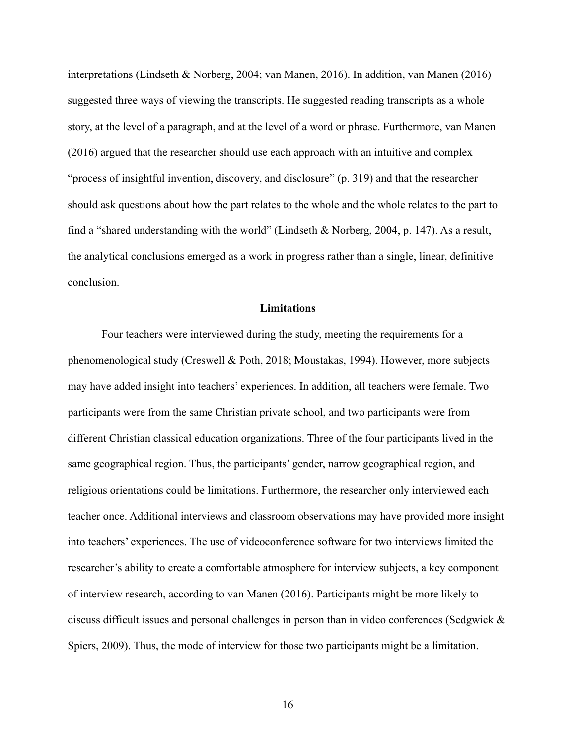interpretations (Lindseth & Norberg, 2004; van Manen, 2016). In addition, van Manen (2016) suggested three ways of viewing the transcripts. He suggested reading transcripts as a whole story, at the level of a paragraph, and at the level of a word or phrase. Furthermore, van Manen (2016) argued that the researcher should use each approach with an intuitive and complex "process of insightful invention, discovery, and disclosure" (p. 319) and that the researcher should ask questions about how the part relates to the whole and the whole relates to the part to find a "shared understanding with the world" (Lindseth & Norberg, 2004, p. 147). As a result, the analytical conclusions emerged as a work in progress rather than a single, linear, definitive conclusion.

#### **Limitations**

Four teachers were interviewed during the study, meeting the requirements for a phenomenological study (Creswell & Poth, 2018; Moustakas, 1994). However, more subjects may have added insight into teachers' experiences. In addition, all teachers were female. Two participants were from the same Christian private school, and two participants were from different Christian classical education organizations. Three of the four participants lived in the same geographical region. Thus, the participants' gender, narrow geographical region, and religious orientations could be limitations. Furthermore, the researcher only interviewed each teacher once. Additional interviews and classroom observations may have provided more insight into teachers' experiences. The use of videoconference software for two interviews limited the researcher's ability to create a comfortable atmosphere for interview subjects, a key component of interview research, according to van Manen (2016). Participants might be more likely to discuss difficult issues and personal challenges in person than in video conferences (Sedgwick & Spiers, 2009). Thus, the mode of interview for those two participants might be a limitation.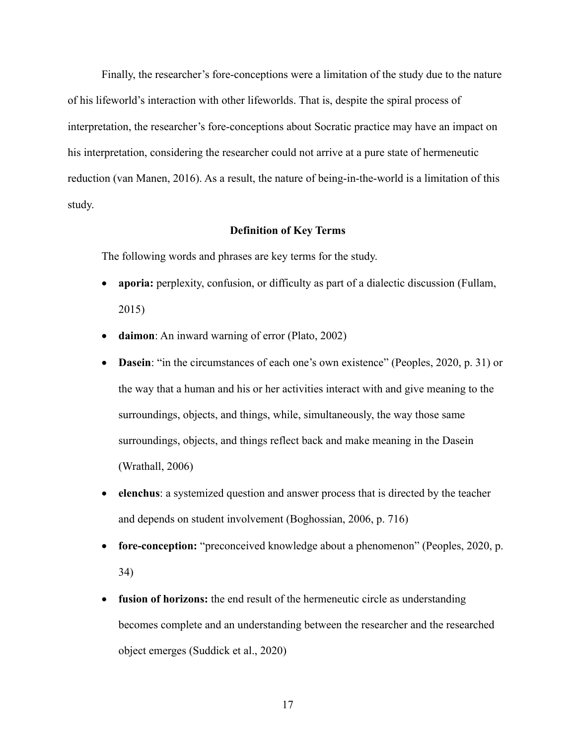Finally, the researcher's fore-conceptions were a limitation of the study due to the nature of his lifeworld's interaction with other lifeworlds. That is, despite the spiral process of interpretation, the researcher's fore-conceptions about Socratic practice may have an impact on his interpretation, considering the researcher could not arrive at a pure state of hermeneutic reduction (van Manen, 2016). As a result, the nature of being-in-the-world is a limitation of this study.

#### **Definition of Key Terms**

The following words and phrases are key terms for the study.

- **aporia:** perplexity, confusion, or difficulty as part of a dialectic discussion (Fullam, 2015)
- **daimon**: An inward warning of error (Plato, 2002)
- **Dasein**: "in the circumstances of each one's own existence" (Peoples, 2020, p. 31) or the way that a human and his or her activities interact with and give meaning to the surroundings, objects, and things, while, simultaneously, the way those same surroundings, objects, and things reflect back and make meaning in the Dasein (Wrathall, 2006)
- **elenchus**: a systemized question and answer process that is directed by the teacher and depends on student involvement (Boghossian, 2006, p. 716)
- **fore-conception:** "preconceived knowledge about a phenomenon" (Peoples, 2020, p. 34)
- **fusion of horizons:** the end result of the hermeneutic circle as understanding becomes complete and an understanding between the researcher and the researched object emerges (Suddick et al., 2020)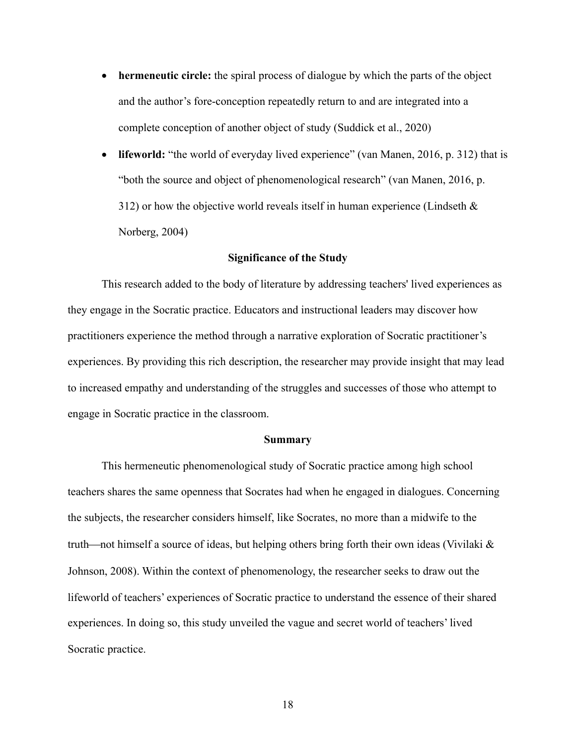- **hermeneutic circle:** the spiral process of dialogue by which the parts of the object and the author's fore-conception repeatedly return to and are integrated into a complete conception of another object of study (Suddick et al., 2020)
- **lifeworld:** "the world of everyday lived experience" (van Manen, 2016, p. 312) that is "both the source and object of phenomenological research" (van Manen, 2016, p. 312) or how the objective world reveals itself in human experience (Lindseth  $\&$ Norberg, 2004)

#### **Significance of the Study**

This research added to the body of literature by addressing teachers' lived experiences as they engage in the Socratic practice. Educators and instructional leaders may discover how practitioners experience the method through a narrative exploration of Socratic practitioner's experiences. By providing this rich description, the researcher may provide insight that may lead to increased empathy and understanding of the struggles and successes of those who attempt to engage in Socratic practice in the classroom.

#### **Summary**

This hermeneutic phenomenological study of Socratic practice among high school teachers shares the same openness that Socrates had when he engaged in dialogues. Concerning the subjects, the researcher considers himself, like Socrates, no more than a midwife to the truth—not himself a source of ideas, but helping others bring forth their own ideas (Vivilaki  $\&$ Johnson, 2008). Within the context of phenomenology, the researcher seeks to draw out the lifeworld of teachers' experiences of Socratic practice to understand the essence of their shared experiences. In doing so, this study unveiled the vague and secret world of teachers' lived Socratic practice.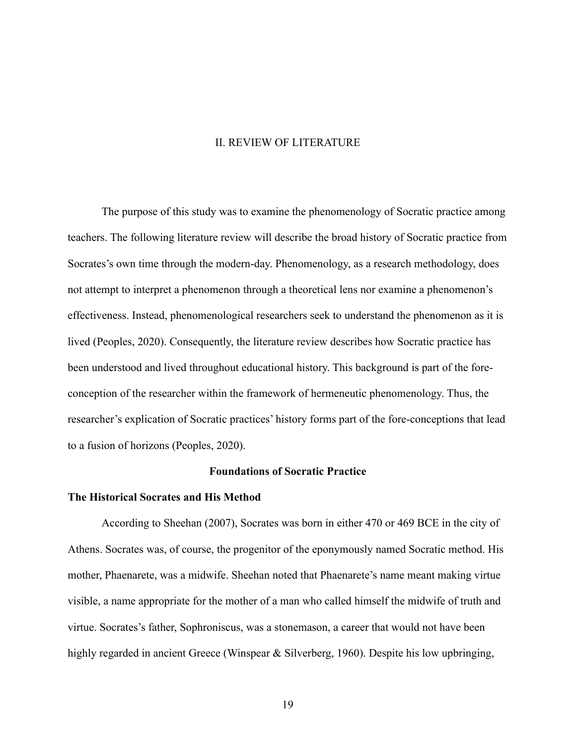#### II. REVIEW OF LITERATURE

The purpose of this study was to examine the phenomenology of Socratic practice among teachers. The following literature review will describe the broad history of Socratic practice from Socrates's own time through the modern-day. Phenomenology, as a research methodology, does not attempt to interpret a phenomenon through a theoretical lens nor examine a phenomenon's effectiveness. Instead, phenomenological researchers seek to understand the phenomenon as it is lived (Peoples, 2020). Consequently, the literature review describes how Socratic practice has been understood and lived throughout educational history. This background is part of the foreconception of the researcher within the framework of hermeneutic phenomenology. Thus, the researcher's explication of Socratic practices' history forms part of the fore-conceptions that lead to a fusion of horizons (Peoples, 2020).

#### **Foundations of Socratic Practice**

#### **The Historical Socrates and His Method**

According to Sheehan (2007), Socrates was born in either 470 or 469 BCE in the city of Athens. Socrates was, of course, the progenitor of the eponymously named Socratic method. His mother, Phaenarete, was a midwife. Sheehan noted that Phaenarete's name meant making virtue visible, a name appropriate for the mother of a man who called himself the midwife of truth and virtue. Socrates's father, Sophroniscus, was a stonemason, a career that would not have been highly regarded in ancient Greece (Winspear & Silverberg, 1960). Despite his low upbringing,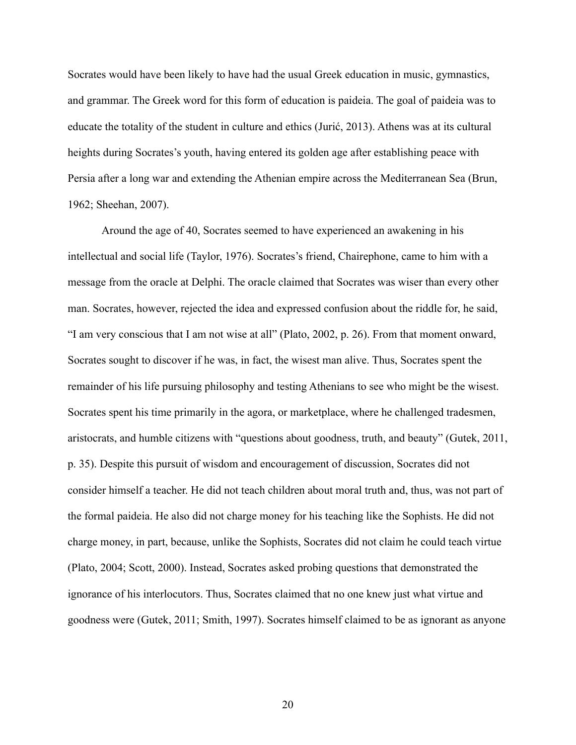Socrates would have been likely to have had the usual Greek education in music, gymnastics, and grammar. The Greek word for this form of education is paideia. The goal of paideia was to educate the totality of the student in culture and ethics (Jurić, 2013). Athens was at its cultural heights during Socrates's youth, having entered its golden age after establishing peace with Persia after a long war and extending the Athenian empire across the Mediterranean Sea (Brun, 1962; Sheehan, 2007).

Around the age of 40, Socrates seemed to have experienced an awakening in his intellectual and social life (Taylor, 1976). Socrates's friend, Chairephone, came to him with a message from the oracle at Delphi. The oracle claimed that Socrates was wiser than every other man. Socrates, however, rejected the idea and expressed confusion about the riddle for, he said, "I am very conscious that I am not wise at all" (Plato, 2002, p. 26). From that moment onward, Socrates sought to discover if he was, in fact, the wisest man alive. Thus, Socrates spent the remainder of his life pursuing philosophy and testing Athenians to see who might be the wisest. Socrates spent his time primarily in the agora, or marketplace, where he challenged tradesmen, aristocrats, and humble citizens with "questions about goodness, truth, and beauty" (Gutek, 2011, p. 35). Despite this pursuit of wisdom and encouragement of discussion, Socrates did not consider himself a teacher. He did not teach children about moral truth and, thus, was not part of the formal paideia. He also did not charge money for his teaching like the Sophists. He did not charge money, in part, because, unlike the Sophists, Socrates did not claim he could teach virtue (Plato, 2004; Scott, 2000). Instead, Socrates asked probing questions that demonstrated the ignorance of his interlocutors. Thus, Socrates claimed that no one knew just what virtue and goodness were (Gutek, 2011; Smith, 1997). Socrates himself claimed to be as ignorant as anyone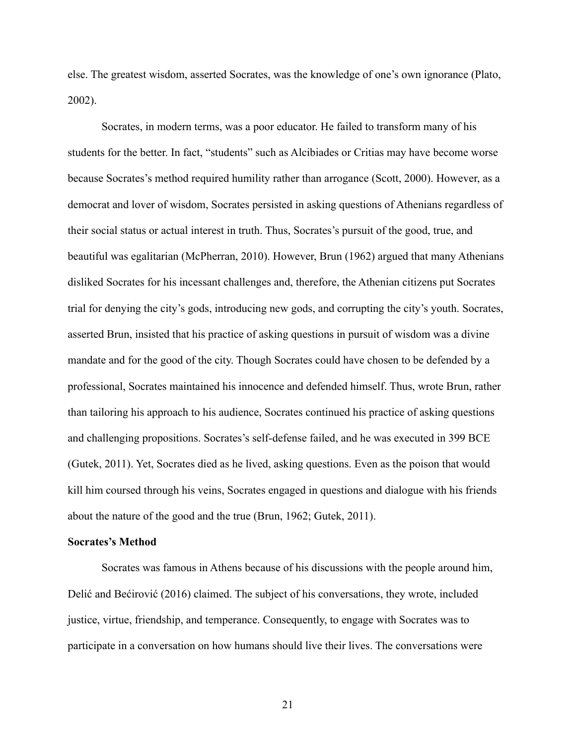else. The greatest wisdom, asserted Socrates, was the knowledge of one's own ignorance (Plato, 2002).

Socrates, in modern terms, was a poor educator. He failed to transform many of his students for the better. In fact, "students" such as Alcibiades or Critias may have become worse because Socrates's method required humility rather than arrogance (Scott, 2000). However, as a democrat and lover of wisdom, Socrates persisted in asking questions of Athenians regardless of their social status or actual interest in truth. Thus, Socrates's pursuit of the good, true, and beautiful was egalitarian (McPherran, 2010). However, Brun (1962) argued that many Athenians disliked Socrates for his incessant challenges and, therefore, the Athenian citizens put Socrates trial for denying the city's gods, introducing new gods, and corrupting the city's youth. Socrates, asserted Brun, insisted that his practice of asking questions in pursuit of wisdom was a divine mandate and for the good of the city. Though Socrates could have chosen to be defended by a professional, Socrates maintained his innocence and defended himself. Thus, wrote Brun, rather than tailoring his approach to his audience, Socrates continued his practice of asking questions and challenging propositions. Socrates's self-defense failed, and he was executed in 399 BCE (Gutek, 2011). Yet, Socrates died as he lived, asking questions. Even as the poison that would kill him coursed through his veins, Socrates engaged in questions and dialogue with his friends about the nature of the good and the true (Brun, 1962; Gutek, 2011).

#### **Socrates's Method**

Socrates was famous in Athens because of his discussions with the people around him, Delić and Bećirović (2016) claimed. The subject of his conversations, they wrote, included justice, virtue, friendship, and temperance. Consequently, to engage with Socrates was to participate in a conversation on how humans should live their lives. The conversations were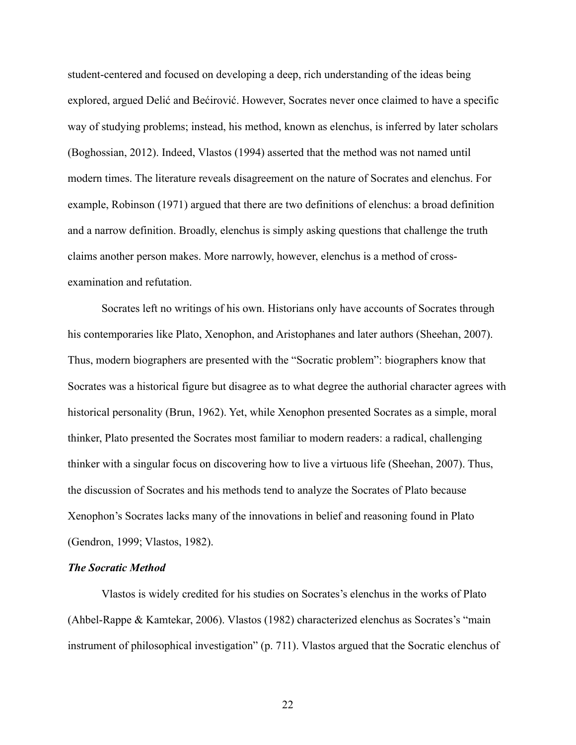student-centered and focused on developing a deep, rich understanding of the ideas being explored, argued Delić and Bećirović. However, Socrates never once claimed to have a specific way of studying problems; instead, his method, known as elenchus, is inferred by later scholars (Boghossian, 2012). Indeed, Vlastos (1994) asserted that the method was not named until modern times. The literature reveals disagreement on the nature of Socrates and elenchus. For example, Robinson (1971) argued that there are two definitions of elenchus: a broad definition and a narrow definition. Broadly, elenchus is simply asking questions that challenge the truth claims another person makes. More narrowly, however, elenchus is a method of crossexamination and refutation.

Socrates left no writings of his own. Historians only have accounts of Socrates through his contemporaries like Plato, Xenophon, and Aristophanes and later authors (Sheehan, 2007). Thus, modern biographers are presented with the "Socratic problem": biographers know that Socrates was a historical figure but disagree as to what degree the authorial character agrees with historical personality (Brun, 1962). Yet, while Xenophon presented Socrates as a simple, moral thinker, Plato presented the Socrates most familiar to modern readers: a radical, challenging thinker with a singular focus on discovering how to live a virtuous life (Sheehan, 2007). Thus, the discussion of Socrates and his methods tend to analyze the Socrates of Plato because Xenophon's Socrates lacks many of the innovations in belief and reasoning found in Plato (Gendron, 1999; Vlastos, 1982).

#### *The Socratic Method*

Vlastos is widely credited for his studies on Socrates's elenchus in the works of Plato (Ahbel-Rappe & Kamtekar, 2006). Vlastos (1982) characterized elenchus as Socrates's "main instrument of philosophical investigation" (p. 711). Vlastos argued that the Socratic elenchus of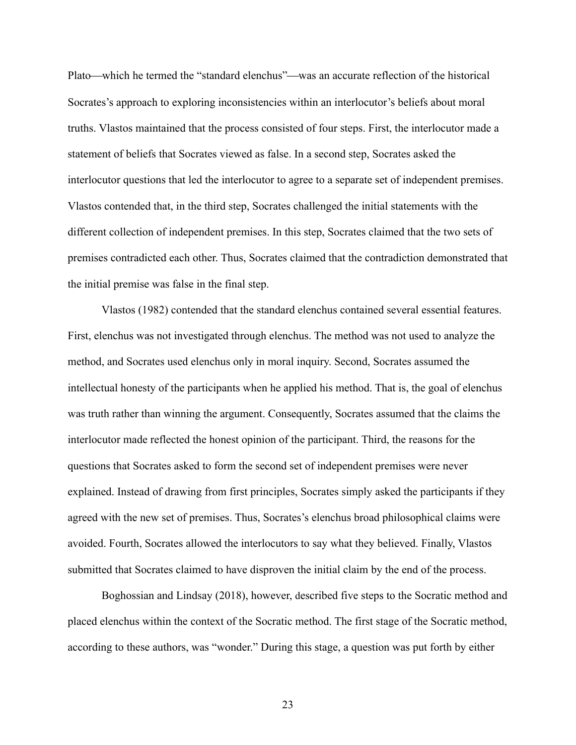Plato—which he termed the "standard elenchus"—was an accurate reflection of the historical Socrates's approach to exploring inconsistencies within an interlocutor's beliefs about moral truths. Vlastos maintained that the process consisted of four steps. First, the interlocutor made a statement of beliefs that Socrates viewed as false. In a second step, Socrates asked the interlocutor questions that led the interlocutor to agree to a separate set of independent premises. Vlastos contended that, in the third step, Socrates challenged the initial statements with the different collection of independent premises. In this step, Socrates claimed that the two sets of premises contradicted each other. Thus, Socrates claimed that the contradiction demonstrated that the initial premise was false in the final step.

Vlastos (1982) contended that the standard elenchus contained several essential features. First, elenchus was not investigated through elenchus. The method was not used to analyze the method, and Socrates used elenchus only in moral inquiry. Second, Socrates assumed the intellectual honesty of the participants when he applied his method. That is, the goal of elenchus was truth rather than winning the argument. Consequently, Socrates assumed that the claims the interlocutor made reflected the honest opinion of the participant. Third, the reasons for the questions that Socrates asked to form the second set of independent premises were never explained. Instead of drawing from first principles, Socrates simply asked the participants if they agreed with the new set of premises. Thus, Socrates's elenchus broad philosophical claims were avoided. Fourth, Socrates allowed the interlocutors to say what they believed. Finally, Vlastos submitted that Socrates claimed to have disproven the initial claim by the end of the process.

Boghossian and Lindsay (2018), however, described five steps to the Socratic method and placed elenchus within the context of the Socratic method. The first stage of the Socratic method, according to these authors, was "wonder." During this stage, a question was put forth by either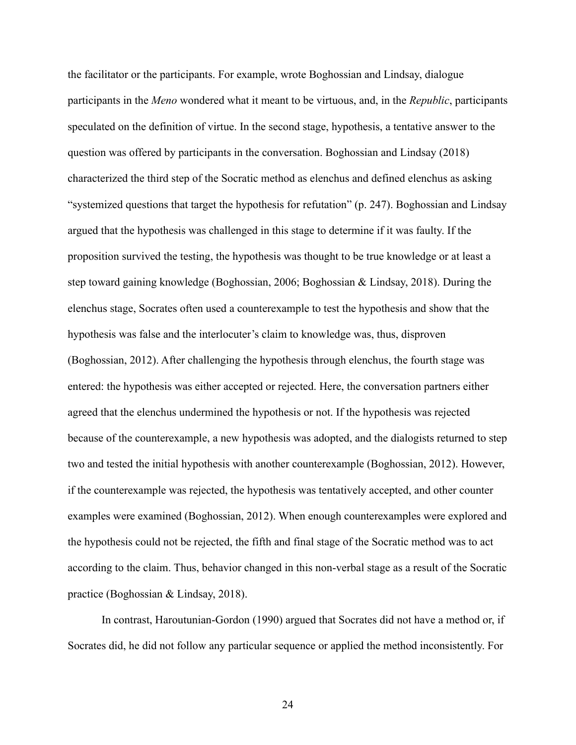the facilitator or the participants. For example, wrote Boghossian and Lindsay, dialogue participants in the *Meno* wondered what it meant to be virtuous, and, in the *Republic*, participants speculated on the definition of virtue. In the second stage, hypothesis, a tentative answer to the question was offered by participants in the conversation. Boghossian and Lindsay (2018) characterized the third step of the Socratic method as elenchus and defined elenchus as asking "systemized questions that target the hypothesis for refutation" (p. 247). Boghossian and Lindsay argued that the hypothesis was challenged in this stage to determine if it was faulty. If the proposition survived the testing, the hypothesis was thought to be true knowledge or at least a step toward gaining knowledge (Boghossian, 2006; Boghossian & Lindsay, 2018). During the elenchus stage, Socrates often used a counterexample to test the hypothesis and show that the hypothesis was false and the interlocuter's claim to knowledge was, thus, disproven (Boghossian, 2012). After challenging the hypothesis through elenchus, the fourth stage was entered: the hypothesis was either accepted or rejected. Here, the conversation partners either agreed that the elenchus undermined the hypothesis or not. If the hypothesis was rejected because of the counterexample, a new hypothesis was adopted, and the dialogists returned to step two and tested the initial hypothesis with another counterexample (Boghossian, 2012). However, if the counterexample was rejected, the hypothesis was tentatively accepted, and other counter examples were examined (Boghossian, 2012). When enough counterexamples were explored and the hypothesis could not be rejected, the fifth and final stage of the Socratic method was to act according to the claim. Thus, behavior changed in this non-verbal stage as a result of the Socratic practice (Boghossian & Lindsay, 2018).

In contrast, Haroutunian-Gordon (1990) argued that Socrates did not have a method or, if Socrates did, he did not follow any particular sequence or applied the method inconsistently. For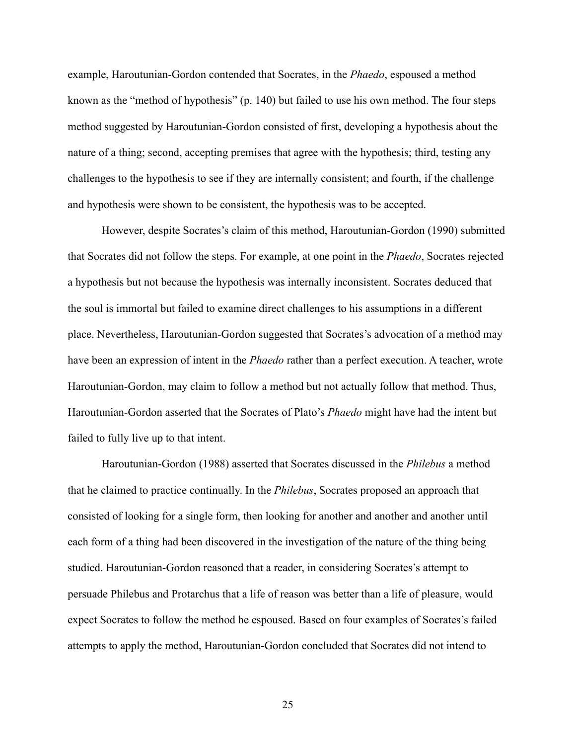example, Haroutunian-Gordon contended that Socrates, in the *Phaedo*, espoused a method known as the "method of hypothesis" (p. 140) but failed to use his own method. The four steps method suggested by Haroutunian-Gordon consisted of first, developing a hypothesis about the nature of a thing; second, accepting premises that agree with the hypothesis; third, testing any challenges to the hypothesis to see if they are internally consistent; and fourth, if the challenge and hypothesis were shown to be consistent, the hypothesis was to be accepted.

However, despite Socrates's claim of this method, Haroutunian-Gordon (1990) submitted that Socrates did not follow the steps. For example, at one point in the *Phaedo*, Socrates rejected a hypothesis but not because the hypothesis was internally inconsistent. Socrates deduced that the soul is immortal but failed to examine direct challenges to his assumptions in a different place. Nevertheless, Haroutunian-Gordon suggested that Socrates's advocation of a method may have been an expression of intent in the *Phaedo* rather than a perfect execution. A teacher, wrote Haroutunian-Gordon, may claim to follow a method but not actually follow that method. Thus, Haroutunian-Gordon asserted that the Socrates of Plato's *Phaedo* might have had the intent but failed to fully live up to that intent.

Haroutunian-Gordon (1988) asserted that Socrates discussed in the *Philebus* a method that he claimed to practice continually. In the *Philebus*, Socrates proposed an approach that consisted of looking for a single form, then looking for another and another and another until each form of a thing had been discovered in the investigation of the nature of the thing being studied. Haroutunian-Gordon reasoned that a reader, in considering Socrates's attempt to persuade Philebus and Protarchus that a life of reason was better than a life of pleasure, would expect Socrates to follow the method he espoused. Based on four examples of Socrates's failed attempts to apply the method, Haroutunian-Gordon concluded that Socrates did not intend to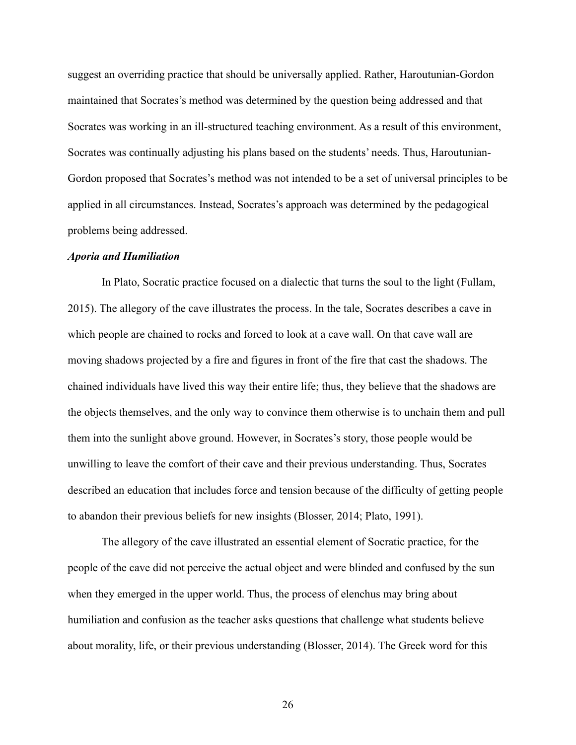suggest an overriding practice that should be universally applied. Rather, Haroutunian-Gordon maintained that Socrates's method was determined by the question being addressed and that Socrates was working in an ill-structured teaching environment. As a result of this environment, Socrates was continually adjusting his plans based on the students' needs. Thus, Haroutunian-Gordon proposed that Socrates's method was not intended to be a set of universal principles to be applied in all circumstances. Instead, Socrates's approach was determined by the pedagogical problems being addressed.

#### *Aporia and Humiliation*

In Plato, Socratic practice focused on a dialectic that turns the soul to the light (Fullam, 2015). The allegory of the cave illustrates the process. In the tale, Socrates describes a cave in which people are chained to rocks and forced to look at a cave wall. On that cave wall are moving shadows projected by a fire and figures in front of the fire that cast the shadows. The chained individuals have lived this way their entire life; thus, they believe that the shadows are the objects themselves, and the only way to convince them otherwise is to unchain them and pull them into the sunlight above ground. However, in Socrates's story, those people would be unwilling to leave the comfort of their cave and their previous understanding. Thus, Socrates described an education that includes force and tension because of the difficulty of getting people to abandon their previous beliefs for new insights (Blosser, 2014; Plato, 1991).

The allegory of the cave illustrated an essential element of Socratic practice, for the people of the cave did not perceive the actual object and were blinded and confused by the sun when they emerged in the upper world. Thus, the process of elenchus may bring about humiliation and confusion as the teacher asks questions that challenge what students believe about morality, life, or their previous understanding (Blosser, 2014). The Greek word for this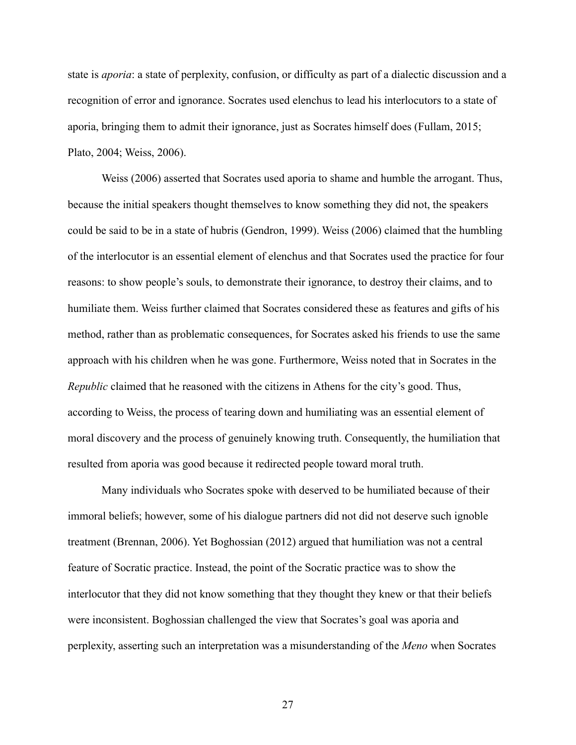state is *aporia*: a state of perplexity, confusion, or difficulty as part of a dialectic discussion and a recognition of error and ignorance. Socrates used elenchus to lead his interlocutors to a state of aporia, bringing them to admit their ignorance, just as Socrates himself does (Fullam, 2015; Plato, 2004; Weiss, 2006).

Weiss (2006) asserted that Socrates used aporia to shame and humble the arrogant. Thus, because the initial speakers thought themselves to know something they did not, the speakers could be said to be in a state of hubris (Gendron, 1999). Weiss (2006) claimed that the humbling of the interlocutor is an essential element of elenchus and that Socrates used the practice for four reasons: to show people's souls, to demonstrate their ignorance, to destroy their claims, and to humiliate them. Weiss further claimed that Socrates considered these as features and gifts of his method, rather than as problematic consequences, for Socrates asked his friends to use the same approach with his children when he was gone. Furthermore, Weiss noted that in Socrates in the *Republic* claimed that he reasoned with the citizens in Athens for the city's good. Thus, according to Weiss, the process of tearing down and humiliating was an essential element of moral discovery and the process of genuinely knowing truth. Consequently, the humiliation that resulted from aporia was good because it redirected people toward moral truth.

Many individuals who Socrates spoke with deserved to be humiliated because of their immoral beliefs; however, some of his dialogue partners did not did not deserve such ignoble treatment (Brennan, 2006). Yet Boghossian (2012) argued that humiliation was not a central feature of Socratic practice. Instead, the point of the Socratic practice was to show the interlocutor that they did not know something that they thought they knew or that their beliefs were inconsistent. Boghossian challenged the view that Socrates's goal was aporia and perplexity, asserting such an interpretation was a misunderstanding of the *Meno* when Socrates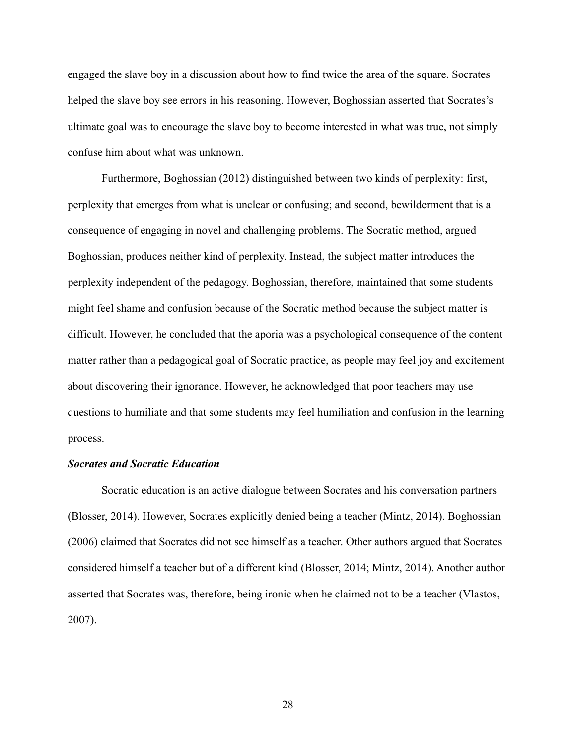engaged the slave boy in a discussion about how to find twice the area of the square. Socrates helped the slave boy see errors in his reasoning. However, Boghossian asserted that Socrates's ultimate goal was to encourage the slave boy to become interested in what was true, not simply confuse him about what was unknown.

Furthermore, Boghossian (2012) distinguished between two kinds of perplexity: first, perplexity that emerges from what is unclear or confusing; and second, bewilderment that is a consequence of engaging in novel and challenging problems. The Socratic method, argued Boghossian, produces neither kind of perplexity. Instead, the subject matter introduces the perplexity independent of the pedagogy. Boghossian, therefore, maintained that some students might feel shame and confusion because of the Socratic method because the subject matter is difficult. However, he concluded that the aporia was a psychological consequence of the content matter rather than a pedagogical goal of Socratic practice, as people may feel joy and excitement about discovering their ignorance. However, he acknowledged that poor teachers may use questions to humiliate and that some students may feel humiliation and confusion in the learning process.

### *Socrates and Socratic Education*

Socratic education is an active dialogue between Socrates and his conversation partners (Blosser, 2014). However, Socrates explicitly denied being a teacher (Mintz, 2014). Boghossian (2006) claimed that Socrates did not see himself as a teacher. Other authors argued that Socrates considered himself a teacher but of a different kind (Blosser, 2014; Mintz, 2014). Another author asserted that Socrates was, therefore, being ironic when he claimed not to be a teacher (Vlastos, 2007).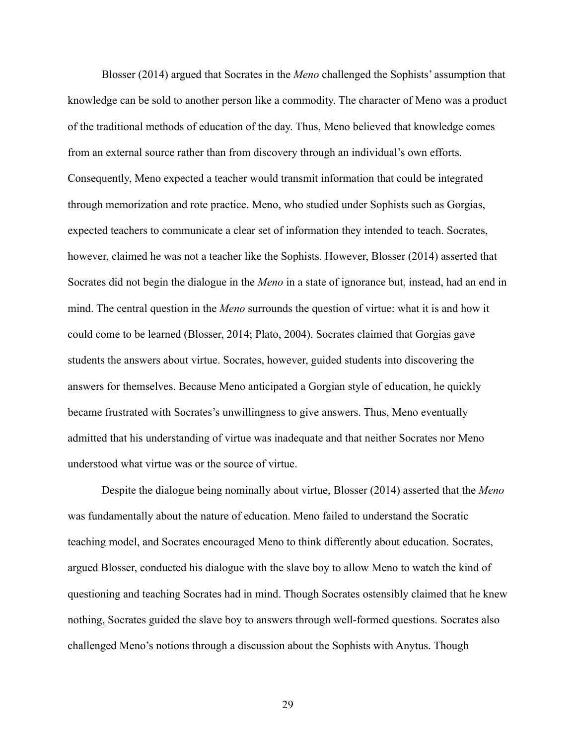Blosser (2014) argued that Socrates in the *Meno* challenged the Sophists' assumption that knowledge can be sold to another person like a commodity. The character of Meno was a product of the traditional methods of education of the day. Thus, Meno believed that knowledge comes from an external source rather than from discovery through an individual's own efforts. Consequently, Meno expected a teacher would transmit information that could be integrated through memorization and rote practice. Meno, who studied under Sophists such as Gorgias, expected teachers to communicate a clear set of information they intended to teach. Socrates, however, claimed he was not a teacher like the Sophists. However, Blosser (2014) asserted that Socrates did not begin the dialogue in the *Meno* in a state of ignorance but, instead, had an end in mind. The central question in the *Meno* surrounds the question of virtue: what it is and how it could come to be learned (Blosser, 2014; Plato, 2004). Socrates claimed that Gorgias gave students the answers about virtue. Socrates, however, guided students into discovering the answers for themselves. Because Meno anticipated a Gorgian style of education, he quickly became frustrated with Socrates's unwillingness to give answers. Thus, Meno eventually admitted that his understanding of virtue was inadequate and that neither Socrates nor Meno understood what virtue was or the source of virtue.

Despite the dialogue being nominally about virtue, Blosser (2014) asserted that the *Meno* was fundamentally about the nature of education. Meno failed to understand the Socratic teaching model, and Socrates encouraged Meno to think differently about education. Socrates, argued Blosser, conducted his dialogue with the slave boy to allow Meno to watch the kind of questioning and teaching Socrates had in mind. Though Socrates ostensibly claimed that he knew nothing, Socrates guided the slave boy to answers through well-formed questions. Socrates also challenged Meno's notions through a discussion about the Sophists with Anytus. Though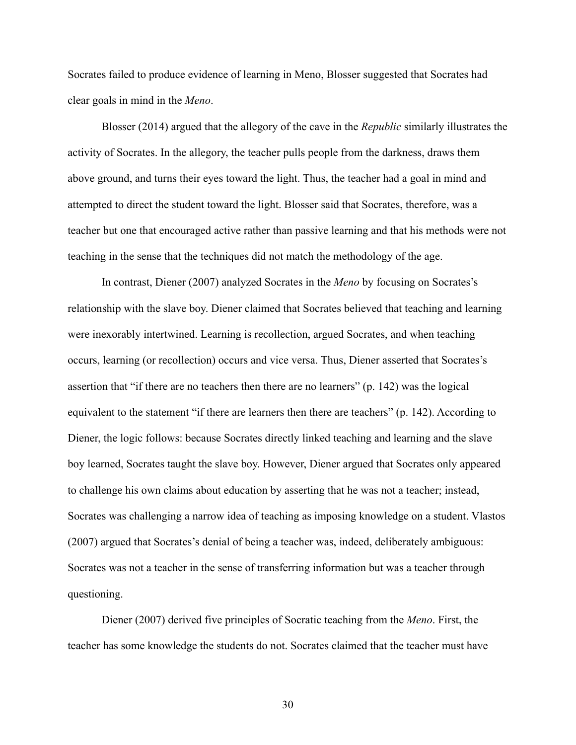Socrates failed to produce evidence of learning in Meno, Blosser suggested that Socrates had clear goals in mind in the *Meno*.

Blosser (2014) argued that the allegory of the cave in the *Republic* similarly illustrates the activity of Socrates. In the allegory, the teacher pulls people from the darkness, draws them above ground, and turns their eyes toward the light. Thus, the teacher had a goal in mind and attempted to direct the student toward the light. Blosser said that Socrates, therefore, was a teacher but one that encouraged active rather than passive learning and that his methods were not teaching in the sense that the techniques did not match the methodology of the age.

In contrast, Diener (2007) analyzed Socrates in the *Meno* by focusing on Socrates's relationship with the slave boy. Diener claimed that Socrates believed that teaching and learning were inexorably intertwined. Learning is recollection, argued Socrates, and when teaching occurs, learning (or recollection) occurs and vice versa. Thus, Diener asserted that Socrates's assertion that "if there are no teachers then there are no learners" (p. 142) was the logical equivalent to the statement "if there are learners then there are teachers" (p. 142). According to Diener, the logic follows: because Socrates directly linked teaching and learning and the slave boy learned, Socrates taught the slave boy. However, Diener argued that Socrates only appeared to challenge his own claims about education by asserting that he was not a teacher; instead, Socrates was challenging a narrow idea of teaching as imposing knowledge on a student. Vlastos (2007) argued that Socrates's denial of being a teacher was, indeed, deliberately ambiguous: Socrates was not a teacher in the sense of transferring information but was a teacher through questioning.

Diener (2007) derived five principles of Socratic teaching from the *Meno*. First, the teacher has some knowledge the students do not. Socrates claimed that the teacher must have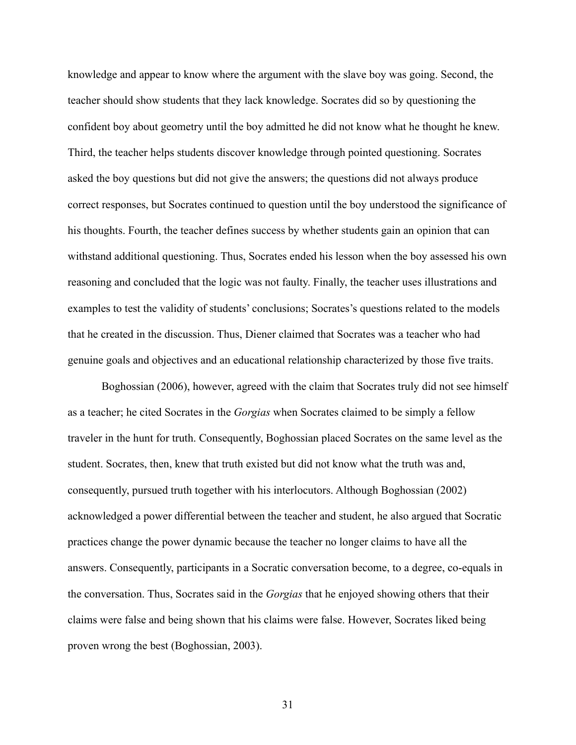knowledge and appear to know where the argument with the slave boy was going. Second, the teacher should show students that they lack knowledge. Socrates did so by questioning the confident boy about geometry until the boy admitted he did not know what he thought he knew. Third, the teacher helps students discover knowledge through pointed questioning. Socrates asked the boy questions but did not give the answers; the questions did not always produce correct responses, but Socrates continued to question until the boy understood the significance of his thoughts. Fourth, the teacher defines success by whether students gain an opinion that can withstand additional questioning. Thus, Socrates ended his lesson when the boy assessed his own reasoning and concluded that the logic was not faulty. Finally, the teacher uses illustrations and examples to test the validity of students' conclusions; Socrates's questions related to the models that he created in the discussion. Thus, Diener claimed that Socrates was a teacher who had genuine goals and objectives and an educational relationship characterized by those five traits.

Boghossian (2006), however, agreed with the claim that Socrates truly did not see himself as a teacher; he cited Socrates in the *Gorgias* when Socrates claimed to be simply a fellow traveler in the hunt for truth. Consequently, Boghossian placed Socrates on the same level as the student. Socrates, then, knew that truth existed but did not know what the truth was and, consequently, pursued truth together with his interlocutors. Although Boghossian (2002) acknowledged a power differential between the teacher and student, he also argued that Socratic practices change the power dynamic because the teacher no longer claims to have all the answers. Consequently, participants in a Socratic conversation become, to a degree, co-equals in the conversation. Thus, Socrates said in the *Gorgias* that he enjoyed showing others that their claims were false and being shown that his claims were false. However, Socrates liked being proven wrong the best (Boghossian, 2003).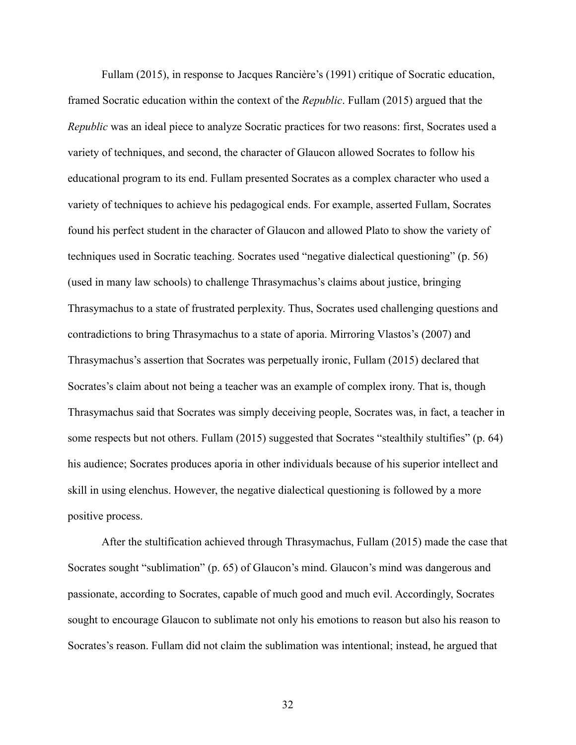Fullam (2015), in response to Jacques Rancière's (1991) critique of Socratic education, framed Socratic education within the context of the *Republic*. Fullam (2015) argued that the *Republic* was an ideal piece to analyze Socratic practices for two reasons: first, Socrates used a variety of techniques, and second, the character of Glaucon allowed Socrates to follow his educational program to its end. Fullam presented Socrates as a complex character who used a variety of techniques to achieve his pedagogical ends. For example, asserted Fullam, Socrates found his perfect student in the character of Glaucon and allowed Plato to show the variety of techniques used in Socratic teaching. Socrates used "negative dialectical questioning" (p. 56) (used in many law schools) to challenge Thrasymachus's claims about justice, bringing Thrasymachus to a state of frustrated perplexity. Thus, Socrates used challenging questions and contradictions to bring Thrasymachus to a state of aporia. Mirroring Vlastos's (2007) and Thrasymachus's assertion that Socrates was perpetually ironic, Fullam (2015) declared that Socrates's claim about not being a teacher was an example of complex irony. That is, though Thrasymachus said that Socrates was simply deceiving people, Socrates was, in fact, a teacher in some respects but not others. Fullam (2015) suggested that Socrates "stealthily stultifies" (p. 64) his audience; Socrates produces aporia in other individuals because of his superior intellect and skill in using elenchus. However, the negative dialectical questioning is followed by a more positive process.

After the stultification achieved through Thrasymachus, Fullam (2015) made the case that Socrates sought "sublimation" (p. 65) of Glaucon's mind. Glaucon's mind was dangerous and passionate, according to Socrates, capable of much good and much evil. Accordingly, Socrates sought to encourage Glaucon to sublimate not only his emotions to reason but also his reason to Socrates's reason. Fullam did not claim the sublimation was intentional; instead, he argued that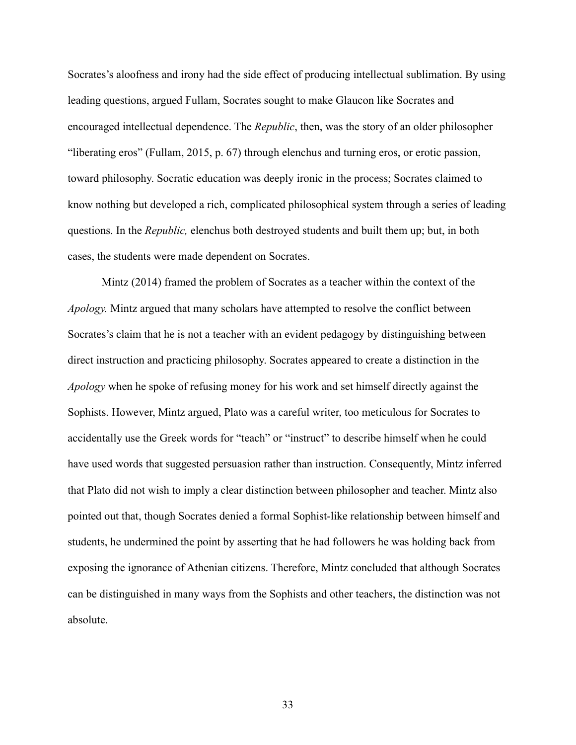Socrates's aloofness and irony had the side effect of producing intellectual sublimation. By using leading questions, argued Fullam, Socrates sought to make Glaucon like Socrates and encouraged intellectual dependence. The *Republic*, then, was the story of an older philosopher "liberating eros" (Fullam, 2015, p. 67) through elenchus and turning eros, or erotic passion, toward philosophy. Socratic education was deeply ironic in the process; Socrates claimed to know nothing but developed a rich, complicated philosophical system through a series of leading questions. In the *Republic,* elenchus both destroyed students and built them up; but, in both cases, the students were made dependent on Socrates.

Mintz (2014) framed the problem of Socrates as a teacher within the context of the *Apology.* Mintz argued that many scholars have attempted to resolve the conflict between Socrates's claim that he is not a teacher with an evident pedagogy by distinguishing between direct instruction and practicing philosophy. Socrates appeared to create a distinction in the *Apology* when he spoke of refusing money for his work and set himself directly against the Sophists. However, Mintz argued, Plato was a careful writer, too meticulous for Socrates to accidentally use the Greek words for "teach" or "instruct" to describe himself when he could have used words that suggested persuasion rather than instruction. Consequently, Mintz inferred that Plato did not wish to imply a clear distinction between philosopher and teacher. Mintz also pointed out that, though Socrates denied a formal Sophist-like relationship between himself and students, he undermined the point by asserting that he had followers he was holding back from exposing the ignorance of Athenian citizens. Therefore, Mintz concluded that although Socrates can be distinguished in many ways from the Sophists and other teachers, the distinction was not absolute.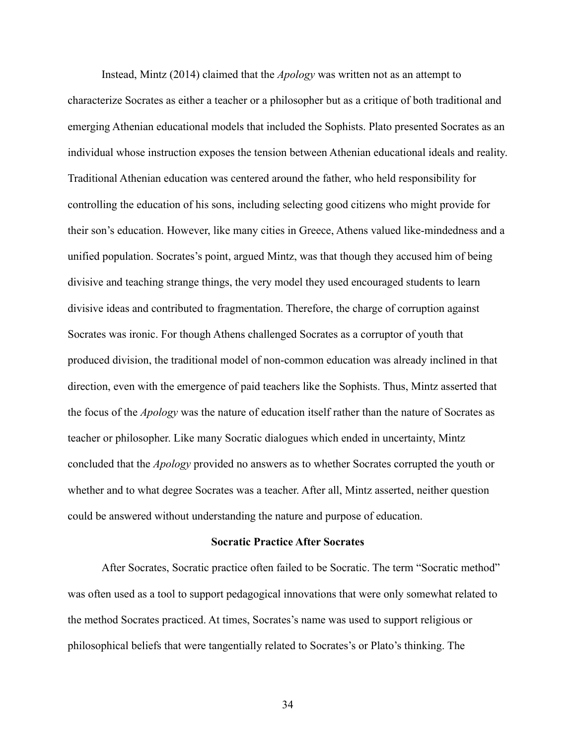Instead, Mintz (2014) claimed that the *Apology* was written not as an attempt to characterize Socrates as either a teacher or a philosopher but as a critique of both traditional and emerging Athenian educational models that included the Sophists. Plato presented Socrates as an individual whose instruction exposes the tension between Athenian educational ideals and reality. Traditional Athenian education was centered around the father, who held responsibility for controlling the education of his sons, including selecting good citizens who might provide for their son's education. However, like many cities in Greece, Athens valued like-mindedness and a unified population. Socrates's point, argued Mintz, was that though they accused him of being divisive and teaching strange things, the very model they used encouraged students to learn divisive ideas and contributed to fragmentation. Therefore, the charge of corruption against Socrates was ironic. For though Athens challenged Socrates as a corruptor of youth that produced division, the traditional model of non-common education was already inclined in that direction, even with the emergence of paid teachers like the Sophists. Thus, Mintz asserted that the focus of the *Apology* was the nature of education itself rather than the nature of Socrates as teacher or philosopher. Like many Socratic dialogues which ended in uncertainty, Mintz concluded that the *Apology* provided no answers as to whether Socrates corrupted the youth or whether and to what degree Socrates was a teacher. After all, Mintz asserted, neither question could be answered without understanding the nature and purpose of education.

#### **Socratic Practice After Socrates**

After Socrates, Socratic practice often failed to be Socratic. The term "Socratic method" was often used as a tool to support pedagogical innovations that were only somewhat related to the method Socrates practiced. At times, Socrates's name was used to support religious or philosophical beliefs that were tangentially related to Socrates's or Plato's thinking. The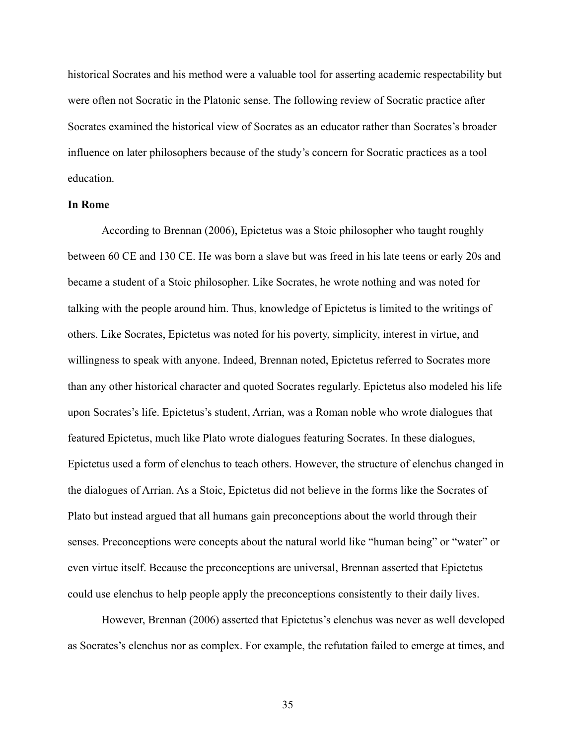historical Socrates and his method were a valuable tool for asserting academic respectability but were often not Socratic in the Platonic sense. The following review of Socratic practice after Socrates examined the historical view of Socrates as an educator rather than Socrates's broader influence on later philosophers because of the study's concern for Socratic practices as a tool education.

#### **In Rome**

According to Brennan (2006), Epictetus was a Stoic philosopher who taught roughly between 60 CE and 130 CE. He was born a slave but was freed in his late teens or early 20s and became a student of a Stoic philosopher. Like Socrates, he wrote nothing and was noted for talking with the people around him. Thus, knowledge of Epictetus is limited to the writings of others. Like Socrates, Epictetus was noted for his poverty, simplicity, interest in virtue, and willingness to speak with anyone. Indeed, Brennan noted, Epictetus referred to Socrates more than any other historical character and quoted Socrates regularly. Epictetus also modeled his life upon Socrates's life. Epictetus's student, Arrian, was a Roman noble who wrote dialogues that featured Epictetus, much like Plato wrote dialogues featuring Socrates. In these dialogues, Epictetus used a form of elenchus to teach others. However, the structure of elenchus changed in the dialogues of Arrian. As a Stoic, Epictetus did not believe in the forms like the Socrates of Plato but instead argued that all humans gain preconceptions about the world through their senses. Preconceptions were concepts about the natural world like "human being" or "water" or even virtue itself. Because the preconceptions are universal, Brennan asserted that Epictetus could use elenchus to help people apply the preconceptions consistently to their daily lives.

However, Brennan (2006) asserted that Epictetus's elenchus was never as well developed as Socrates's elenchus nor as complex. For example, the refutation failed to emerge at times, and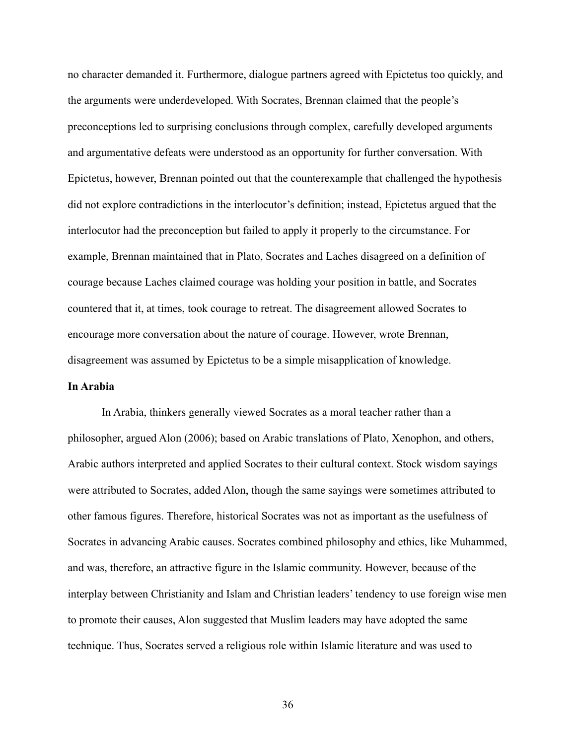no character demanded it. Furthermore, dialogue partners agreed with Epictetus too quickly, and the arguments were underdeveloped. With Socrates, Brennan claimed that the people's preconceptions led to surprising conclusions through complex, carefully developed arguments and argumentative defeats were understood as an opportunity for further conversation. With Epictetus, however, Brennan pointed out that the counterexample that challenged the hypothesis did not explore contradictions in the interlocutor's definition; instead, Epictetus argued that the interlocutor had the preconception but failed to apply it properly to the circumstance. For example, Brennan maintained that in Plato, Socrates and Laches disagreed on a definition of courage because Laches claimed courage was holding your position in battle, and Socrates countered that it, at times, took courage to retreat. The disagreement allowed Socrates to encourage more conversation about the nature of courage. However, wrote Brennan, disagreement was assumed by Epictetus to be a simple misapplication of knowledge.

#### **In Arabia**

In Arabia, thinkers generally viewed Socrates as a moral teacher rather than a philosopher, argued Alon (2006); based on Arabic translations of Plato, Xenophon, and others, Arabic authors interpreted and applied Socrates to their cultural context. Stock wisdom sayings were attributed to Socrates, added Alon, though the same sayings were sometimes attributed to other famous figures. Therefore, historical Socrates was not as important as the usefulness of Socrates in advancing Arabic causes. Socrates combined philosophy and ethics, like Muhammed, and was, therefore, an attractive figure in the Islamic community. However, because of the interplay between Christianity and Islam and Christian leaders' tendency to use foreign wise men to promote their causes, Alon suggested that Muslim leaders may have adopted the same technique. Thus, Socrates served a religious role within Islamic literature and was used to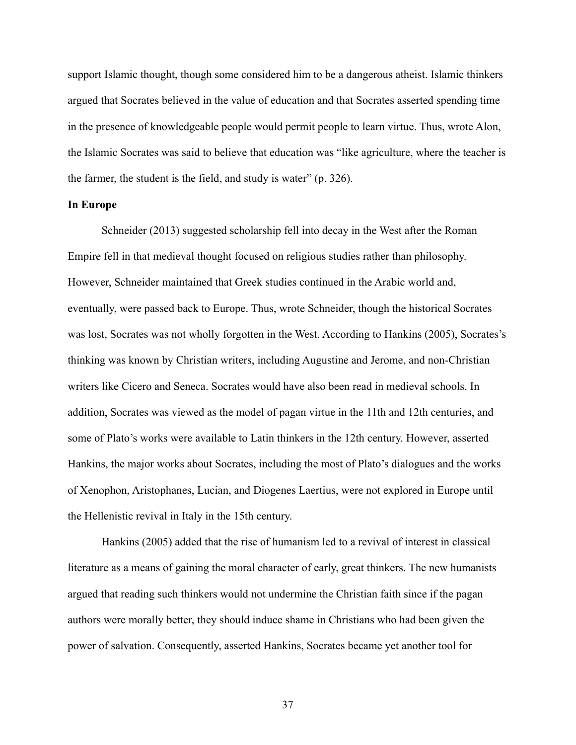support Islamic thought, though some considered him to be a dangerous atheist. Islamic thinkers argued that Socrates believed in the value of education and that Socrates asserted spending time in the presence of knowledgeable people would permit people to learn virtue. Thus, wrote Alon, the Islamic Socrates was said to believe that education was "like agriculture, where the teacher is the farmer, the student is the field, and study is water" (p. 326).

### **In Europe**

Schneider (2013) suggested scholarship fell into decay in the West after the Roman Empire fell in that medieval thought focused on religious studies rather than philosophy. However, Schneider maintained that Greek studies continued in the Arabic world and, eventually, were passed back to Europe. Thus, wrote Schneider, though the historical Socrates was lost, Socrates was not wholly forgotten in the West. According to Hankins (2005), Socrates's thinking was known by Christian writers, including Augustine and Jerome, and non-Christian writers like Cicero and Seneca. Socrates would have also been read in medieval schools. In addition, Socrates was viewed as the model of pagan virtue in the 11th and 12th centuries, and some of Plato's works were available to Latin thinkers in the 12th century. However, asserted Hankins, the major works about Socrates, including the most of Plato's dialogues and the works of Xenophon, Aristophanes, Lucian, and Diogenes Laertius, were not explored in Europe until the Hellenistic revival in Italy in the 15th century.

Hankins (2005) added that the rise of humanism led to a revival of interest in classical literature as a means of gaining the moral character of early, great thinkers. The new humanists argued that reading such thinkers would not undermine the Christian faith since if the pagan authors were morally better, they should induce shame in Christians who had been given the power of salvation. Consequently, asserted Hankins, Socrates became yet another tool for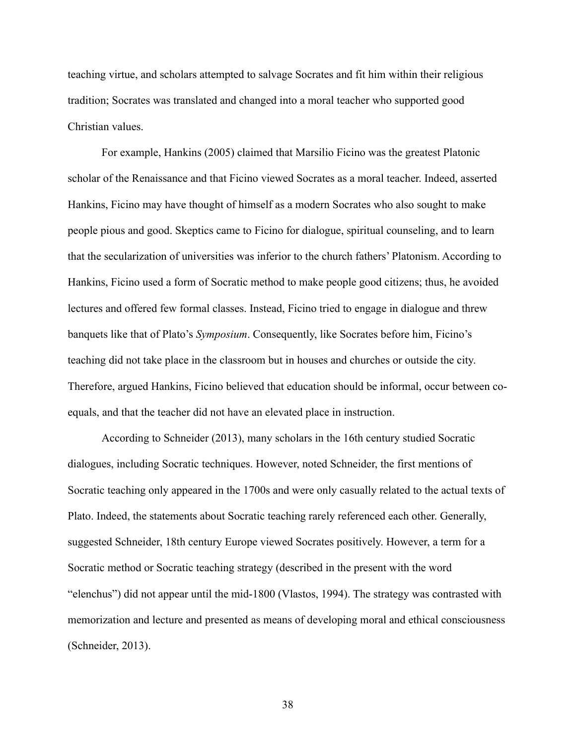teaching virtue, and scholars attempted to salvage Socrates and fit him within their religious tradition; Socrates was translated and changed into a moral teacher who supported good Christian values.

For example, Hankins (2005) claimed that Marsilio Ficino was the greatest Platonic scholar of the Renaissance and that Ficino viewed Socrates as a moral teacher. Indeed, asserted Hankins, Ficino may have thought of himself as a modern Socrates who also sought to make people pious and good. Skeptics came to Ficino for dialogue, spiritual counseling, and to learn that the secularization of universities was inferior to the church fathers' Platonism. According to Hankins, Ficino used a form of Socratic method to make people good citizens; thus, he avoided lectures and offered few formal classes. Instead, Ficino tried to engage in dialogue and threw banquets like that of Plato's *Symposium*. Consequently, like Socrates before him, Ficino's teaching did not take place in the classroom but in houses and churches or outside the city. Therefore, argued Hankins, Ficino believed that education should be informal, occur between coequals, and that the teacher did not have an elevated place in instruction.

According to Schneider (2013), many scholars in the 16th century studied Socratic dialogues, including Socratic techniques. However, noted Schneider, the first mentions of Socratic teaching only appeared in the 1700s and were only casually related to the actual texts of Plato. Indeed, the statements about Socratic teaching rarely referenced each other. Generally, suggested Schneider, 18th century Europe viewed Socrates positively. However, a term for a Socratic method or Socratic teaching strategy (described in the present with the word "elenchus") did not appear until the mid-1800 (Vlastos, 1994). The strategy was contrasted with memorization and lecture and presented as means of developing moral and ethical consciousness (Schneider, 2013).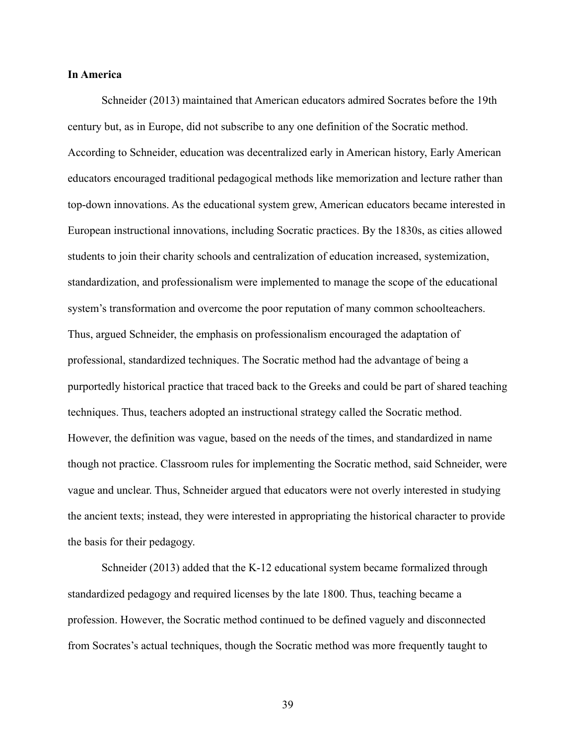# **In America**

Schneider (2013) maintained that American educators admired Socrates before the 19th century but, as in Europe, did not subscribe to any one definition of the Socratic method. According to Schneider, education was decentralized early in American history, Early American educators encouraged traditional pedagogical methods like memorization and lecture rather than top-down innovations. As the educational system grew, American educators became interested in European instructional innovations, including Socratic practices. By the 1830s, as cities allowed students to join their charity schools and centralization of education increased, systemization, standardization, and professionalism were implemented to manage the scope of the educational system's transformation and overcome the poor reputation of many common schoolteachers. Thus, argued Schneider, the emphasis on professionalism encouraged the adaptation of professional, standardized techniques. The Socratic method had the advantage of being a purportedly historical practice that traced back to the Greeks and could be part of shared teaching techniques. Thus, teachers adopted an instructional strategy called the Socratic method. However, the definition was vague, based on the needs of the times, and standardized in name though not practice. Classroom rules for implementing the Socratic method, said Schneider, were vague and unclear. Thus, Schneider argued that educators were not overly interested in studying the ancient texts; instead, they were interested in appropriating the historical character to provide the basis for their pedagogy.

Schneider (2013) added that the K-12 educational system became formalized through standardized pedagogy and required licenses by the late 1800. Thus, teaching became a profession. However, the Socratic method continued to be defined vaguely and disconnected from Socrates's actual techniques, though the Socratic method was more frequently taught to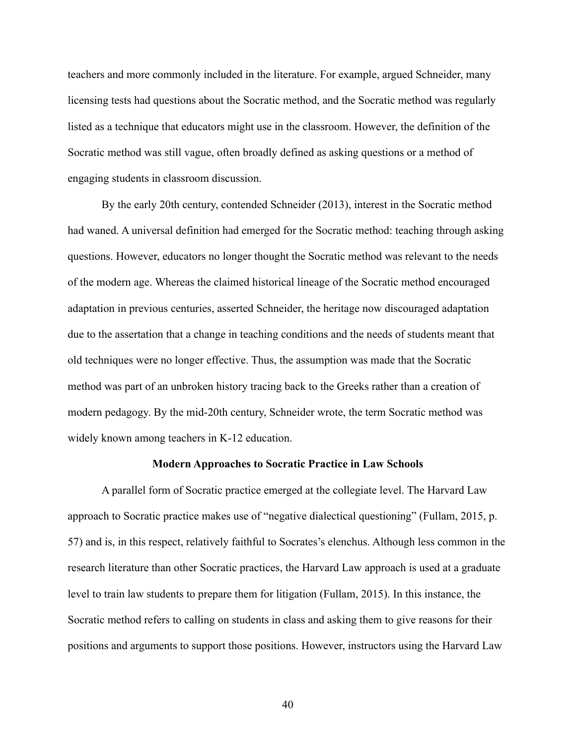teachers and more commonly included in the literature. For example, argued Schneider, many licensing tests had questions about the Socratic method, and the Socratic method was regularly listed as a technique that educators might use in the classroom. However, the definition of the Socratic method was still vague, often broadly defined as asking questions or a method of engaging students in classroom discussion.

By the early 20th century, contended Schneider (2013), interest in the Socratic method had waned. A universal definition had emerged for the Socratic method: teaching through asking questions. However, educators no longer thought the Socratic method was relevant to the needs of the modern age. Whereas the claimed historical lineage of the Socratic method encouraged adaptation in previous centuries, asserted Schneider, the heritage now discouraged adaptation due to the assertation that a change in teaching conditions and the needs of students meant that old techniques were no longer effective. Thus, the assumption was made that the Socratic method was part of an unbroken history tracing back to the Greeks rather than a creation of modern pedagogy. By the mid-20th century, Schneider wrote, the term Socratic method was widely known among teachers in K-12 education.

#### **Modern Approaches to Socratic Practice in Law Schools**

A parallel form of Socratic practice emerged at the collegiate level. The Harvard Law approach to Socratic practice makes use of "negative dialectical questioning" (Fullam, 2015, p. 57) and is, in this respect, relatively faithful to Socrates's elenchus. Although less common in the research literature than other Socratic practices, the Harvard Law approach is used at a graduate level to train law students to prepare them for litigation (Fullam, 2015). In this instance, the Socratic method refers to calling on students in class and asking them to give reasons for their positions and arguments to support those positions. However, instructors using the Harvard Law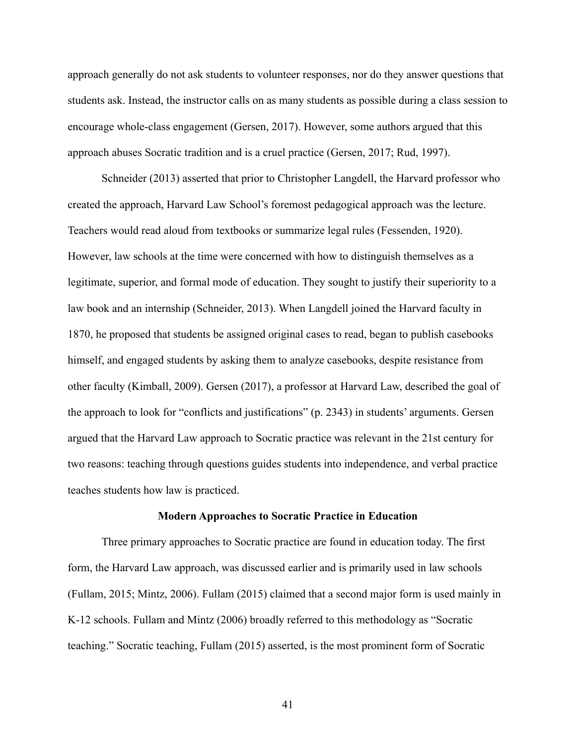approach generally do not ask students to volunteer responses, nor do they answer questions that students ask. Instead, the instructor calls on as many students as possible during a class session to encourage whole-class engagement (Gersen, 2017). However, some authors argued that this approach abuses Socratic tradition and is a cruel practice (Gersen, 2017; Rud, 1997).

Schneider (2013) asserted that prior to Christopher Langdell, the Harvard professor who created the approach, Harvard Law School's foremost pedagogical approach was the lecture. Teachers would read aloud from textbooks or summarize legal rules (Fessenden, 1920). However, law schools at the time were concerned with how to distinguish themselves as a legitimate, superior, and formal mode of education. They sought to justify their superiority to a law book and an internship (Schneider, 2013). When Langdell joined the Harvard faculty in 1870, he proposed that students be assigned original cases to read, began to publish casebooks himself, and engaged students by asking them to analyze casebooks, despite resistance from other faculty (Kimball, 2009). Gersen (2017), a professor at Harvard Law, described the goal of the approach to look for "conflicts and justifications" (p. 2343) in students' arguments. Gersen argued that the Harvard Law approach to Socratic practice was relevant in the 21st century for two reasons: teaching through questions guides students into independence, and verbal practice teaches students how law is practiced.

#### **Modern Approaches to Socratic Practice in Education**

Three primary approaches to Socratic practice are found in education today. The first form, the Harvard Law approach, was discussed earlier and is primarily used in law schools (Fullam, 2015; Mintz, 2006). Fullam (2015) claimed that a second major form is used mainly in K-12 schools. Fullam and Mintz (2006) broadly referred to this methodology as "Socratic teaching." Socratic teaching, Fullam (2015) asserted, is the most prominent form of Socratic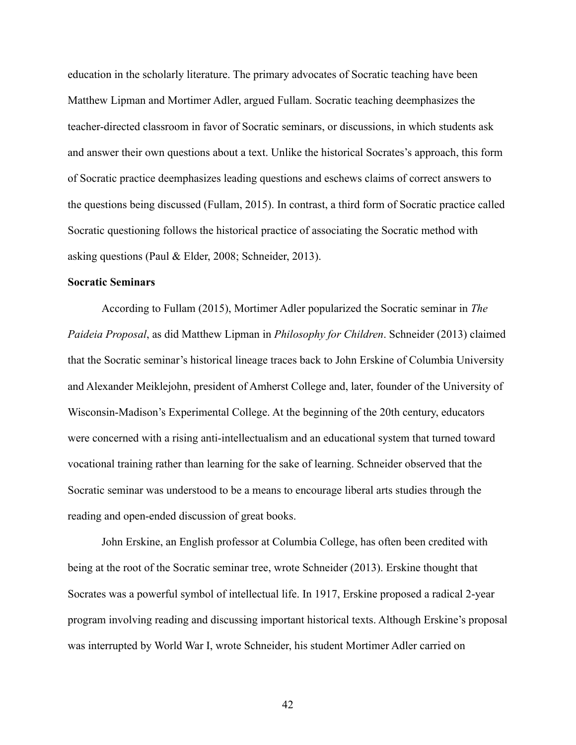education in the scholarly literature. The primary advocates of Socratic teaching have been Matthew Lipman and Mortimer Adler, argued Fullam. Socratic teaching deemphasizes the teacher-directed classroom in favor of Socratic seminars, or discussions, in which students ask and answer their own questions about a text. Unlike the historical Socrates's approach, this form of Socratic practice deemphasizes leading questions and eschews claims of correct answers to the questions being discussed (Fullam, 2015). In contrast, a third form of Socratic practice called Socratic questioning follows the historical practice of associating the Socratic method with asking questions (Paul & Elder, 2008; Schneider, 2013).

# **Socratic Seminars**

According to Fullam (2015), Mortimer Adler popularized the Socratic seminar in *The Paideia Proposal*, as did Matthew Lipman in *Philosophy for Children*. Schneider (2013) claimed that the Socratic seminar's historical lineage traces back to John Erskine of Columbia University and Alexander Meiklejohn, president of Amherst College and, later, founder of the University of Wisconsin-Madison's Experimental College. At the beginning of the 20th century, educators were concerned with a rising anti-intellectualism and an educational system that turned toward vocational training rather than learning for the sake of learning. Schneider observed that the Socratic seminar was understood to be a means to encourage liberal arts studies through the reading and open-ended discussion of great books.

John Erskine, an English professor at Columbia College, has often been credited with being at the root of the Socratic seminar tree, wrote Schneider (2013). Erskine thought that Socrates was a powerful symbol of intellectual life. In 1917, Erskine proposed a radical 2-year program involving reading and discussing important historical texts. Although Erskine's proposal was interrupted by World War I, wrote Schneider, his student Mortimer Adler carried on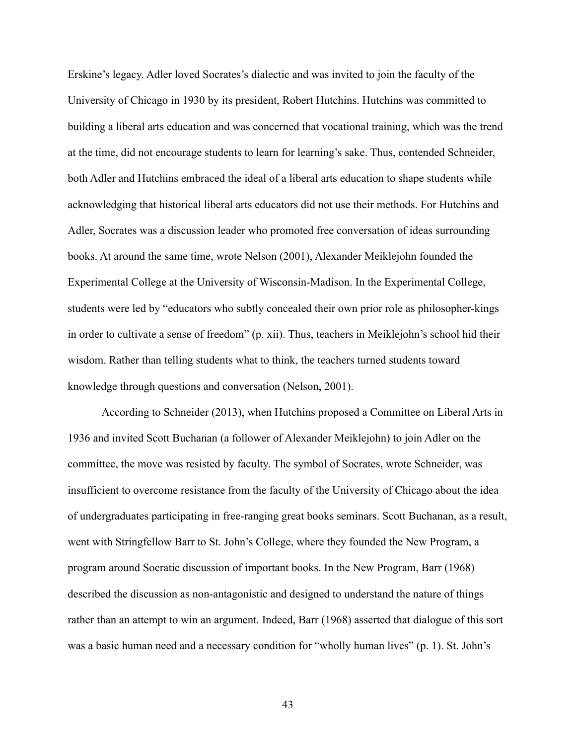Erskine's legacy. Adler loved Socrates's dialectic and was invited to join the faculty of the University of Chicago in 1930 by its president, Robert Hutchins. Hutchins was committed to building a liberal arts education and was concerned that vocational training, which was the trend at the time, did not encourage students to learn for learning's sake. Thus, contended Schneider, both Adler and Hutchins embraced the ideal of a liberal arts education to shape students while acknowledging that historical liberal arts educators did not use their methods. For Hutchins and Adler, Socrates was a discussion leader who promoted free conversation of ideas surrounding books. At around the same time, wrote Nelson (2001), Alexander Meiklejohn founded the Experimental College at the University of Wisconsin-Madison. In the Experimental College, students were led by "educators who subtly concealed their own prior role as philosopher-kings in order to cultivate a sense of freedom" (p. xii). Thus, teachers in Meiklejohn's school hid their wisdom. Rather than telling students what to think, the teachers turned students toward knowledge through questions and conversation (Nelson, 2001).

According to Schneider (2013), when Hutchins proposed a Committee on Liberal Arts in 1936 and invited Scott Buchanan (a follower of Alexander Meiklejohn) to join Adler on the committee, the move was resisted by faculty. The symbol of Socrates, wrote Schneider, was insufficient to overcome resistance from the faculty of the University of Chicago about the idea of undergraduates participating in free-ranging great books seminars. Scott Buchanan, as a result, went with Stringfellow Barr to St. John's College, where they founded the New Program, a program around Socratic discussion of important books. In the New Program, Barr (1968) described the discussion as non-antagonistic and designed to understand the nature of things rather than an attempt to win an argument. Indeed, Barr (1968) asserted that dialogue of this sort was a basic human need and a necessary condition for "wholly human lives" (p. 1). St. John's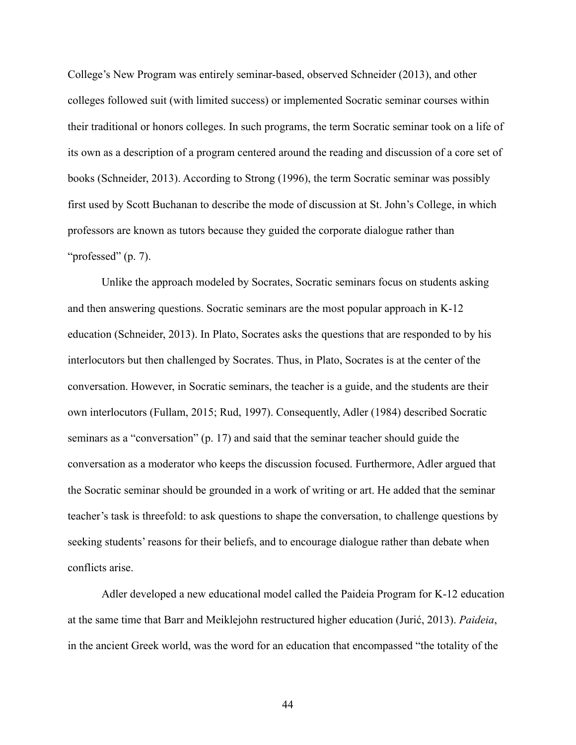College's New Program was entirely seminar-based, observed Schneider (2013), and other colleges followed suit (with limited success) or implemented Socratic seminar courses within their traditional or honors colleges. In such programs, the term Socratic seminar took on a life of its own as a description of a program centered around the reading and discussion of a core set of books (Schneider, 2013). According to Strong (1996), the term Socratic seminar was possibly first used by Scott Buchanan to describe the mode of discussion at St. John's College, in which professors are known as tutors because they guided the corporate dialogue rather than "professed" (p. 7).

Unlike the approach modeled by Socrates, Socratic seminars focus on students asking and then answering questions. Socratic seminars are the most popular approach in K-12 education (Schneider, 2013). In Plato, Socrates asks the questions that are responded to by his interlocutors but then challenged by Socrates. Thus, in Plato, Socrates is at the center of the conversation. However, in Socratic seminars, the teacher is a guide, and the students are their own interlocutors (Fullam, 2015; Rud, 1997). Consequently, Adler (1984) described Socratic seminars as a "conversation" (p. 17) and said that the seminar teacher should guide the conversation as a moderator who keeps the discussion focused. Furthermore, Adler argued that the Socratic seminar should be grounded in a work of writing or art. He added that the seminar teacher's task is threefold: to ask questions to shape the conversation, to challenge questions by seeking students' reasons for their beliefs, and to encourage dialogue rather than debate when conflicts arise.

Adler developed a new educational model called the Paideia Program for K-12 education at the same time that Barr and Meiklejohn restructured higher education (Jurić, 2013). *Paideia*, in the ancient Greek world, was the word for an education that encompassed "the totality of the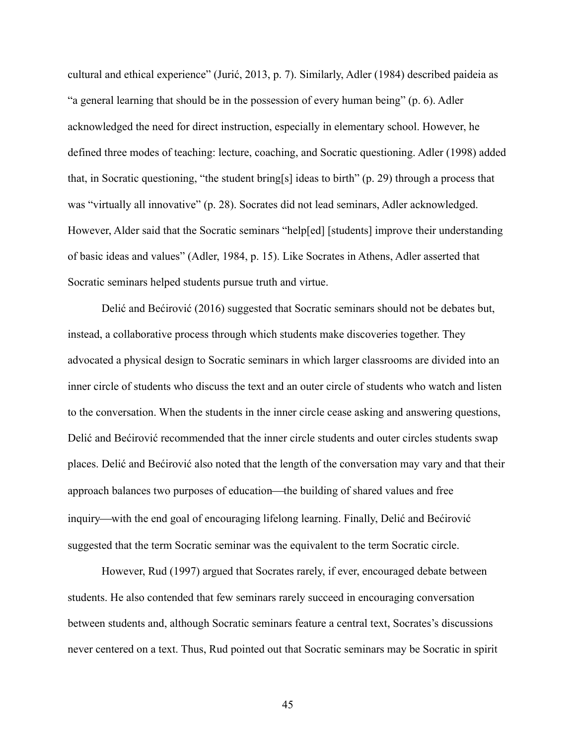cultural and ethical experience" (Jurić, 2013, p. 7). Similarly, Adler (1984) described paideia as "a general learning that should be in the possession of every human being" (p. 6). Adler acknowledged the need for direct instruction, especially in elementary school. However, he defined three modes of teaching: lecture, coaching, and Socratic questioning. Adler (1998) added that, in Socratic questioning, "the student bring[s] ideas to birth" (p. 29) through a process that was "virtually all innovative" (p. 28). Socrates did not lead seminars, Adler acknowledged. However, Alder said that the Socratic seminars "help[ed] [students] improve their understanding of basic ideas and values" (Adler, 1984, p. 15). Like Socrates in Athens, Adler asserted that Socratic seminars helped students pursue truth and virtue.

Delić and Bećirović (2016) suggested that Socratic seminars should not be debates but, instead, a collaborative process through which students make discoveries together. They advocated a physical design to Socratic seminars in which larger classrooms are divided into an inner circle of students who discuss the text and an outer circle of students who watch and listen to the conversation. When the students in the inner circle cease asking and answering questions, Delić and Bećirović recommended that the inner circle students and outer circles students swap places. Delić and Bećirović also noted that the length of the conversation may vary and that their approach balances two purposes of education—the building of shared values and free inquiry—with the end goal of encouraging lifelong learning. Finally, Delić and Bećirović suggested that the term Socratic seminar was the equivalent to the term Socratic circle.

However, Rud (1997) argued that Socrates rarely, if ever, encouraged debate between students. He also contended that few seminars rarely succeed in encouraging conversation between students and, although Socratic seminars feature a central text, Socrates's discussions never centered on a text. Thus, Rud pointed out that Socratic seminars may be Socratic in spirit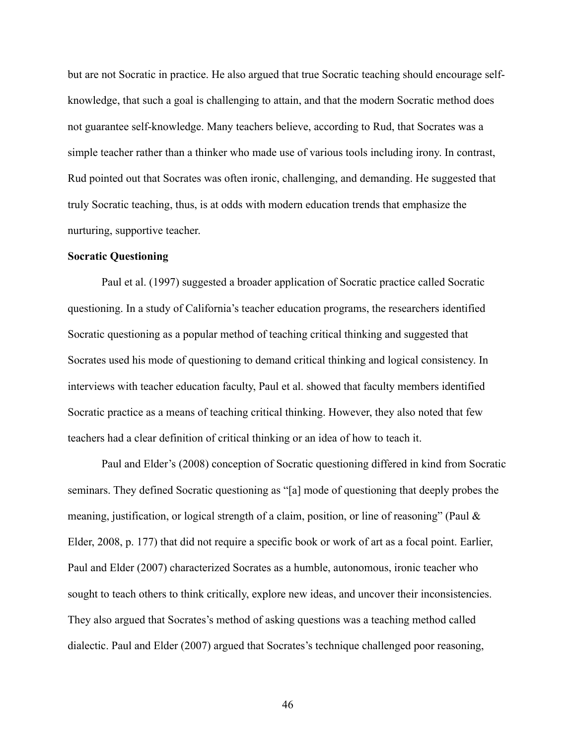but are not Socratic in practice. He also argued that true Socratic teaching should encourage selfknowledge, that such a goal is challenging to attain, and that the modern Socratic method does not guarantee self-knowledge. Many teachers believe, according to Rud, that Socrates was a simple teacher rather than a thinker who made use of various tools including irony. In contrast, Rud pointed out that Socrates was often ironic, challenging, and demanding. He suggested that truly Socratic teaching, thus, is at odds with modern education trends that emphasize the nurturing, supportive teacher.

### **Socratic Questioning**

Paul et al. (1997) suggested a broader application of Socratic practice called Socratic questioning. In a study of California's teacher education programs, the researchers identified Socratic questioning as a popular method of teaching critical thinking and suggested that Socrates used his mode of questioning to demand critical thinking and logical consistency. In interviews with teacher education faculty, Paul et al. showed that faculty members identified Socratic practice as a means of teaching critical thinking. However, they also noted that few teachers had a clear definition of critical thinking or an idea of how to teach it.

Paul and Elder's (2008) conception of Socratic questioning differed in kind from Socratic seminars. They defined Socratic questioning as "[a] mode of questioning that deeply probes the meaning, justification, or logical strength of a claim, position, or line of reasoning" (Paul & Elder, 2008, p. 177) that did not require a specific book or work of art as a focal point. Earlier, Paul and Elder (2007) characterized Socrates as a humble, autonomous, ironic teacher who sought to teach others to think critically, explore new ideas, and uncover their inconsistencies. They also argued that Socrates's method of asking questions was a teaching method called dialectic. Paul and Elder (2007) argued that Socrates's technique challenged poor reasoning,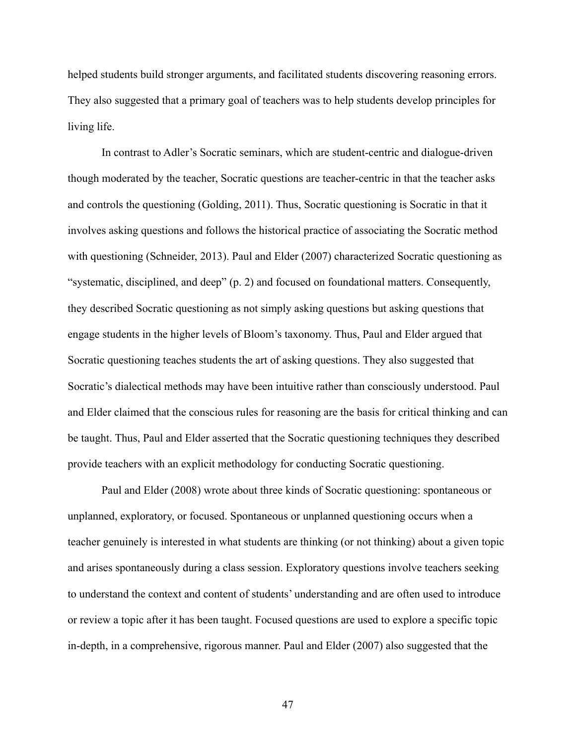helped students build stronger arguments, and facilitated students discovering reasoning errors. They also suggested that a primary goal of teachers was to help students develop principles for living life.

In contrast to Adler's Socratic seminars, which are student-centric and dialogue-driven though moderated by the teacher, Socratic questions are teacher-centric in that the teacher asks and controls the questioning (Golding, 2011). Thus, Socratic questioning is Socratic in that it involves asking questions and follows the historical practice of associating the Socratic method with questioning (Schneider, 2013). Paul and Elder (2007) characterized Socratic questioning as "systematic, disciplined, and deep" (p. 2) and focused on foundational matters. Consequently, they described Socratic questioning as not simply asking questions but asking questions that engage students in the higher levels of Bloom's taxonomy. Thus, Paul and Elder argued that Socratic questioning teaches students the art of asking questions. They also suggested that Socratic's dialectical methods may have been intuitive rather than consciously understood. Paul and Elder claimed that the conscious rules for reasoning are the basis for critical thinking and can be taught. Thus, Paul and Elder asserted that the Socratic questioning techniques they described provide teachers with an explicit methodology for conducting Socratic questioning.

Paul and Elder (2008) wrote about three kinds of Socratic questioning: spontaneous or unplanned, exploratory, or focused. Spontaneous or unplanned questioning occurs when a teacher genuinely is interested in what students are thinking (or not thinking) about a given topic and arises spontaneously during a class session. Exploratory questions involve teachers seeking to understand the context and content of students' understanding and are often used to introduce or review a topic after it has been taught. Focused questions are used to explore a specific topic in-depth, in a comprehensive, rigorous manner. Paul and Elder (2007) also suggested that the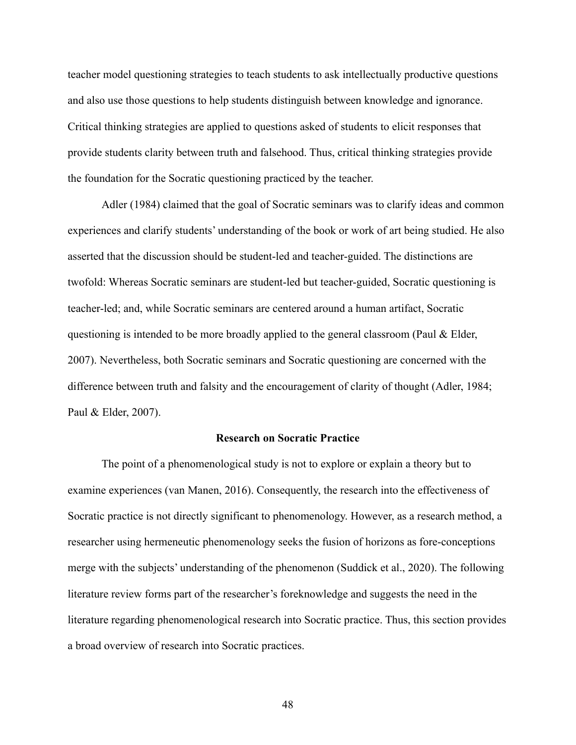teacher model questioning strategies to teach students to ask intellectually productive questions and also use those questions to help students distinguish between knowledge and ignorance. Critical thinking strategies are applied to questions asked of students to elicit responses that provide students clarity between truth and falsehood. Thus, critical thinking strategies provide the foundation for the Socratic questioning practiced by the teacher.

Adler (1984) claimed that the goal of Socratic seminars was to clarify ideas and common experiences and clarify students' understanding of the book or work of art being studied. He also asserted that the discussion should be student-led and teacher-guided. The distinctions are twofold: Whereas Socratic seminars are student-led but teacher-guided, Socratic questioning is teacher-led; and, while Socratic seminars are centered around a human artifact, Socratic questioning is intended to be more broadly applied to the general classroom (Paul & Elder, 2007). Nevertheless, both Socratic seminars and Socratic questioning are concerned with the difference between truth and falsity and the encouragement of clarity of thought (Adler, 1984; Paul & Elder, 2007).

#### **Research on Socratic Practice**

The point of a phenomenological study is not to explore or explain a theory but to examine experiences (van Manen, 2016). Consequently, the research into the effectiveness of Socratic practice is not directly significant to phenomenology. However, as a research method, a researcher using hermeneutic phenomenology seeks the fusion of horizons as fore-conceptions merge with the subjects' understanding of the phenomenon (Suddick et al., 2020). The following literature review forms part of the researcher's foreknowledge and suggests the need in the literature regarding phenomenological research into Socratic practice. Thus, this section provides a broad overview of research into Socratic practices.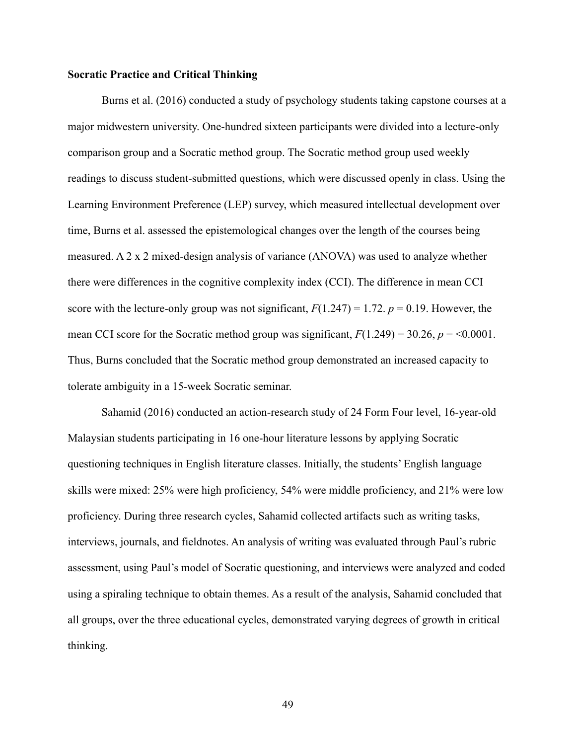## **Socratic Practice and Critical Thinking**

Burns et al. (2016) conducted a study of psychology students taking capstone courses at a major midwestern university. One-hundred sixteen participants were divided into a lecture-only comparison group and a Socratic method group. The Socratic method group used weekly readings to discuss student-submitted questions, which were discussed openly in class. Using the Learning Environment Preference (LEP) survey, which measured intellectual development over time, Burns et al. assessed the epistemological changes over the length of the courses being measured. A 2 x 2 mixed-design analysis of variance (ANOVA) was used to analyze whether there were differences in the cognitive complexity index (CCI). The difference in mean CCI score with the lecture-only group was not significant,  $F(1.247) = 1.72$ .  $p = 0.19$ . However, the mean CCI score for the Socratic method group was significant,  $F(1.249) = 30.26$ ,  $p = 0.0001$ . Thus, Burns concluded that the Socratic method group demonstrated an increased capacity to tolerate ambiguity in a 15-week Socratic seminar.

Sahamid (2016) conducted an action-research study of 24 Form Four level, 16-year-old Malaysian students participating in 16 one-hour literature lessons by applying Socratic questioning techniques in English literature classes. Initially, the students' English language skills were mixed: 25% were high proficiency, 54% were middle proficiency, and 21% were low proficiency. During three research cycles, Sahamid collected artifacts such as writing tasks, interviews, journals, and fieldnotes. An analysis of writing was evaluated through Paul's rubric assessment, using Paul's model of Socratic questioning, and interviews were analyzed and coded using a spiraling technique to obtain themes. As a result of the analysis, Sahamid concluded that all groups, over the three educational cycles, demonstrated varying degrees of growth in critical thinking.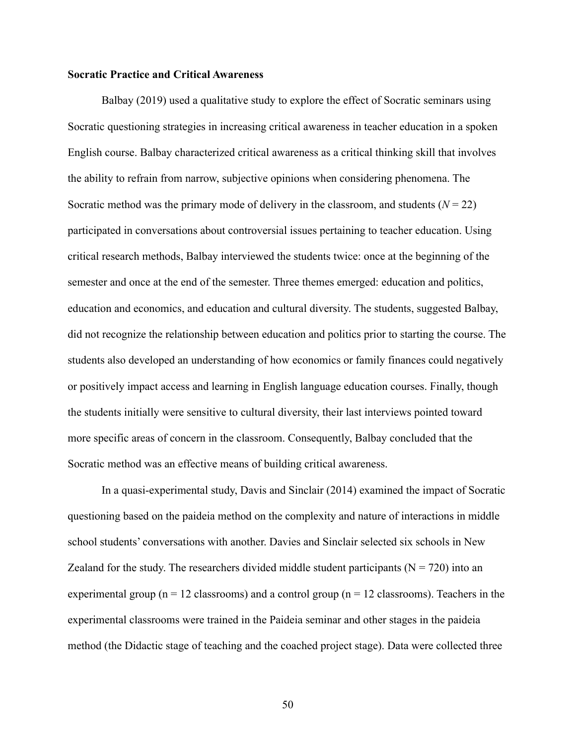# **Socratic Practice and Critical Awareness**

Balbay (2019) used a qualitative study to explore the effect of Socratic seminars using Socratic questioning strategies in increasing critical awareness in teacher education in a spoken English course. Balbay characterized critical awareness as a critical thinking skill that involves the ability to refrain from narrow, subjective opinions when considering phenomena. The Socratic method was the primary mode of delivery in the classroom, and students  $(N = 22)$ participated in conversations about controversial issues pertaining to teacher education. Using critical research methods, Balbay interviewed the students twice: once at the beginning of the semester and once at the end of the semester. Three themes emerged: education and politics, education and economics, and education and cultural diversity. The students, suggested Balbay, did not recognize the relationship between education and politics prior to starting the course. The students also developed an understanding of how economics or family finances could negatively or positively impact access and learning in English language education courses. Finally, though the students initially were sensitive to cultural diversity, their last interviews pointed toward more specific areas of concern in the classroom. Consequently, Balbay concluded that the Socratic method was an effective means of building critical awareness.

In a quasi-experimental study, Davis and Sinclair (2014) examined the impact of Socratic questioning based on the paideia method on the complexity and nature of interactions in middle school students' conversations with another. Davies and Sinclair selected six schools in New Zealand for the study. The researchers divided middle student participants ( $N = 720$ ) into an experimental group ( $n = 12$  classrooms) and a control group ( $n = 12$  classrooms). Teachers in the experimental classrooms were trained in the Paideia seminar and other stages in the paideia method (the Didactic stage of teaching and the coached project stage). Data were collected three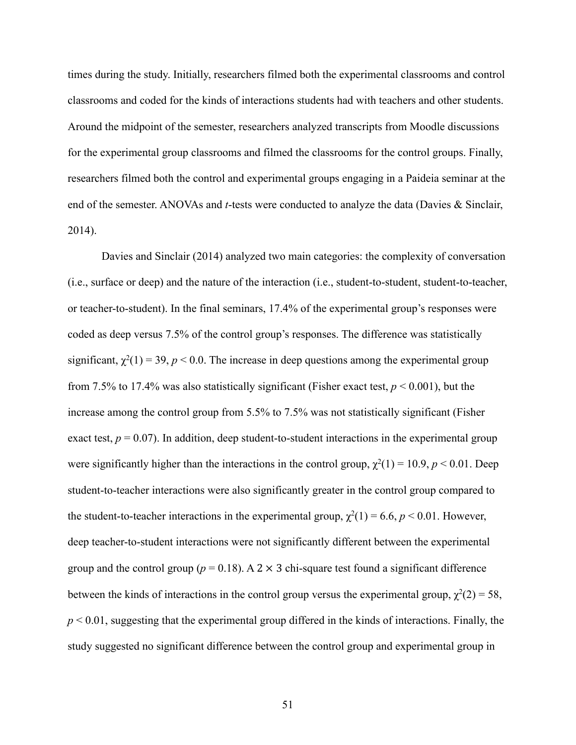times during the study. Initially, researchers filmed both the experimental classrooms and control classrooms and coded for the kinds of interactions students had with teachers and other students. Around the midpoint of the semester, researchers analyzed transcripts from Moodle discussions for the experimental group classrooms and filmed the classrooms for the control groups. Finally, researchers filmed both the control and experimental groups engaging in a Paideia seminar at the end of the semester. ANOVAs and *t*-tests were conducted to analyze the data (Davies & Sinclair, 2014).

Davies and Sinclair (2014) analyzed two main categories: the complexity of conversation (i.e., surface or deep) and the nature of the interaction (i.e., student-to-student, student-to-teacher, or teacher-to-student). In the final seminars, 17.4% of the experimental group's responses were coded as deep versus 7.5% of the control group's responses. The difference was statistically significant,  $\chi^2(1) = 39$ ,  $p < 0.0$ . The increase in deep questions among the experimental group from 7.5% to 17.4% was also statistically significant (Fisher exact test,  $p < 0.001$ ), but the increase among the control group from 5.5% to 7.5% was not statistically significant (Fisher exact test,  $p = 0.07$ ). In addition, deep student-to-student interactions in the experimental group were significantly higher than the interactions in the control group,  $\chi^2(1) = 10.9$ ,  $p < 0.01$ . Deep student-to-teacher interactions were also significantly greater in the control group compared to the student-to-teacher interactions in the experimental group,  $\chi^2(1) = 6.6$ ,  $p < 0.01$ . However, deep teacher-to-student interactions were not significantly different between the experimental group and the control group ( $p = 0.18$ ). A 2  $\times$  3 chi-square test found a significant difference between the kinds of interactions in the control group versus the experimental group,  $\chi^2(2) = 58$ ,  $p < 0.01$ , suggesting that the experimental group differed in the kinds of interactions. Finally, the study suggested no significant difference between the control group and experimental group in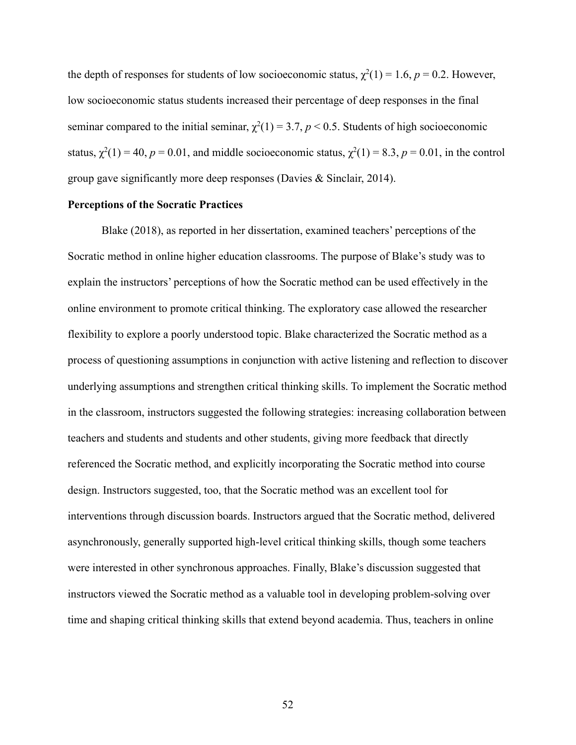the depth of responses for students of low socioeconomic status,  $\chi^2(1) = 1.6$ ,  $p = 0.2$ . However, low socioeconomic status students increased their percentage of deep responses in the final seminar compared to the initial seminar,  $\chi^2(1) = 3.7$ ,  $p < 0.5$ . Students of high socioeconomic status,  $\chi^2(1) = 40$ ,  $p = 0.01$ , and middle socioeconomic status,  $\chi^2(1) = 8.3$ ,  $p = 0.01$ , in the control group gave significantly more deep responses (Davies & Sinclair, 2014).

### **Perceptions of the Socratic Practices**

Blake (2018), as reported in her dissertation, examined teachers' perceptions of the Socratic method in online higher education classrooms. The purpose of Blake's study was to explain the instructors' perceptions of how the Socratic method can be used effectively in the online environment to promote critical thinking. The exploratory case allowed the researcher flexibility to explore a poorly understood topic. Blake characterized the Socratic method as a process of questioning assumptions in conjunction with active listening and reflection to discover underlying assumptions and strengthen critical thinking skills. To implement the Socratic method in the classroom, instructors suggested the following strategies: increasing collaboration between teachers and students and students and other students, giving more feedback that directly referenced the Socratic method, and explicitly incorporating the Socratic method into course design. Instructors suggested, too, that the Socratic method was an excellent tool for interventions through discussion boards. Instructors argued that the Socratic method, delivered asynchronously, generally supported high-level critical thinking skills, though some teachers were interested in other synchronous approaches. Finally, Blake's discussion suggested that instructors viewed the Socratic method as a valuable tool in developing problem-solving over time and shaping critical thinking skills that extend beyond academia. Thus, teachers in online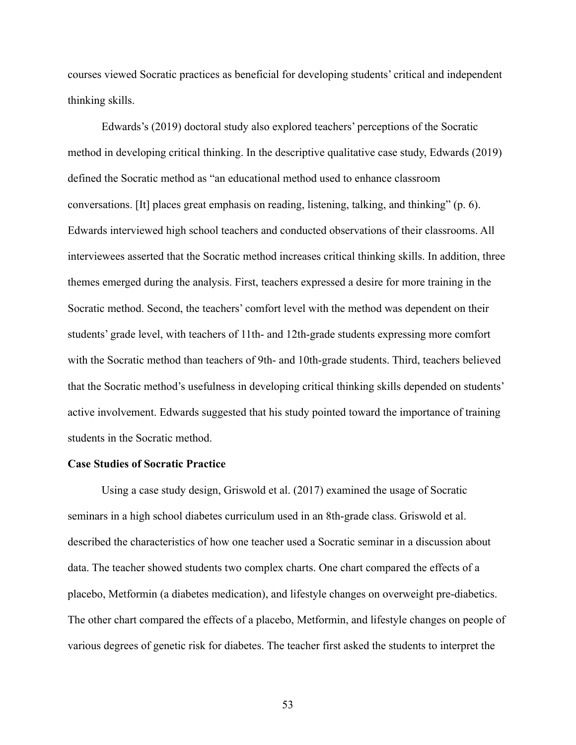courses viewed Socratic practices as beneficial for developing students' critical and independent thinking skills.

Edwards's (2019) doctoral study also explored teachers' perceptions of the Socratic method in developing critical thinking. In the descriptive qualitative case study, Edwards (2019) defined the Socratic method as "an educational method used to enhance classroom conversations. [It] places great emphasis on reading, listening, talking, and thinking" (p. 6). Edwards interviewed high school teachers and conducted observations of their classrooms. All interviewees asserted that the Socratic method increases critical thinking skills. In addition, three themes emerged during the analysis. First, teachers expressed a desire for more training in the Socratic method. Second, the teachers' comfort level with the method was dependent on their students' grade level, with teachers of 11th- and 12th-grade students expressing more comfort with the Socratic method than teachers of 9th- and 10th-grade students. Third, teachers believed that the Socratic method's usefulness in developing critical thinking skills depended on students' active involvement. Edwards suggested that his study pointed toward the importance of training students in the Socratic method.

### **Case Studies of Socratic Practice**

Using a case study design, Griswold et al. (2017) examined the usage of Socratic seminars in a high school diabetes curriculum used in an 8th-grade class. Griswold et al. described the characteristics of how one teacher used a Socratic seminar in a discussion about data. The teacher showed students two complex charts. One chart compared the effects of a placebo, Metformin (a diabetes medication), and lifestyle changes on overweight pre-diabetics. The other chart compared the effects of a placebo, Metformin, and lifestyle changes on people of various degrees of genetic risk for diabetes. The teacher first asked the students to interpret the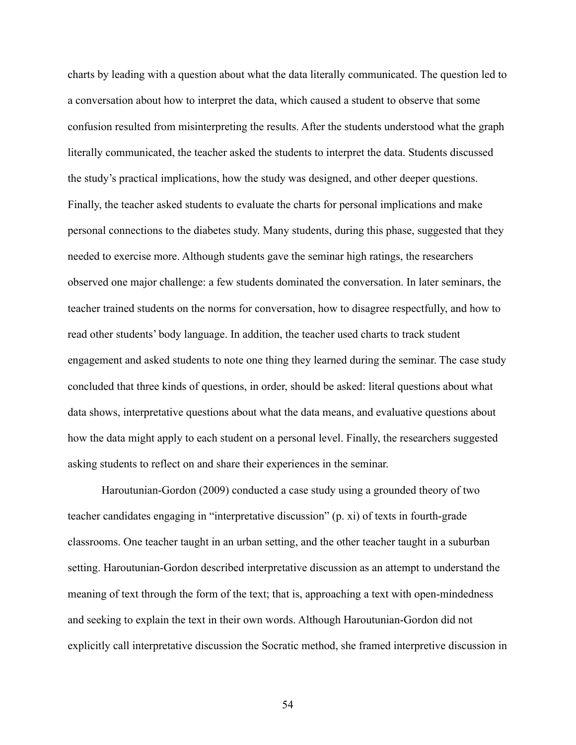charts by leading with a question about what the data literally communicated. The question led to a conversation about how to interpret the data, which caused a student to observe that some confusion resulted from misinterpreting the results. After the students understood what the graph literally communicated, the teacher asked the students to interpret the data. Students discussed the study's practical implications, how the study was designed, and other deeper questions. Finally, the teacher asked students to evaluate the charts for personal implications and make personal connections to the diabetes study. Many students, during this phase, suggested that they needed to exercise more. Although students gave the seminar high ratings, the researchers observed one major challenge: a few students dominated the conversation. In later seminars, the teacher trained students on the norms for conversation, how to disagree respectfully, and how to read other students' body language. In addition, the teacher used charts to track student engagement and asked students to note one thing they learned during the seminar. The case study concluded that three kinds of questions, in order, should be asked: literal questions about what data shows, interpretative questions about what the data means, and evaluative questions about how the data might apply to each student on a personal level. Finally, the researchers suggested asking students to reflect on and share their experiences in the seminar.

Haroutunian-Gordon (2009) conducted a case study using a grounded theory of two teacher candidates engaging in "interpretative discussion" (p. xi) of texts in fourth-grade classrooms. One teacher taught in an urban setting, and the other teacher taught in a suburban setting. Haroutunian-Gordon described interpretative discussion as an attempt to understand the meaning of text through the form of the text; that is, approaching a text with open-mindedness and seeking to explain the text in their own words. Although Haroutunian-Gordon did not explicitly call interpretative discussion the Socratic method, she framed interpretive discussion in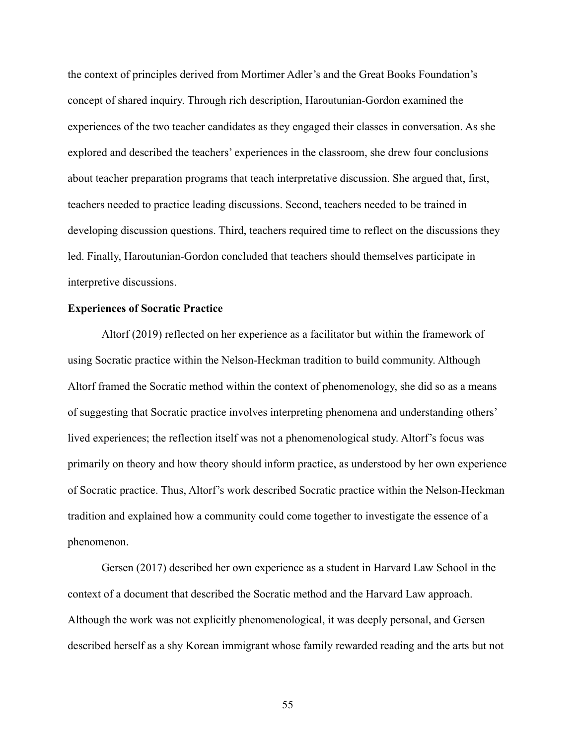the context of principles derived from Mortimer Adler's and the Great Books Foundation's concept of shared inquiry. Through rich description, Haroutunian-Gordon examined the experiences of the two teacher candidates as they engaged their classes in conversation. As she explored and described the teachers' experiences in the classroom, she drew four conclusions about teacher preparation programs that teach interpretative discussion. She argued that, first, teachers needed to practice leading discussions. Second, teachers needed to be trained in developing discussion questions. Third, teachers required time to reflect on the discussions they led. Finally, Haroutunian-Gordon concluded that teachers should themselves participate in interpretive discussions.

# **Experiences of Socratic Practice**

Altorf (2019) reflected on her experience as a facilitator but within the framework of using Socratic practice within the Nelson-Heckman tradition to build community. Although Altorf framed the Socratic method within the context of phenomenology, she did so as a means of suggesting that Socratic practice involves interpreting phenomena and understanding others' lived experiences; the reflection itself was not a phenomenological study. Altorf's focus was primarily on theory and how theory should inform practice, as understood by her own experience of Socratic practice. Thus, Altorf's work described Socratic practice within the Nelson-Heckman tradition and explained how a community could come together to investigate the essence of a phenomenon.

Gersen (2017) described her own experience as a student in Harvard Law School in the context of a document that described the Socratic method and the Harvard Law approach. Although the work was not explicitly phenomenological, it was deeply personal, and Gersen described herself as a shy Korean immigrant whose family rewarded reading and the arts but not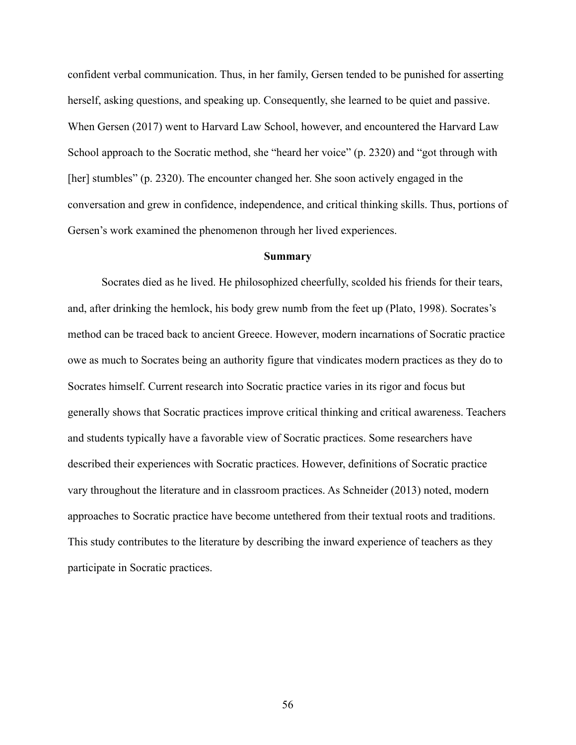confident verbal communication. Thus, in her family, Gersen tended to be punished for asserting herself, asking questions, and speaking up. Consequently, she learned to be quiet and passive. When Gersen (2017) went to Harvard Law School, however, and encountered the Harvard Law School approach to the Socratic method, she "heard her voice" (p. 2320) and "got through with [her] stumbles" (p. 2320). The encounter changed her. She soon actively engaged in the conversation and grew in confidence, independence, and critical thinking skills. Thus, portions of Gersen's work examined the phenomenon through her lived experiences.

### **Summary**

Socrates died as he lived. He philosophized cheerfully, scolded his friends for their tears, and, after drinking the hemlock, his body grew numb from the feet up (Plato, 1998). Socrates's method can be traced back to ancient Greece. However, modern incarnations of Socratic practice owe as much to Socrates being an authority figure that vindicates modern practices as they do to Socrates himself. Current research into Socratic practice varies in its rigor and focus but generally shows that Socratic practices improve critical thinking and critical awareness. Teachers and students typically have a favorable view of Socratic practices. Some researchers have described their experiences with Socratic practices. However, definitions of Socratic practice vary throughout the literature and in classroom practices. As Schneider (2013) noted, modern approaches to Socratic practice have become untethered from their textual roots and traditions. This study contributes to the literature by describing the inward experience of teachers as they participate in Socratic practices.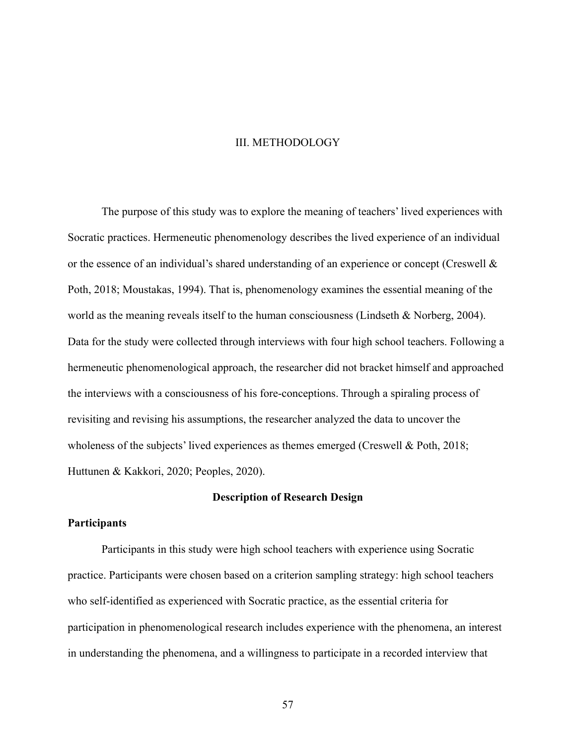### III. METHODOLOGY

The purpose of this study was to explore the meaning of teachers' lived experiences with Socratic practices. Hermeneutic phenomenology describes the lived experience of an individual or the essence of an individual's shared understanding of an experience or concept (Creswell & Poth, 2018; Moustakas, 1994). That is, phenomenology examines the essential meaning of the world as the meaning reveals itself to the human consciousness (Lindseth & Norberg, 2004). Data for the study were collected through interviews with four high school teachers. Following a hermeneutic phenomenological approach, the researcher did not bracket himself and approached the interviews with a consciousness of his fore-conceptions. Through a spiraling process of revisiting and revising his assumptions, the researcher analyzed the data to uncover the wholeness of the subjects' lived experiences as themes emerged (Creswell & Poth, 2018; Huttunen & Kakkori, 2020; Peoples, 2020).

### **Description of Research Design**

# **Participants**

Participants in this study were high school teachers with experience using Socratic practice. Participants were chosen based on a criterion sampling strategy: high school teachers who self-identified as experienced with Socratic practice, as the essential criteria for participation in phenomenological research includes experience with the phenomena, an interest in understanding the phenomena, and a willingness to participate in a recorded interview that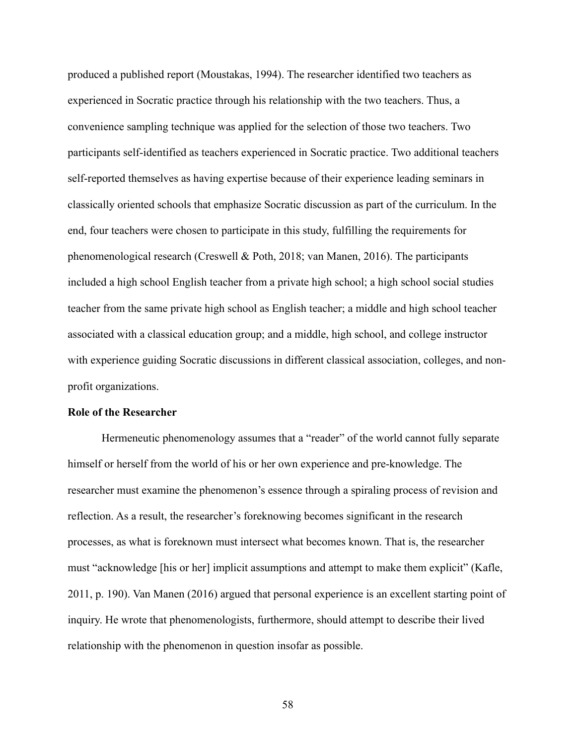produced a published report (Moustakas, 1994). The researcher identified two teachers as experienced in Socratic practice through his relationship with the two teachers. Thus, a convenience sampling technique was applied for the selection of those two teachers. Two participants self-identified as teachers experienced in Socratic practice. Two additional teachers self-reported themselves as having expertise because of their experience leading seminars in classically oriented schools that emphasize Socratic discussion as part of the curriculum. In the end, four teachers were chosen to participate in this study, fulfilling the requirements for phenomenological research (Creswell & Poth, 2018; van Manen, 2016). The participants included a high school English teacher from a private high school; a high school social studies teacher from the same private high school as English teacher; a middle and high school teacher associated with a classical education group; and a middle, high school, and college instructor with experience guiding Socratic discussions in different classical association, colleges, and nonprofit organizations.

#### **Role of the Researcher**

Hermeneutic phenomenology assumes that a "reader" of the world cannot fully separate himself or herself from the world of his or her own experience and pre-knowledge. The researcher must examine the phenomenon's essence through a spiraling process of revision and reflection. As a result, the researcher's foreknowing becomes significant in the research processes, as what is foreknown must intersect what becomes known. That is, the researcher must "acknowledge [his or her] implicit assumptions and attempt to make them explicit" (Kafle, 2011, p. 190). Van Manen (2016) argued that personal experience is an excellent starting point of inquiry. He wrote that phenomenologists, furthermore, should attempt to describe their lived relationship with the phenomenon in question insofar as possible.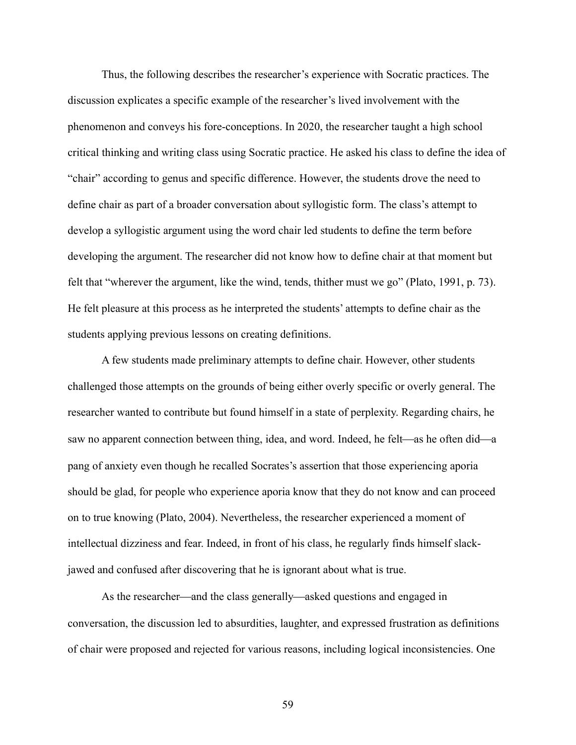Thus, the following describes the researcher's experience with Socratic practices. The discussion explicates a specific example of the researcher's lived involvement with the phenomenon and conveys his fore-conceptions. In 2020, the researcher taught a high school critical thinking and writing class using Socratic practice. He asked his class to define the idea of "chair" according to genus and specific difference. However, the students drove the need to define chair as part of a broader conversation about syllogistic form. The class's attempt to develop a syllogistic argument using the word chair led students to define the term before developing the argument. The researcher did not know how to define chair at that moment but felt that "wherever the argument, like the wind, tends, thither must we go" (Plato, 1991, p. 73). He felt pleasure at this process as he interpreted the students' attempts to define chair as the students applying previous lessons on creating definitions.

A few students made preliminary attempts to define chair. However, other students challenged those attempts on the grounds of being either overly specific or overly general. The researcher wanted to contribute but found himself in a state of perplexity. Regarding chairs, he saw no apparent connection between thing, idea, and word. Indeed, he felt—as he often did—a pang of anxiety even though he recalled Socrates's assertion that those experiencing aporia should be glad, for people who experience aporia know that they do not know and can proceed on to true knowing (Plato, 2004). Nevertheless, the researcher experienced a moment of intellectual dizziness and fear. Indeed, in front of his class, he regularly finds himself slackjawed and confused after discovering that he is ignorant about what is true.

As the researcher—and the class generally—asked questions and engaged in conversation, the discussion led to absurdities, laughter, and expressed frustration as definitions of chair were proposed and rejected for various reasons, including logical inconsistencies. One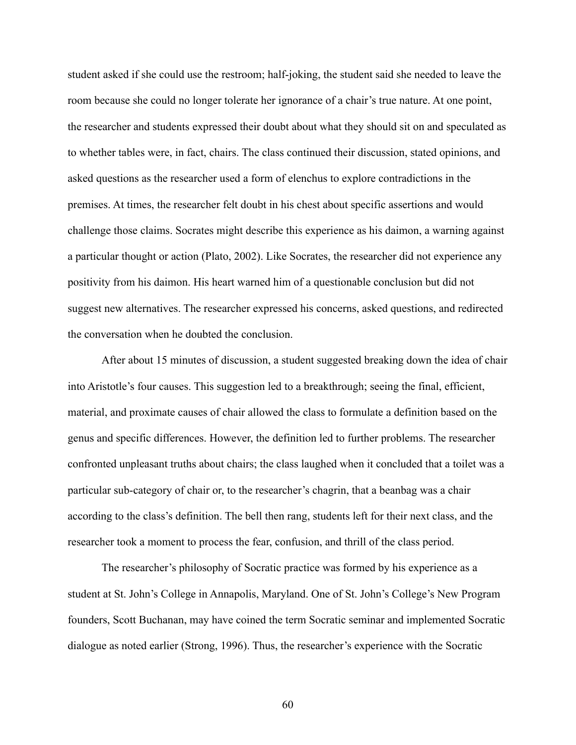student asked if she could use the restroom; half-joking, the student said she needed to leave the room because she could no longer tolerate her ignorance of a chair's true nature. At one point, the researcher and students expressed their doubt about what they should sit on and speculated as to whether tables were, in fact, chairs. The class continued their discussion, stated opinions, and asked questions as the researcher used a form of elenchus to explore contradictions in the premises. At times, the researcher felt doubt in his chest about specific assertions and would challenge those claims. Socrates might describe this experience as his daimon, a warning against a particular thought or action (Plato, 2002). Like Socrates, the researcher did not experience any positivity from his daimon. His heart warned him of a questionable conclusion but did not suggest new alternatives. The researcher expressed his concerns, asked questions, and redirected the conversation when he doubted the conclusion.

After about 15 minutes of discussion, a student suggested breaking down the idea of chair into Aristotle's four causes. This suggestion led to a breakthrough; seeing the final, efficient, material, and proximate causes of chair allowed the class to formulate a definition based on the genus and specific differences. However, the definition led to further problems. The researcher confronted unpleasant truths about chairs; the class laughed when it concluded that a toilet was a particular sub-category of chair or, to the researcher's chagrin, that a beanbag was a chair according to the class's definition. The bell then rang, students left for their next class, and the researcher took a moment to process the fear, confusion, and thrill of the class period.

The researcher's philosophy of Socratic practice was formed by his experience as a student at St. John's College in Annapolis, Maryland. One of St. John's College's New Program founders, Scott Buchanan, may have coined the term Socratic seminar and implemented Socratic dialogue as noted earlier (Strong, 1996). Thus, the researcher's experience with the Socratic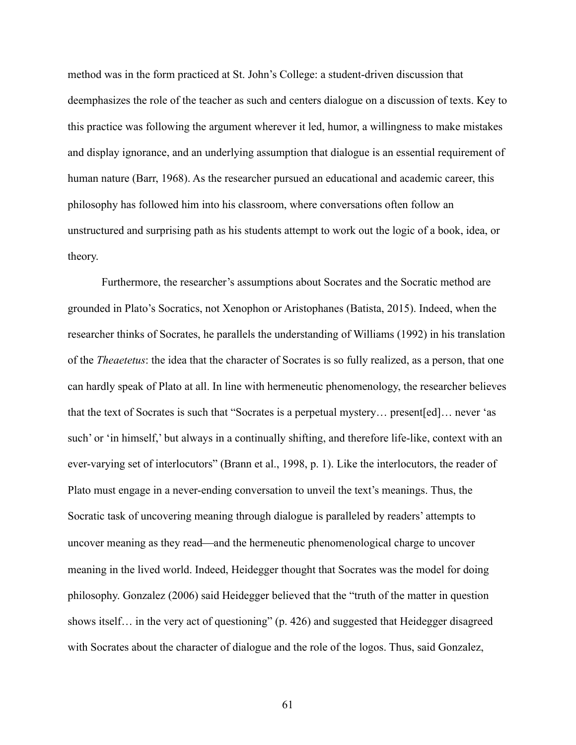method was in the form practiced at St. John's College: a student-driven discussion that deemphasizes the role of the teacher as such and centers dialogue on a discussion of texts. Key to this practice was following the argument wherever it led, humor, a willingness to make mistakes and display ignorance, and an underlying assumption that dialogue is an essential requirement of human nature (Barr, 1968). As the researcher pursued an educational and academic career, this philosophy has followed him into his classroom, where conversations often follow an unstructured and surprising path as his students attempt to work out the logic of a book, idea, or theory.

Furthermore, the researcher's assumptions about Socrates and the Socratic method are grounded in Plato's Socratics, not Xenophon or Aristophanes (Batista, 2015). Indeed, when the researcher thinks of Socrates, he parallels the understanding of Williams (1992) in his translation of the *Theaetetus*: the idea that the character of Socrates is so fully realized, as a person, that one can hardly speak of Plato at all. In line with hermeneutic phenomenology, the researcher believes that the text of Socrates is such that "Socrates is a perpetual mystery… present[ed]… never 'as such' or 'in himself,' but always in a continually shifting, and therefore life-like, context with an ever-varying set of interlocutors" (Brann et al., 1998, p. 1). Like the interlocutors, the reader of Plato must engage in a never-ending conversation to unveil the text's meanings. Thus, the Socratic task of uncovering meaning through dialogue is paralleled by readers' attempts to uncover meaning as they read—and the hermeneutic phenomenological charge to uncover meaning in the lived world. Indeed, Heidegger thought that Socrates was the model for doing philosophy. Gonzalez (2006) said Heidegger believed that the "truth of the matter in question shows itself... in the very act of questioning" (p. 426) and suggested that Heidegger disagreed with Socrates about the character of dialogue and the role of the logos. Thus, said Gonzalez,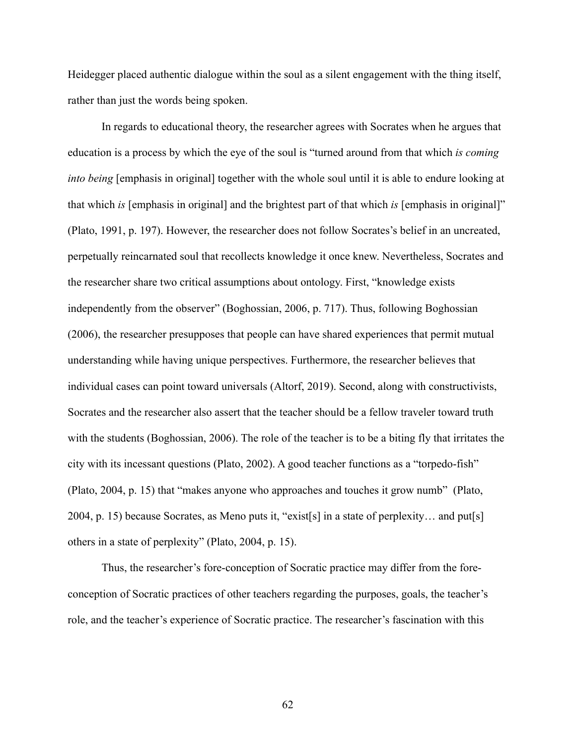Heidegger placed authentic dialogue within the soul as a silent engagement with the thing itself, rather than just the words being spoken.

In regards to educational theory, the researcher agrees with Socrates when he argues that education is a process by which the eye of the soul is "turned around from that which *is coming into being* [emphasis in original] together with the whole soul until it is able to endure looking at that which *is* [emphasis in original] and the brightest part of that which *is* [emphasis in original]" (Plato, 1991, p. 197). However, the researcher does not follow Socrates's belief in an uncreated, perpetually reincarnated soul that recollects knowledge it once knew. Nevertheless, Socrates and the researcher share two critical assumptions about ontology. First, "knowledge exists independently from the observer" (Boghossian, 2006, p. 717). Thus, following Boghossian (2006), the researcher presupposes that people can have shared experiences that permit mutual understanding while having unique perspectives. Furthermore, the researcher believes that individual cases can point toward universals (Altorf, 2019). Second, along with constructivists, Socrates and the researcher also assert that the teacher should be a fellow traveler toward truth with the students (Boghossian, 2006). The role of the teacher is to be a biting fly that irritates the city with its incessant questions (Plato, 2002). A good teacher functions as a "torpedo-fish" (Plato, 2004, p. 15) that "makes anyone who approaches and touches it grow numb" (Plato, 2004, p. 15) because Socrates, as Meno puts it, "exist[s] in a state of perplexity… and put[s] others in a state of perplexity" (Plato, 2004, p. 15).

Thus, the researcher's fore-conception of Socratic practice may differ from the foreconception of Socratic practices of other teachers regarding the purposes, goals, the teacher's role, and the teacher's experience of Socratic practice. The researcher's fascination with this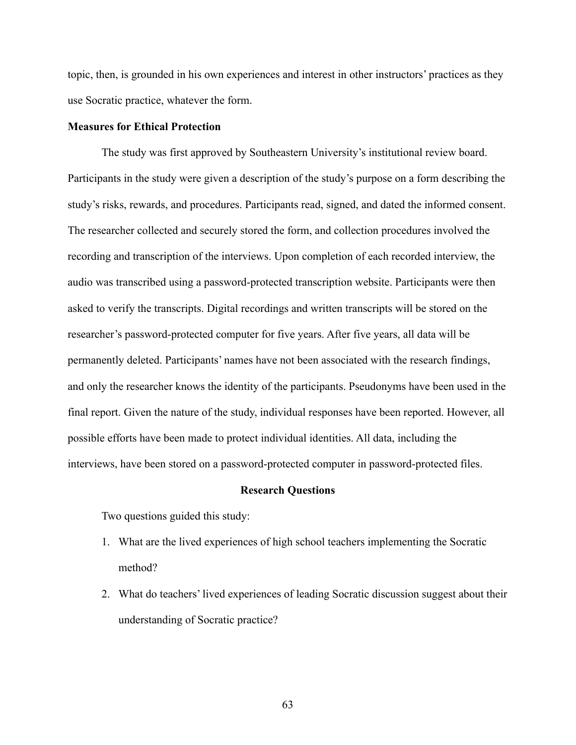topic, then, is grounded in his own experiences and interest in other instructors' practices as they use Socratic practice, whatever the form.

# **Measures for Ethical Protection**

The study was first approved by Southeastern University's institutional review board. Participants in the study were given a description of the study's purpose on a form describing the study's risks, rewards, and procedures. Participants read, signed, and dated the informed consent. The researcher collected and securely stored the form, and collection procedures involved the recording and transcription of the interviews. Upon completion of each recorded interview, the audio was transcribed using a password-protected transcription website. Participants were then asked to verify the transcripts. Digital recordings and written transcripts will be stored on the researcher's password-protected computer for five years. After five years, all data will be permanently deleted. Participants' names have not been associated with the research findings, and only the researcher knows the identity of the participants. Pseudonyms have been used in the final report. Given the nature of the study, individual responses have been reported. However, all possible efforts have been made to protect individual identities. All data, including the interviews, have been stored on a password-protected computer in password-protected files.

#### **Research Questions**

Two questions guided this study:

- 1. What are the lived experiences of high school teachers implementing the Socratic method?
- 2. What do teachers' lived experiences of leading Socratic discussion suggest about their understanding of Socratic practice?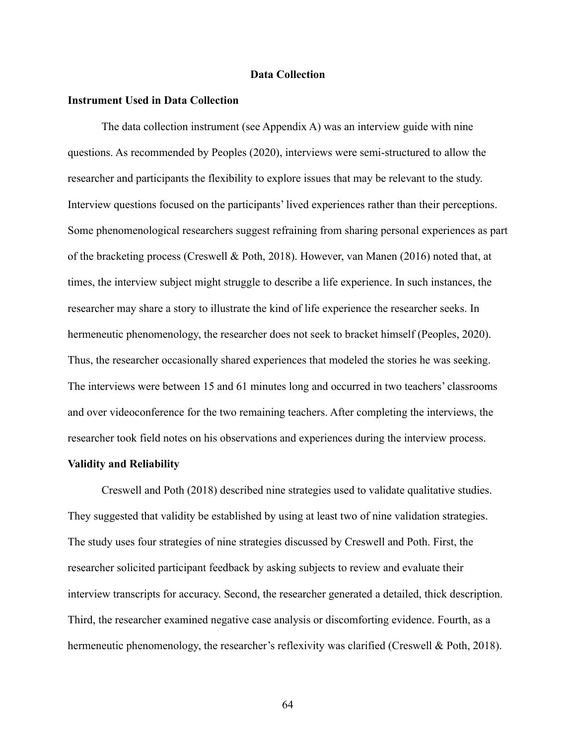## **Data Collection**

### **Instrument Used in Data Collection**

The data collection instrument (see Appendix A) was an interview guide with nine questions. As recommended by Peoples (2020), interviews were semi-structured to allow the researcher and participants the flexibility to explore issues that may be relevant to the study. Interview questions focused on the participants' lived experiences rather than their perceptions. Some phenomenological researchers suggest refraining from sharing personal experiences as part of the bracketing process (Creswell & Poth, 2018). However, van Manen (2016) noted that, at times, the interview subject might struggle to describe a life experience. In such instances, the researcher may share a story to illustrate the kind of life experience the researcher seeks. In hermeneutic phenomenology, the researcher does not seek to bracket himself (Peoples, 2020). Thus, the researcher occasionally shared experiences that modeled the stories he was seeking. The interviews were between 15 and 61 minutes long and occurred in two teachers' classrooms and over videoconference for the two remaining teachers. After completing the interviews, the researcher took field notes on his observations and experiences during the interview process.

#### **Validity and Reliability**

Creswell and Poth (2018) described nine strategies used to validate qualitative studies. They suggested that validity be established by using at least two of nine validation strategies. The study uses four strategies of nine strategies discussed by Creswell and Poth. First, the researcher solicited participant feedback by asking subjects to review and evaluate their interview transcripts for accuracy. Second, the researcher generated a detailed, thick description. Third, the researcher examined negative case analysis or discomforting evidence. Fourth, as a hermeneutic phenomenology, the researcher's reflexivity was clarified (Creswell & Poth, 2018).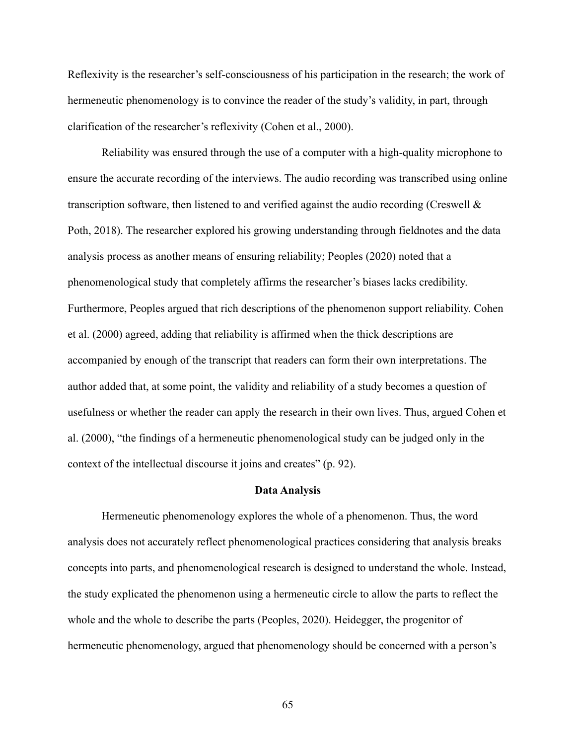Reflexivity is the researcher's self-consciousness of his participation in the research; the work of hermeneutic phenomenology is to convince the reader of the study's validity, in part, through clarification of the researcher's reflexivity (Cohen et al., 2000).

Reliability was ensured through the use of a computer with a high-quality microphone to ensure the accurate recording of the interviews. The audio recording was transcribed using online transcription software, then listened to and verified against the audio recording (Creswell & Poth, 2018). The researcher explored his growing understanding through fieldnotes and the data analysis process as another means of ensuring reliability; Peoples (2020) noted that a phenomenological study that completely affirms the researcher's biases lacks credibility. Furthermore, Peoples argued that rich descriptions of the phenomenon support reliability. Cohen et al. (2000) agreed, adding that reliability is affirmed when the thick descriptions are accompanied by enough of the transcript that readers can form their own interpretations. The author added that, at some point, the validity and reliability of a study becomes a question of usefulness or whether the reader can apply the research in their own lives. Thus, argued Cohen et al. (2000), "the findings of a hermeneutic phenomenological study can be judged only in the context of the intellectual discourse it joins and creates" (p. 92).

#### **Data Analysis**

Hermeneutic phenomenology explores the whole of a phenomenon. Thus, the word analysis does not accurately reflect phenomenological practices considering that analysis breaks concepts into parts, and phenomenological research is designed to understand the whole. Instead, the study explicated the phenomenon using a hermeneutic circle to allow the parts to reflect the whole and the whole to describe the parts (Peoples, 2020). Heidegger, the progenitor of hermeneutic phenomenology, argued that phenomenology should be concerned with a person's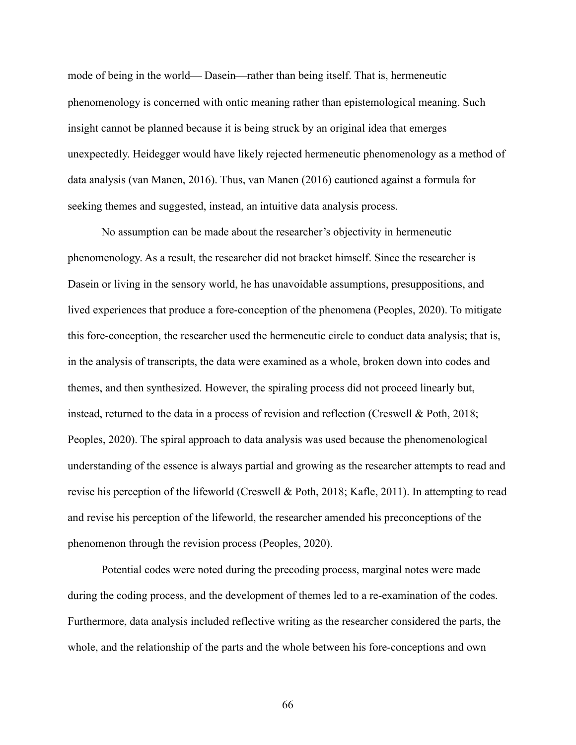mode of being in the world—Dasein—rather than being itself. That is, hermeneutic phenomenology is concerned with ontic meaning rather than epistemological meaning. Such insight cannot be planned because it is being struck by an original idea that emerges unexpectedly. Heidegger would have likely rejected hermeneutic phenomenology as a method of data analysis (van Manen, 2016). Thus, van Manen (2016) cautioned against a formula for seeking themes and suggested, instead, an intuitive data analysis process.

No assumption can be made about the researcher's objectivity in hermeneutic phenomenology. As a result, the researcher did not bracket himself. Since the researcher is Dasein or living in the sensory world, he has unavoidable assumptions, presuppositions, and lived experiences that produce a fore-conception of the phenomena (Peoples, 2020). To mitigate this fore-conception, the researcher used the hermeneutic circle to conduct data analysis; that is, in the analysis of transcripts, the data were examined as a whole, broken down into codes and themes, and then synthesized. However, the spiraling process did not proceed linearly but, instead, returned to the data in a process of revision and reflection (Creswell & Poth, 2018; Peoples, 2020). The spiral approach to data analysis was used because the phenomenological understanding of the essence is always partial and growing as the researcher attempts to read and revise his perception of the lifeworld (Creswell & Poth, 2018; Kafle, 2011). In attempting to read and revise his perception of the lifeworld, the researcher amended his preconceptions of the phenomenon through the revision process (Peoples, 2020).

Potential codes were noted during the precoding process, marginal notes were made during the coding process, and the development of themes led to a re-examination of the codes. Furthermore, data analysis included reflective writing as the researcher considered the parts, the whole, and the relationship of the parts and the whole between his fore-conceptions and own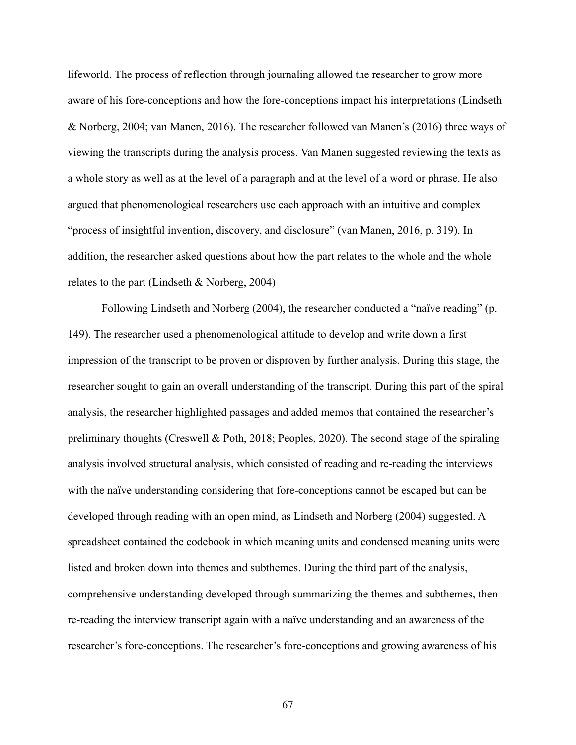lifeworld. The process of reflection through journaling allowed the researcher to grow more aware of his fore-conceptions and how the fore-conceptions impact his interpretations (Lindseth & Norberg, 2004; van Manen, 2016). The researcher followed van Manen's (2016) three ways of viewing the transcripts during the analysis process. Van Manen suggested reviewing the texts as a whole story as well as at the level of a paragraph and at the level of a word or phrase. He also argued that phenomenological researchers use each approach with an intuitive and complex "process of insightful invention, discovery, and disclosure" (van Manen, 2016, p. 319). In addition, the researcher asked questions about how the part relates to the whole and the whole relates to the part (Lindseth & Norberg, 2004)

Following Lindseth and Norberg (2004), the researcher conducted a "naïve reading" (p. 149). The researcher used a phenomenological attitude to develop and write down a first impression of the transcript to be proven or disproven by further analysis. During this stage, the researcher sought to gain an overall understanding of the transcript. During this part of the spiral analysis, the researcher highlighted passages and added memos that contained the researcher's preliminary thoughts (Creswell & Poth, 2018; Peoples, 2020). The second stage of the spiraling analysis involved structural analysis, which consisted of reading and re-reading the interviews with the naïve understanding considering that fore-conceptions cannot be escaped but can be developed through reading with an open mind, as Lindseth and Norberg (2004) suggested. A spreadsheet contained the codebook in which meaning units and condensed meaning units were listed and broken down into themes and subthemes. During the third part of the analysis, comprehensive understanding developed through summarizing the themes and subthemes, then re-reading the interview transcript again with a naïve understanding and an awareness of the researcher's fore-conceptions. The researcher's fore-conceptions and growing awareness of his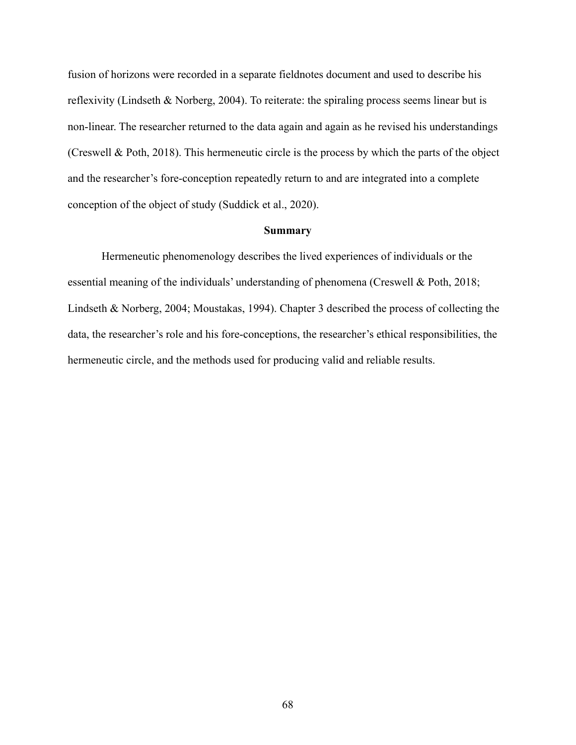fusion of horizons were recorded in a separate fieldnotes document and used to describe his reflexivity (Lindseth & Norberg, 2004). To reiterate: the spiraling process seems linear but is non-linear. The researcher returned to the data again and again as he revised his understandings (Creswell & Poth, 2018). This hermeneutic circle is the process by which the parts of the object and the researcher's fore-conception repeatedly return to and are integrated into a complete conception of the object of study (Suddick et al., 2020).

#### **Summary**

Hermeneutic phenomenology describes the lived experiences of individuals or the essential meaning of the individuals' understanding of phenomena (Creswell & Poth, 2018; Lindseth & Norberg, 2004; Moustakas, 1994). Chapter 3 described the process of collecting the data, the researcher's role and his fore-conceptions, the researcher's ethical responsibilities, the hermeneutic circle, and the methods used for producing valid and reliable results.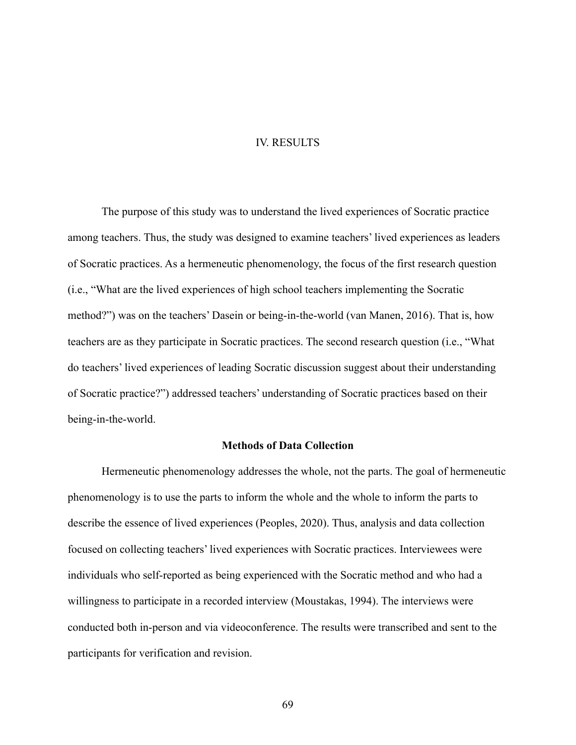### IV. RESULTS

The purpose of this study was to understand the lived experiences of Socratic practice among teachers. Thus, the study was designed to examine teachers' lived experiences as leaders of Socratic practices. As a hermeneutic phenomenology, the focus of the first research question (i.e., "What are the lived experiences of high school teachers implementing the Socratic method?") was on the teachers' Dasein or being-in-the-world (van Manen, 2016). That is, how teachers are as they participate in Socratic practices. The second research question (i.e., "What do teachers' lived experiences of leading Socratic discussion suggest about their understanding of Socratic practice?") addressed teachers' understanding of Socratic practices based on their being-in-the-world.

# **Methods of Data Collection**

Hermeneutic phenomenology addresses the whole, not the parts. The goal of hermeneutic phenomenology is to use the parts to inform the whole and the whole to inform the parts to describe the essence of lived experiences (Peoples, 2020). Thus, analysis and data collection focused on collecting teachers' lived experiences with Socratic practices. Interviewees were individuals who self-reported as being experienced with the Socratic method and who had a willingness to participate in a recorded interview (Moustakas, 1994). The interviews were conducted both in-person and via videoconference. The results were transcribed and sent to the participants for verification and revision.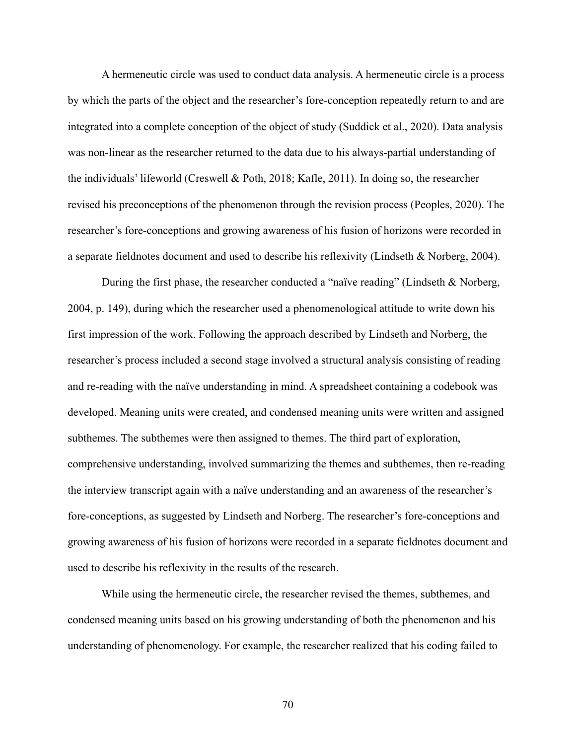A hermeneutic circle was used to conduct data analysis. A hermeneutic circle is a process by which the parts of the object and the researcher's fore-conception repeatedly return to and are integrated into a complete conception of the object of study (Suddick et al., 2020). Data analysis was non-linear as the researcher returned to the data due to his always-partial understanding of the individuals' lifeworld (Creswell & Poth, 2018; Kafle, 2011). In doing so, the researcher revised his preconceptions of the phenomenon through the revision process (Peoples, 2020). The researcher's fore-conceptions and growing awareness of his fusion of horizons were recorded in a separate fieldnotes document and used to describe his reflexivity (Lindseth & Norberg, 2004).

During the first phase, the researcher conducted a "naïve reading" (Lindseth & Norberg, 2004, p. 149), during which the researcher used a phenomenological attitude to write down his first impression of the work. Following the approach described by Lindseth and Norberg, the researcher's process included a second stage involved a structural analysis consisting of reading and re-reading with the naïve understanding in mind. A spreadsheet containing a codebook was developed. Meaning units were created, and condensed meaning units were written and assigned subthemes. The subthemes were then assigned to themes. The third part of exploration, comprehensive understanding, involved summarizing the themes and subthemes, then re-reading the interview transcript again with a naïve understanding and an awareness of the researcher's fore-conceptions, as suggested by Lindseth and Norberg. The researcher's fore-conceptions and growing awareness of his fusion of horizons were recorded in a separate fieldnotes document and used to describe his reflexivity in the results of the research.

While using the hermeneutic circle, the researcher revised the themes, subthemes, and condensed meaning units based on his growing understanding of both the phenomenon and his understanding of phenomenology. For example, the researcher realized that his coding failed to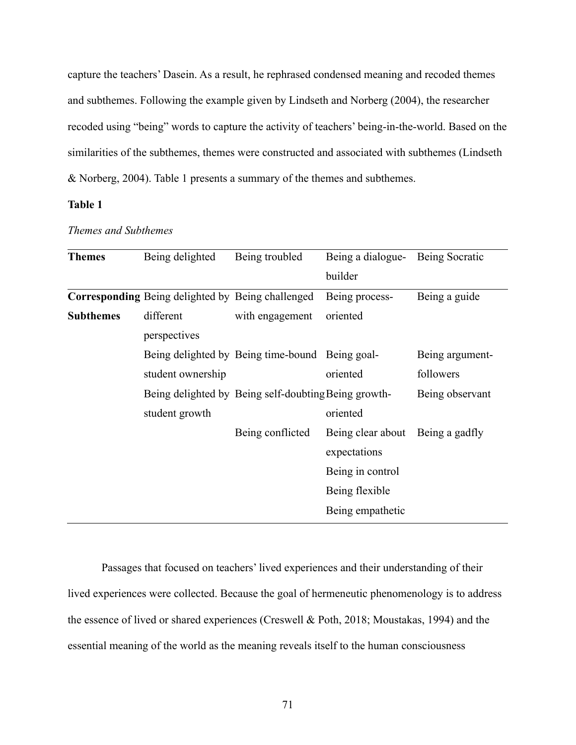capture the teachers' Dasein. As a result, he rephrased condensed meaning and recoded themes and subthemes. Following the example given by Lindseth and Norberg (2004), the researcher recoded using "being" words to capture the activity of teachers' being-in-the-world. Based on the similarities of the subthemes, themes were constructed and associated with subthemes (Lindseth & Norberg, 2004). Table 1 presents a summary of the themes and subthemes.

# **Table 1**

| <b>Themes</b>    | Being delighted                                   | Being troubled                                       | Being a dialogue- | Being Socratic  |
|------------------|---------------------------------------------------|------------------------------------------------------|-------------------|-----------------|
|                  |                                                   |                                                      | builder           |                 |
|                  | Corresponding Being delighted by Being challenged |                                                      | Being process-    | Being a guide   |
| <b>Subthemes</b> | different                                         | with engagement                                      | oriented          |                 |
|                  | perspectives                                      |                                                      |                   |                 |
|                  |                                                   | Being delighted by Being time-bound Being goal-      |                   | Being argument- |
|                  | student ownership                                 |                                                      | oriented          | followers       |
|                  |                                                   | Being delighted by Being self-doubting Being growth- |                   | Being observant |
|                  | student growth                                    |                                                      | oriented          |                 |
|                  |                                                   | Being conflicted                                     | Being clear about | Being a gadfly  |
|                  |                                                   |                                                      | expectations      |                 |
|                  |                                                   |                                                      | Being in control  |                 |
|                  |                                                   |                                                      | Being flexible    |                 |
|                  |                                                   |                                                      | Being empathetic  |                 |
|                  |                                                   |                                                      |                   |                 |

*Themes and Subthemes*

Passages that focused on teachers' lived experiences and their understanding of their lived experiences were collected. Because the goal of hermeneutic phenomenology is to address the essence of lived or shared experiences (Creswell & Poth, 2018; Moustakas, 1994) and the essential meaning of the world as the meaning reveals itself to the human consciousness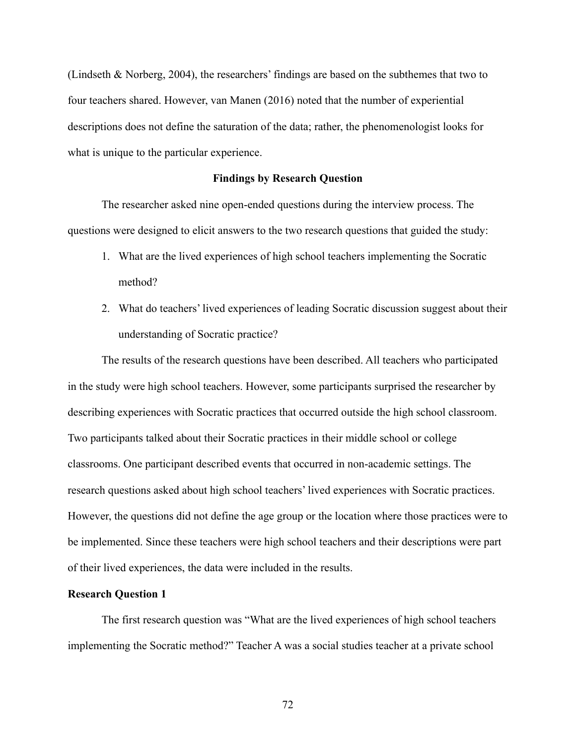(Lindseth & Norberg, 2004), the researchers' findings are based on the subthemes that two to four teachers shared. However, van Manen (2016) noted that the number of experiential descriptions does not define the saturation of the data; rather, the phenomenologist looks for what is unique to the particular experience.

#### **Findings by Research Question**

The researcher asked nine open-ended questions during the interview process. The questions were designed to elicit answers to the two research questions that guided the study:

- 1. What are the lived experiences of high school teachers implementing the Socratic method?
- 2. What do teachers' lived experiences of leading Socratic discussion suggest about their understanding of Socratic practice?

The results of the research questions have been described. All teachers who participated in the study were high school teachers. However, some participants surprised the researcher by describing experiences with Socratic practices that occurred outside the high school classroom. Two participants talked about their Socratic practices in their middle school or college classrooms. One participant described events that occurred in non-academic settings. The research questions asked about high school teachers' lived experiences with Socratic practices. However, the questions did not define the age group or the location where those practices were to be implemented. Since these teachers were high school teachers and their descriptions were part of their lived experiences, the data were included in the results.

#### **Research Question 1**

The first research question was "What are the lived experiences of high school teachers implementing the Socratic method?" Teacher A was a social studies teacher at a private school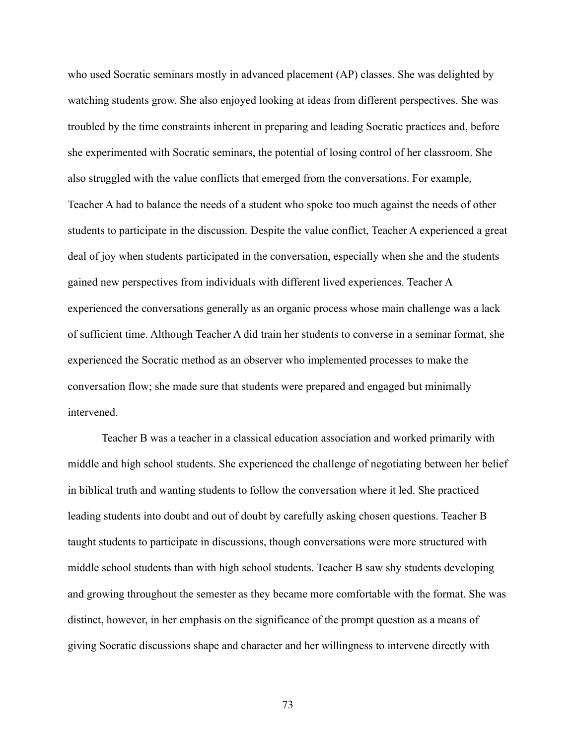who used Socratic seminars mostly in advanced placement (AP) classes. She was delighted by watching students grow. She also enjoyed looking at ideas from different perspectives. She was troubled by the time constraints inherent in preparing and leading Socratic practices and, before she experimented with Socratic seminars, the potential of losing control of her classroom. She also struggled with the value conflicts that emerged from the conversations. For example, Teacher A had to balance the needs of a student who spoke too much against the needs of other students to participate in the discussion. Despite the value conflict, Teacher A experienced a great deal of joy when students participated in the conversation, especially when she and the students gained new perspectives from individuals with different lived experiences. Teacher A experienced the conversations generally as an organic process whose main challenge was a lack of sufficient time. Although Teacher A did train her students to converse in a seminar format, she experienced the Socratic method as an observer who implemented processes to make the conversation flow; she made sure that students were prepared and engaged but minimally intervened.

Teacher B was a teacher in a classical education association and worked primarily with middle and high school students. She experienced the challenge of negotiating between her belief in biblical truth and wanting students to follow the conversation where it led. She practiced leading students into doubt and out of doubt by carefully asking chosen questions. Teacher B taught students to participate in discussions, though conversations were more structured with middle school students than with high school students. Teacher B saw shy students developing and growing throughout the semester as they became more comfortable with the format. She was distinct, however, in her emphasis on the significance of the prompt question as a means of giving Socratic discussions shape and character and her willingness to intervene directly with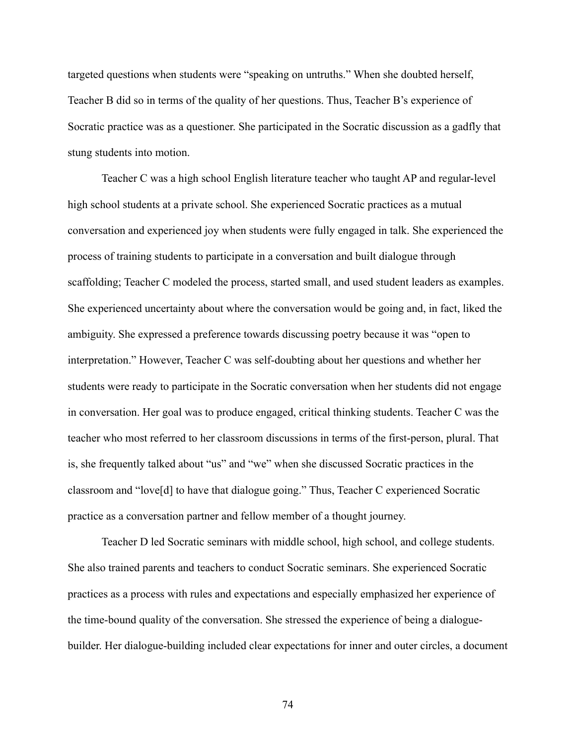targeted questions when students were "speaking on untruths." When she doubted herself, Teacher B did so in terms of the quality of her questions. Thus, Teacher B's experience of Socratic practice was as a questioner. She participated in the Socratic discussion as a gadfly that stung students into motion.

Teacher C was a high school English literature teacher who taught AP and regular-level high school students at a private school. She experienced Socratic practices as a mutual conversation and experienced joy when students were fully engaged in talk. She experienced the process of training students to participate in a conversation and built dialogue through scaffolding; Teacher C modeled the process, started small, and used student leaders as examples. She experienced uncertainty about where the conversation would be going and, in fact, liked the ambiguity. She expressed a preference towards discussing poetry because it was "open to interpretation." However, Teacher C was self-doubting about her questions and whether her students were ready to participate in the Socratic conversation when her students did not engage in conversation. Her goal was to produce engaged, critical thinking students. Teacher C was the teacher who most referred to her classroom discussions in terms of the first-person, plural. That is, she frequently talked about "us" and "we" when she discussed Socratic practices in the classroom and "love[d] to have that dialogue going." Thus, Teacher C experienced Socratic practice as a conversation partner and fellow member of a thought journey.

Teacher D led Socratic seminars with middle school, high school, and college students. She also trained parents and teachers to conduct Socratic seminars. She experienced Socratic practices as a process with rules and expectations and especially emphasized her experience of the time-bound quality of the conversation. She stressed the experience of being a dialoguebuilder. Her dialogue-building included clear expectations for inner and outer circles, a document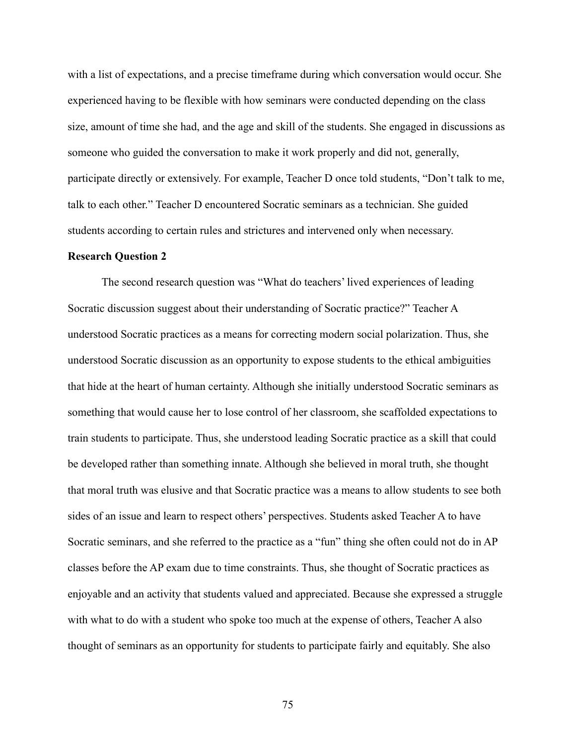with a list of expectations, and a precise timeframe during which conversation would occur. She experienced having to be flexible with how seminars were conducted depending on the class size, amount of time she had, and the age and skill of the students. She engaged in discussions as someone who guided the conversation to make it work properly and did not, generally, participate directly or extensively. For example, Teacher D once told students, "Don't talk to me, talk to each other." Teacher D encountered Socratic seminars as a technician. She guided students according to certain rules and strictures and intervened only when necessary.

#### **Research Question 2**

The second research question was "What do teachers' lived experiences of leading Socratic discussion suggest about their understanding of Socratic practice?" Teacher A understood Socratic practices as a means for correcting modern social polarization. Thus, she understood Socratic discussion as an opportunity to expose students to the ethical ambiguities that hide at the heart of human certainty. Although she initially understood Socratic seminars as something that would cause her to lose control of her classroom, she scaffolded expectations to train students to participate. Thus, she understood leading Socratic practice as a skill that could be developed rather than something innate. Although she believed in moral truth, she thought that moral truth was elusive and that Socratic practice was a means to allow students to see both sides of an issue and learn to respect others' perspectives. Students asked Teacher A to have Socratic seminars, and she referred to the practice as a "fun" thing she often could not do in AP classes before the AP exam due to time constraints. Thus, she thought of Socratic practices as enjoyable and an activity that students valued and appreciated. Because she expressed a struggle with what to do with a student who spoke too much at the expense of others, Teacher A also thought of seminars as an opportunity for students to participate fairly and equitably. She also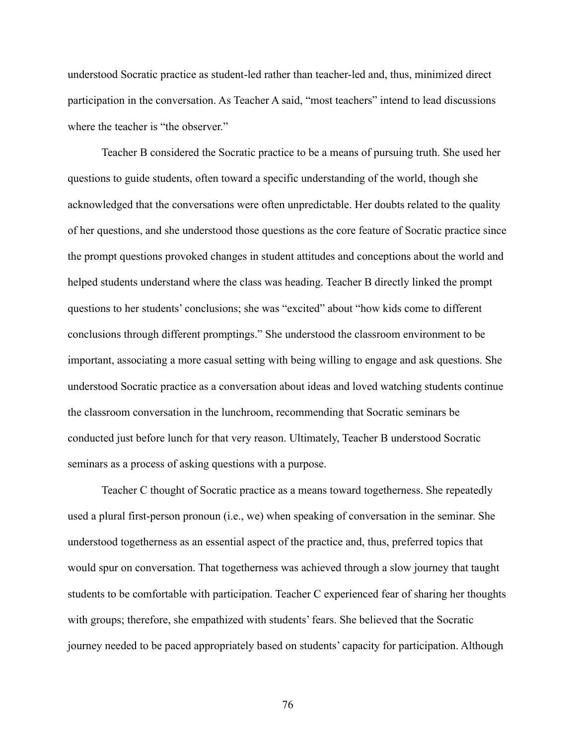understood Socratic practice as student-led rather than teacher-led and, thus, minimized direct participation in the conversation. As Teacher A said, "most teachers" intend to lead discussions where the teacher is "the observer."

Teacher B considered the Socratic practice to be a means of pursuing truth. She used her questions to guide students, often toward a specific understanding of the world, though she acknowledged that the conversations were often unpredictable. Her doubts related to the quality of her questions, and she understood those questions as the core feature of Socratic practice since the prompt questions provoked changes in student attitudes and conceptions about the world and helped students understand where the class was heading. Teacher B directly linked the prompt questions to her students' conclusions; she was "excited" about "how kids come to different conclusions through different promptings." She understood the classroom environment to be important, associating a more casual setting with being willing to engage and ask questions. She understood Socratic practice as a conversation about ideas and loved watching students continue the classroom conversation in the lunchroom, recommending that Socratic seminars be conducted just before lunch for that very reason. Ultimately, Teacher B understood Socratic seminars as a process of asking questions with a purpose.

Teacher C thought of Socratic practice as a means toward togetherness. She repeatedly used a plural first-person pronoun (i.e., we) when speaking of conversation in the seminar. She understood togetherness as an essential aspect of the practice and, thus, preferred topics that would spur on conversation. That togetherness was achieved through a slow journey that taught students to be comfortable with participation. Teacher C experienced fear of sharing her thoughts with groups; therefore, she empathized with students' fears. She believed that the Socratic journey needed to be paced appropriately based on students' capacity for participation. Although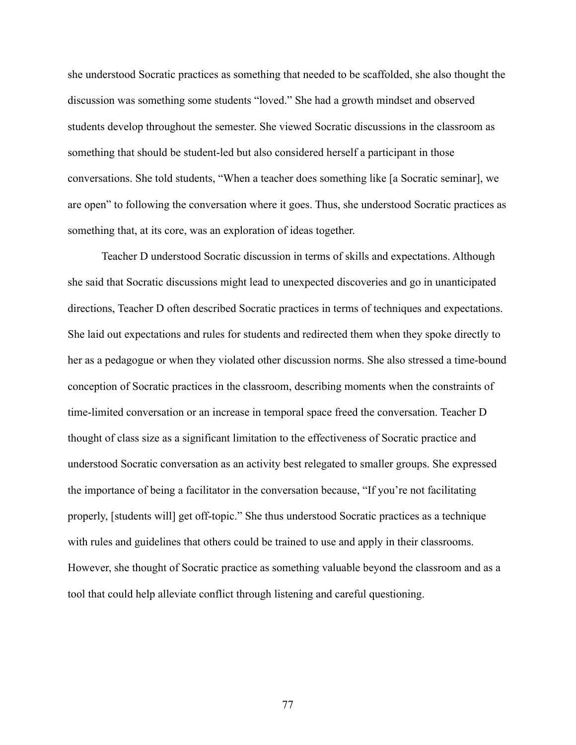she understood Socratic practices as something that needed to be scaffolded, she also thought the discussion was something some students "loved." She had a growth mindset and observed students develop throughout the semester. She viewed Socratic discussions in the classroom as something that should be student-led but also considered herself a participant in those conversations. She told students, "When a teacher does something like [a Socratic seminar], we are open" to following the conversation where it goes. Thus, she understood Socratic practices as something that, at its core, was an exploration of ideas together.

Teacher D understood Socratic discussion in terms of skills and expectations. Although she said that Socratic discussions might lead to unexpected discoveries and go in unanticipated directions, Teacher D often described Socratic practices in terms of techniques and expectations. She laid out expectations and rules for students and redirected them when they spoke directly to her as a pedagogue or when they violated other discussion norms. She also stressed a time-bound conception of Socratic practices in the classroom, describing moments when the constraints of time-limited conversation or an increase in temporal space freed the conversation. Teacher D thought of class size as a significant limitation to the effectiveness of Socratic practice and understood Socratic conversation as an activity best relegated to smaller groups. She expressed the importance of being a facilitator in the conversation because, "If you're not facilitating properly, [students will] get off-topic." She thus understood Socratic practices as a technique with rules and guidelines that others could be trained to use and apply in their classrooms. However, she thought of Socratic practice as something valuable beyond the classroom and as a tool that could help alleviate conflict through listening and careful questioning.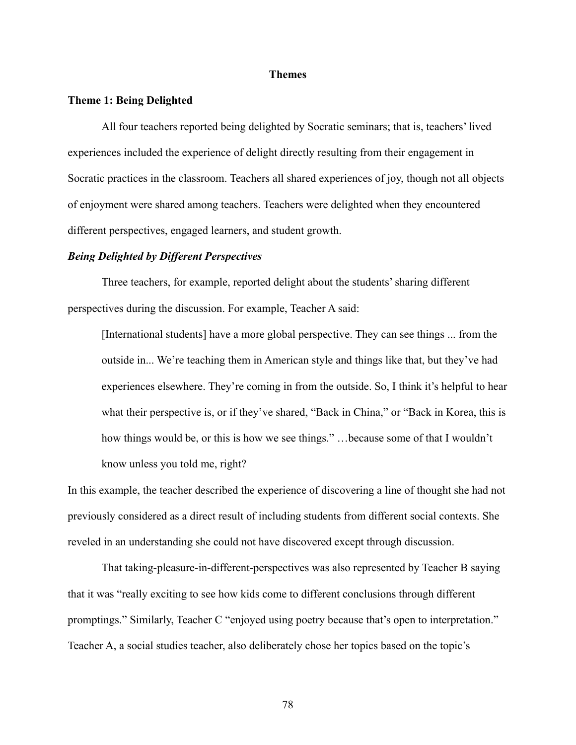#### **Themes**

#### **Theme 1: Being Delighted**

All four teachers reported being delighted by Socratic seminars; that is, teachers' lived experiences included the experience of delight directly resulting from their engagement in Socratic practices in the classroom. Teachers all shared experiences of joy, though not all objects of enjoyment were shared among teachers. Teachers were delighted when they encountered different perspectives, engaged learners, and student growth.

# *Being Delighted by Different Perspectives*

Three teachers, for example, reported delight about the students' sharing different perspectives during the discussion. For example, Teacher A said:

[International students] have a more global perspective. They can see things ... from the outside in... We're teaching them in American style and things like that, but they've had experiences elsewhere. They're coming in from the outside. So, I think it's helpful to hear what their perspective is, or if they've shared, "Back in China," or "Back in Korea, this is how things would be, or this is how we see things." …because some of that I wouldn't know unless you told me, right?

In this example, the teacher described the experience of discovering a line of thought she had not previously considered as a direct result of including students from different social contexts. She reveled in an understanding she could not have discovered except through discussion.

That taking-pleasure-in-different-perspectives was also represented by Teacher B saying that it was "really exciting to see how kids come to different conclusions through different promptings." Similarly, Teacher C "enjoyed using poetry because that's open to interpretation." Teacher A, a social studies teacher, also deliberately chose her topics based on the topic's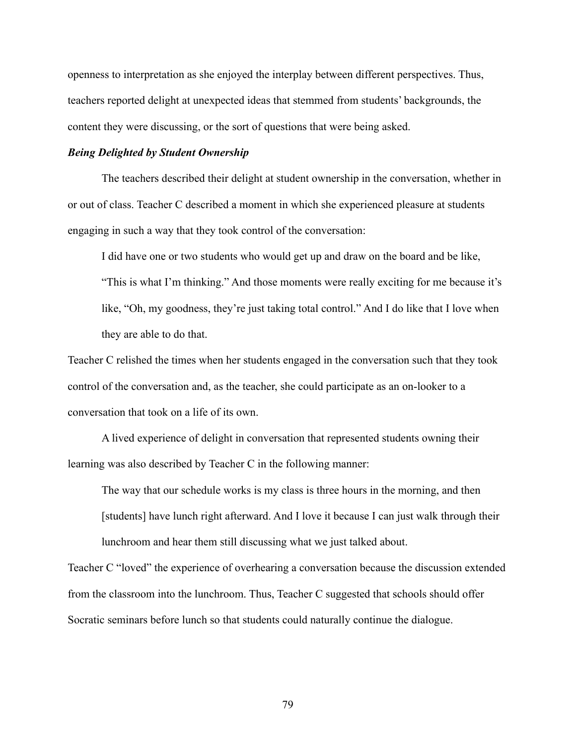openness to interpretation as she enjoyed the interplay between different perspectives. Thus, teachers reported delight at unexpected ideas that stemmed from students' backgrounds, the content they were discussing, or the sort of questions that were being asked.

### *Being Delighted by Student Ownership*

The teachers described their delight at student ownership in the conversation, whether in or out of class. Teacher C described a moment in which she experienced pleasure at students engaging in such a way that they took control of the conversation:

I did have one or two students who would get up and draw on the board and be like, "This is what I'm thinking." And those moments were really exciting for me because it's like, "Oh, my goodness, they're just taking total control." And I do like that I love when they are able to do that.

Teacher C relished the times when her students engaged in the conversation such that they took control of the conversation and, as the teacher, she could participate as an on-looker to a conversation that took on a life of its own.

A lived experience of delight in conversation that represented students owning their learning was also described by Teacher C in the following manner:

The way that our schedule works is my class is three hours in the morning, and then [students] have lunch right afterward. And I love it because I can just walk through their lunchroom and hear them still discussing what we just talked about.

Teacher C "loved" the experience of overhearing a conversation because the discussion extended from the classroom into the lunchroom. Thus, Teacher C suggested that schools should offer Socratic seminars before lunch so that students could naturally continue the dialogue.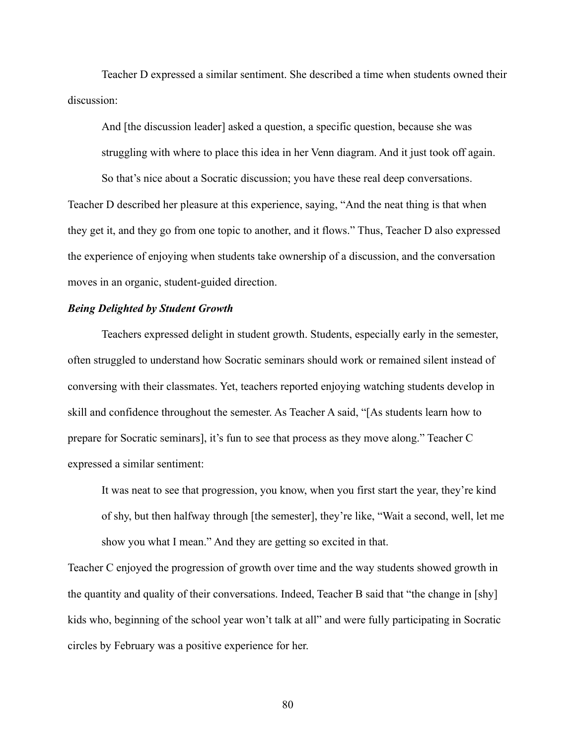Teacher D expressed a similar sentiment. She described a time when students owned their discussion:

And [the discussion leader] asked a question, a specific question, because she was struggling with where to place this idea in her Venn diagram. And it just took off again. So that's nice about a Socratic discussion; you have these real deep conversations. Teacher D described her pleasure at this experience, saying, "And the neat thing is that when they get it, and they go from one topic to another, and it flows." Thus, Teacher D also expressed the experience of enjoying when students take ownership of a discussion, and the conversation moves in an organic, student-guided direction.

# *Being Delighted by Student Growth*

Teachers expressed delight in student growth. Students, especially early in the semester, often struggled to understand how Socratic seminars should work or remained silent instead of conversing with their classmates. Yet, teachers reported enjoying watching students develop in skill and confidence throughout the semester. As Teacher A said, "[As students learn how to prepare for Socratic seminars], it's fun to see that process as they move along." Teacher C expressed a similar sentiment:

It was neat to see that progression, you know, when you first start the year, they're kind of shy, but then halfway through [the semester], they're like, "Wait a second, well, let me show you what I mean." And they are getting so excited in that.

Teacher C enjoyed the progression of growth over time and the way students showed growth in the quantity and quality of their conversations. Indeed, Teacher B said that "the change in [shy] kids who, beginning of the school year won't talk at all" and were fully participating in Socratic circles by February was a positive experience for her.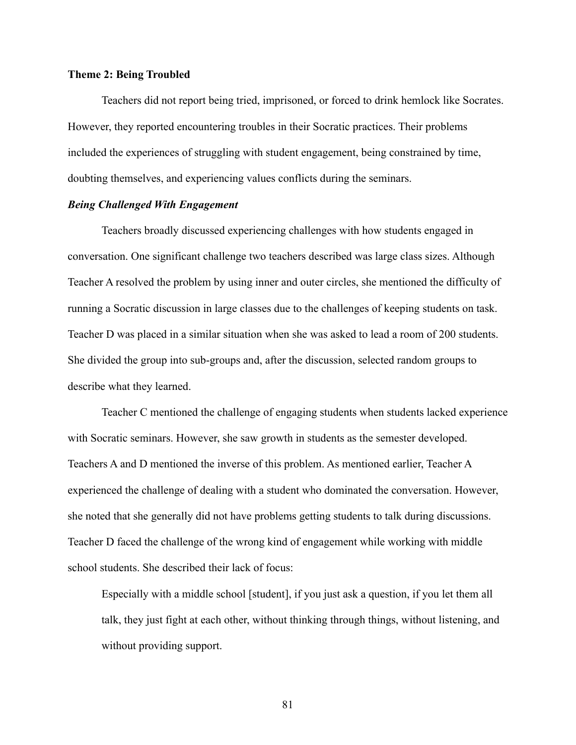### **Theme 2: Being Troubled**

Teachers did not report being tried, imprisoned, or forced to drink hemlock like Socrates. However, they reported encountering troubles in their Socratic practices. Their problems included the experiences of struggling with student engagement, being constrained by time, doubting themselves, and experiencing values conflicts during the seminars.

# *Being Challenged With Engagement*

Teachers broadly discussed experiencing challenges with how students engaged in conversation. One significant challenge two teachers described was large class sizes. Although Teacher A resolved the problem by using inner and outer circles, she mentioned the difficulty of running a Socratic discussion in large classes due to the challenges of keeping students on task. Teacher D was placed in a similar situation when she was asked to lead a room of 200 students. She divided the group into sub-groups and, after the discussion, selected random groups to describe what they learned.

Teacher C mentioned the challenge of engaging students when students lacked experience with Socratic seminars. However, she saw growth in students as the semester developed. Teachers A and D mentioned the inverse of this problem. As mentioned earlier, Teacher A experienced the challenge of dealing with a student who dominated the conversation. However, she noted that she generally did not have problems getting students to talk during discussions. Teacher D faced the challenge of the wrong kind of engagement while working with middle school students. She described their lack of focus:

Especially with a middle school [student], if you just ask a question, if you let them all talk, they just fight at each other, without thinking through things, without listening, and without providing support.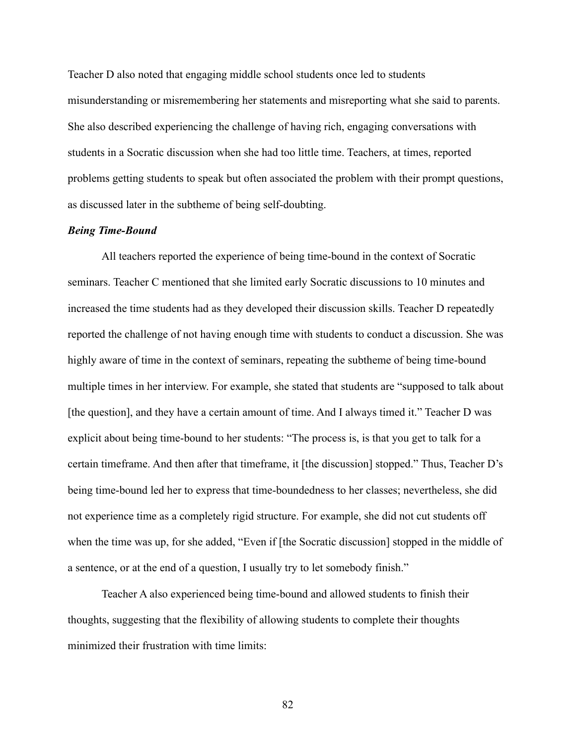Teacher D also noted that engaging middle school students once led to students misunderstanding or misremembering her statements and misreporting what she said to parents. She also described experiencing the challenge of having rich, engaging conversations with students in a Socratic discussion when she had too little time. Teachers, at times, reported problems getting students to speak but often associated the problem with their prompt questions, as discussed later in the subtheme of being self-doubting.

#### *Being Time-Bound*

All teachers reported the experience of being time-bound in the context of Socratic seminars. Teacher C mentioned that she limited early Socratic discussions to 10 minutes and increased the time students had as they developed their discussion skills. Teacher D repeatedly reported the challenge of not having enough time with students to conduct a discussion. She was highly aware of time in the context of seminars, repeating the subtheme of being time-bound multiple times in her interview. For example, she stated that students are "supposed to talk about [the question], and they have a certain amount of time. And I always timed it." Teacher D was explicit about being time-bound to her students: "The process is, is that you get to talk for a certain timeframe. And then after that timeframe, it [the discussion] stopped." Thus, Teacher D's being time-bound led her to express that time-boundedness to her classes; nevertheless, she did not experience time as a completely rigid structure. For example, she did not cut students off when the time was up, for she added, "Even if [the Socratic discussion] stopped in the middle of a sentence, or at the end of a question, I usually try to let somebody finish."

Teacher A also experienced being time-bound and allowed students to finish their thoughts, suggesting that the flexibility of allowing students to complete their thoughts minimized their frustration with time limits: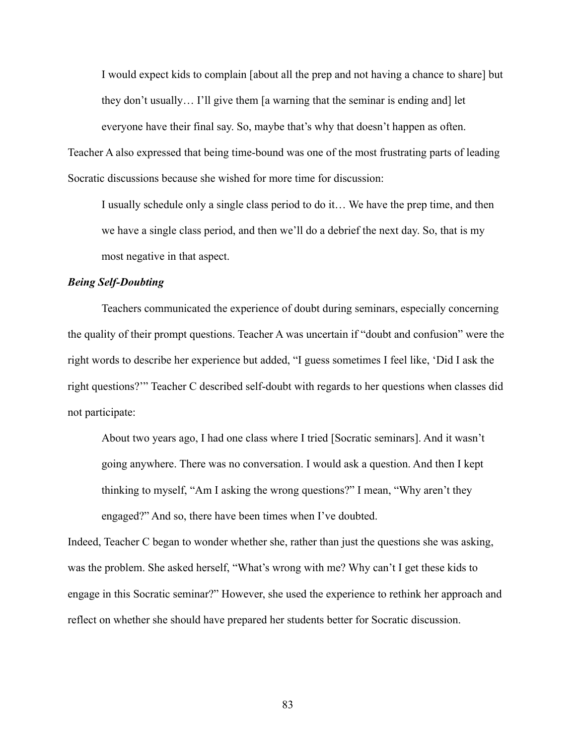I would expect kids to complain [about all the prep and not having a chance to share] but they don't usually… I'll give them [a warning that the seminar is ending and] let everyone have their final say. So, maybe that's why that doesn't happen as often. Teacher A also expressed that being time-bound was one of the most frustrating parts of leading Socratic discussions because she wished for more time for discussion:

I usually schedule only a single class period to do it… We have the prep time, and then we have a single class period, and then we'll do a debrief the next day. So, that is my most negative in that aspect.

# *Being Self-Doubting*

Teachers communicated the experience of doubt during seminars, especially concerning the quality of their prompt questions. Teacher A was uncertain if "doubt and confusion" were the right words to describe her experience but added, "I guess sometimes I feel like, 'Did I ask the right questions?'" Teacher C described self-doubt with regards to her questions when classes did not participate:

About two years ago, I had one class where I tried [Socratic seminars]. And it wasn't going anywhere. There was no conversation. I would ask a question. And then I kept thinking to myself, "Am I asking the wrong questions?" I mean, "Why aren't they engaged?" And so, there have been times when I've doubted.

Indeed, Teacher C began to wonder whether she, rather than just the questions she was asking, was the problem. She asked herself, "What's wrong with me? Why can't I get these kids to engage in this Socratic seminar?" However, she used the experience to rethink her approach and reflect on whether she should have prepared her students better for Socratic discussion.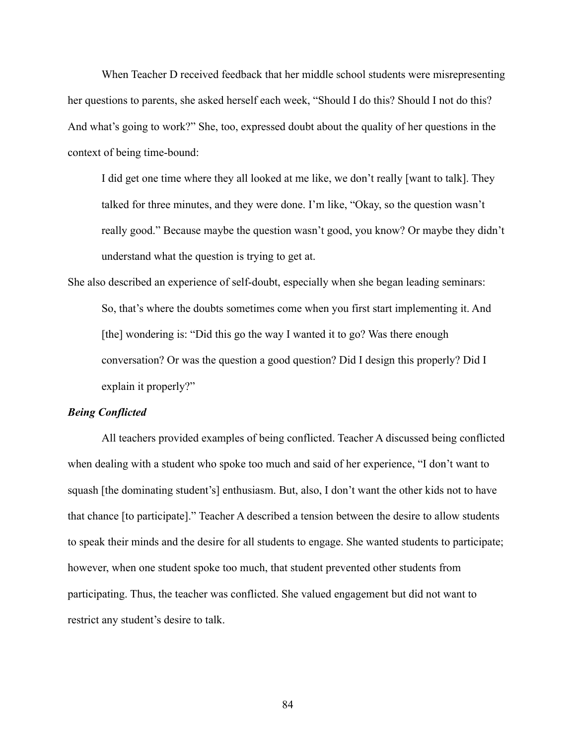When Teacher D received feedback that her middle school students were misrepresenting her questions to parents, she asked herself each week, "Should I do this? Should I not do this? And what's going to work?" She, too, expressed doubt about the quality of her questions in the context of being time-bound:

I did get one time where they all looked at me like, we don't really [want to talk]. They talked for three minutes, and they were done. I'm like, "Okay, so the question wasn't really good." Because maybe the question wasn't good, you know? Or maybe they didn't understand what the question is trying to get at.

She also described an experience of self-doubt, especially when she began leading seminars: So, that's where the doubts sometimes come when you first start implementing it. And [the] wondering is: "Did this go the way I wanted it to go? Was there enough conversation? Or was the question a good question? Did I design this properly? Did I explain it properly?"

# *Being Conflicted*

All teachers provided examples of being conflicted. Teacher A discussed being conflicted when dealing with a student who spoke too much and said of her experience, "I don't want to squash [the dominating student's] enthusiasm. But, also, I don't want the other kids not to have that chance [to participate]." Teacher A described a tension between the desire to allow students to speak their minds and the desire for all students to engage. She wanted students to participate; however, when one student spoke too much, that student prevented other students from participating. Thus, the teacher was conflicted. She valued engagement but did not want to restrict any student's desire to talk.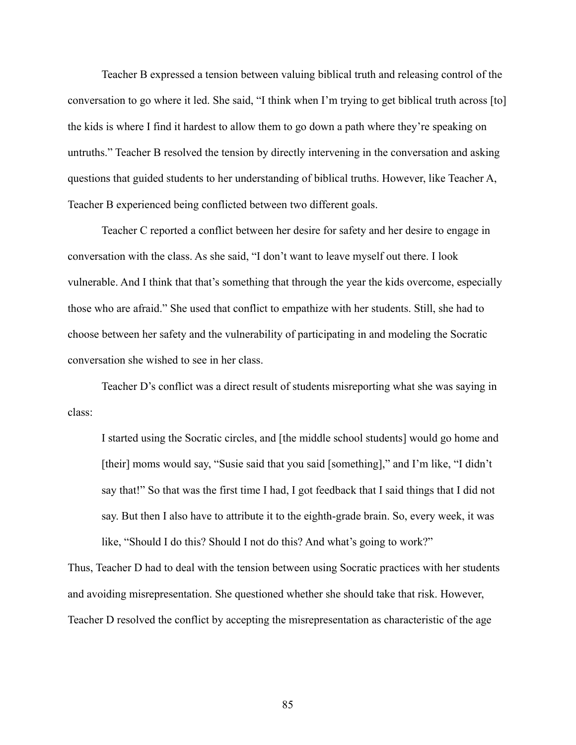Teacher B expressed a tension between valuing biblical truth and releasing control of the conversation to go where it led. She said, "I think when I'm trying to get biblical truth across [to] the kids is where I find it hardest to allow them to go down a path where they're speaking on untruths." Teacher B resolved the tension by directly intervening in the conversation and asking questions that guided students to her understanding of biblical truths. However, like Teacher A, Teacher B experienced being conflicted between two different goals.

Teacher C reported a conflict between her desire for safety and her desire to engage in conversation with the class. As she said, "I don't want to leave myself out there. I look vulnerable. And I think that that's something that through the year the kids overcome, especially those who are afraid." She used that conflict to empathize with her students. Still, she had to choose between her safety and the vulnerability of participating in and modeling the Socratic conversation she wished to see in her class.

Teacher D's conflict was a direct result of students misreporting what she was saying in class:

I started using the Socratic circles, and [the middle school students] would go home and [their] moms would say, "Susie said that you said [something]," and I'm like, "I didn't say that!" So that was the first time I had, I got feedback that I said things that I did not say. But then I also have to attribute it to the eighth-grade brain. So, every week, it was like, "Should I do this? Should I not do this? And what's going to work?"

Thus, Teacher D had to deal with the tension between using Socratic practices with her students and avoiding misrepresentation. She questioned whether she should take that risk. However, Teacher D resolved the conflict by accepting the misrepresentation as characteristic of the age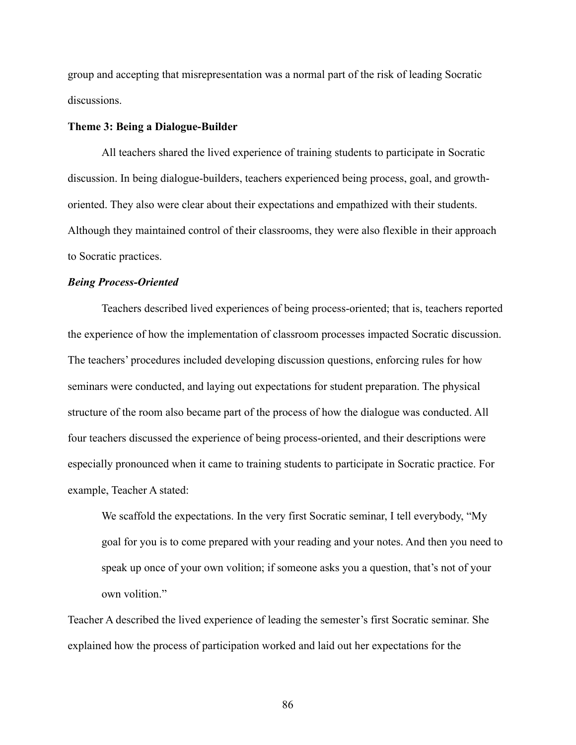group and accepting that misrepresentation was a normal part of the risk of leading Socratic discussions.

#### **Theme 3: Being a Dialogue-Builder**

All teachers shared the lived experience of training students to participate in Socratic discussion. In being dialogue-builders, teachers experienced being process, goal, and growthoriented. They also were clear about their expectations and empathized with their students. Although they maintained control of their classrooms, they were also flexible in their approach to Socratic practices.

# *Being Process-Oriented*

Teachers described lived experiences of being process-oriented; that is, teachers reported the experience of how the implementation of classroom processes impacted Socratic discussion. The teachers' procedures included developing discussion questions, enforcing rules for how seminars were conducted, and laying out expectations for student preparation. The physical structure of the room also became part of the process of how the dialogue was conducted. All four teachers discussed the experience of being process-oriented, and their descriptions were especially pronounced when it came to training students to participate in Socratic practice. For example, Teacher A stated:

We scaffold the expectations. In the very first Socratic seminar, I tell everybody, "My goal for you is to come prepared with your reading and your notes. And then you need to speak up once of your own volition; if someone asks you a question, that's not of your own volition."

Teacher A described the lived experience of leading the semester's first Socratic seminar. She explained how the process of participation worked and laid out her expectations for the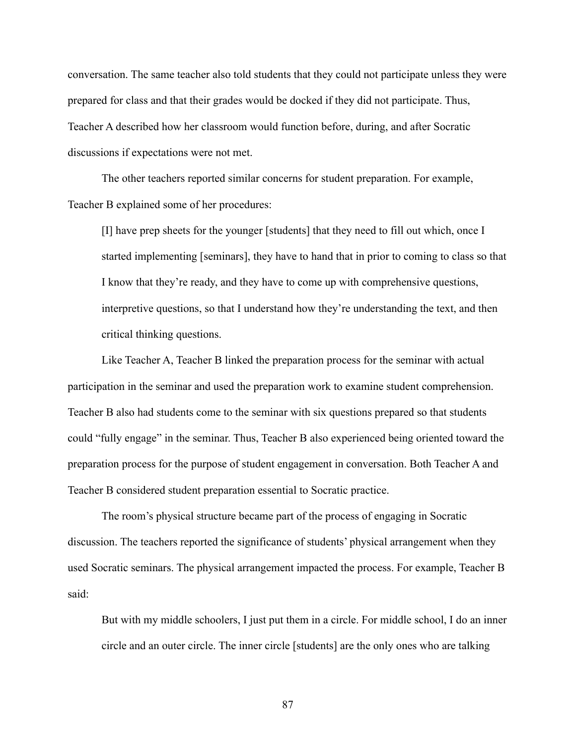conversation. The same teacher also told students that they could not participate unless they were prepared for class and that their grades would be docked if they did not participate. Thus, Teacher A described how her classroom would function before, during, and after Socratic discussions if expectations were not met.

The other teachers reported similar concerns for student preparation. For example, Teacher B explained some of her procedures:

[I] have prep sheets for the younger [students] that they need to fill out which, once I started implementing [seminars], they have to hand that in prior to coming to class so that I know that they're ready, and they have to come up with comprehensive questions, interpretive questions, so that I understand how they're understanding the text, and then critical thinking questions.

Like Teacher A, Teacher B linked the preparation process for the seminar with actual participation in the seminar and used the preparation work to examine student comprehension. Teacher B also had students come to the seminar with six questions prepared so that students could "fully engage" in the seminar. Thus, Teacher B also experienced being oriented toward the preparation process for the purpose of student engagement in conversation. Both Teacher A and Teacher B considered student preparation essential to Socratic practice.

The room's physical structure became part of the process of engaging in Socratic discussion. The teachers reported the significance of students' physical arrangement when they used Socratic seminars. The physical arrangement impacted the process. For example, Teacher B said:

But with my middle schoolers, I just put them in a circle. For middle school, I do an inner circle and an outer circle. The inner circle [students] are the only ones who are talking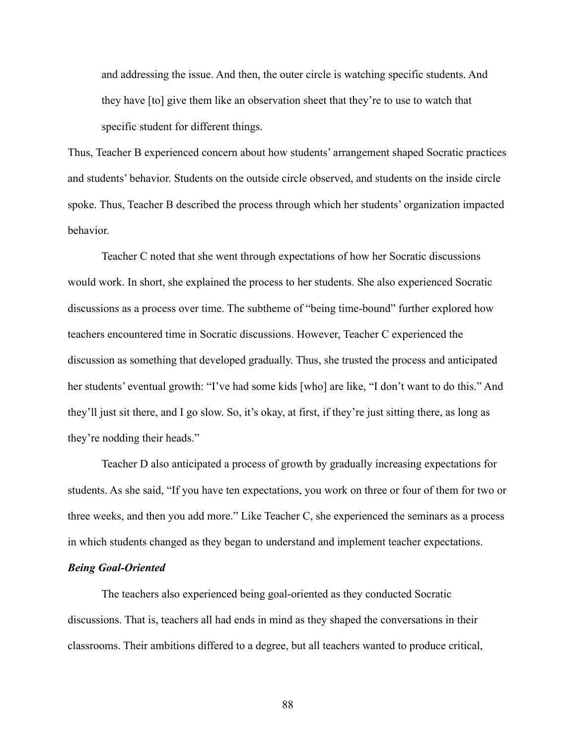and addressing the issue. And then, the outer circle is watching specific students. And they have [to] give them like an observation sheet that they're to use to watch that specific student for different things.

Thus, Teacher B experienced concern about how students' arrangement shaped Socratic practices and students' behavior. Students on the outside circle observed, and students on the inside circle spoke. Thus, Teacher B described the process through which her students' organization impacted behavior.

Teacher C noted that she went through expectations of how her Socratic discussions would work. In short, she explained the process to her students. She also experienced Socratic discussions as a process over time. The subtheme of "being time-bound" further explored how teachers encountered time in Socratic discussions. However, Teacher C experienced the discussion as something that developed gradually. Thus, she trusted the process and anticipated her students' eventual growth: "I've had some kids [who] are like, "I don't want to do this." And they'll just sit there, and I go slow. So, it's okay, at first, if they're just sitting there, as long as they're nodding their heads."

Teacher D also anticipated a process of growth by gradually increasing expectations for students. As she said, "If you have ten expectations, you work on three or four of them for two or three weeks, and then you add more." Like Teacher C, she experienced the seminars as a process in which students changed as they began to understand and implement teacher expectations.

#### *Being Goal-Oriented*

The teachers also experienced being goal-oriented as they conducted Socratic discussions. That is, teachers all had ends in mind as they shaped the conversations in their classrooms. Their ambitions differed to a degree, but all teachers wanted to produce critical,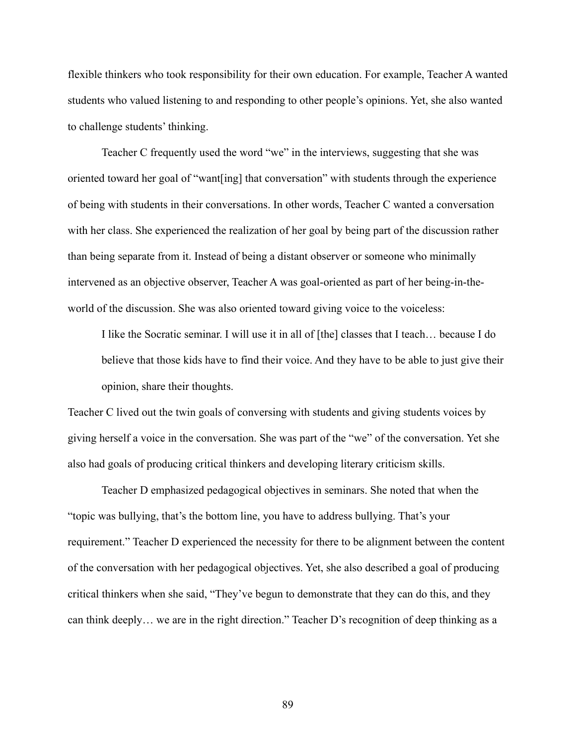flexible thinkers who took responsibility for their own education. For example, Teacher A wanted students who valued listening to and responding to other people's opinions. Yet, she also wanted to challenge students' thinking.

Teacher C frequently used the word "we" in the interviews, suggesting that she was oriented toward her goal of "want[ing] that conversation" with students through the experience of being with students in their conversations. In other words, Teacher C wanted a conversation with her class. She experienced the realization of her goal by being part of the discussion rather than being separate from it. Instead of being a distant observer or someone who minimally intervened as an objective observer, Teacher A was goal-oriented as part of her being-in-theworld of the discussion. She was also oriented toward giving voice to the voiceless:

I like the Socratic seminar. I will use it in all of [the] classes that I teach… because I do believe that those kids have to find their voice. And they have to be able to just give their opinion, share their thoughts.

Teacher C lived out the twin goals of conversing with students and giving students voices by giving herself a voice in the conversation. She was part of the "we" of the conversation. Yet she also had goals of producing critical thinkers and developing literary criticism skills.

Teacher D emphasized pedagogical objectives in seminars. She noted that when the "topic was bullying, that's the bottom line, you have to address bullying. That's your requirement." Teacher D experienced the necessity for there to be alignment between the content of the conversation with her pedagogical objectives. Yet, she also described a goal of producing critical thinkers when she said, "They've begun to demonstrate that they can do this, and they can think deeply… we are in the right direction." Teacher D's recognition of deep thinking as a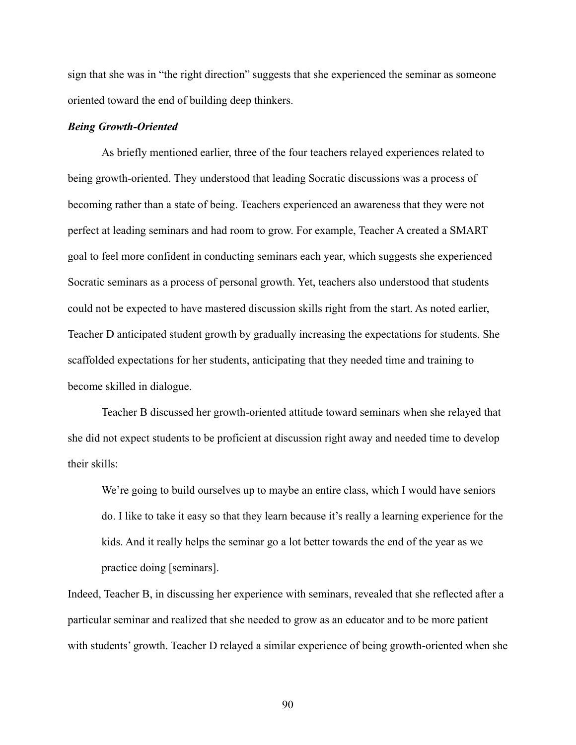sign that she was in "the right direction" suggests that she experienced the seminar as someone oriented toward the end of building deep thinkers.

### *Being Growth-Oriented*

As briefly mentioned earlier, three of the four teachers relayed experiences related to being growth-oriented. They understood that leading Socratic discussions was a process of becoming rather than a state of being. Teachers experienced an awareness that they were not perfect at leading seminars and had room to grow. For example, Teacher A created a SMART goal to feel more confident in conducting seminars each year, which suggests she experienced Socratic seminars as a process of personal growth. Yet, teachers also understood that students could not be expected to have mastered discussion skills right from the start. As noted earlier, Teacher D anticipated student growth by gradually increasing the expectations for students. She scaffolded expectations for her students, anticipating that they needed time and training to become skilled in dialogue.

Teacher B discussed her growth-oriented attitude toward seminars when she relayed that she did not expect students to be proficient at discussion right away and needed time to develop their skills:

We're going to build ourselves up to maybe an entire class, which I would have seniors do. I like to take it easy so that they learn because it's really a learning experience for the kids. And it really helps the seminar go a lot better towards the end of the year as we practice doing [seminars].

Indeed, Teacher B, in discussing her experience with seminars, revealed that she reflected after a particular seminar and realized that she needed to grow as an educator and to be more patient with students' growth. Teacher D relayed a similar experience of being growth-oriented when she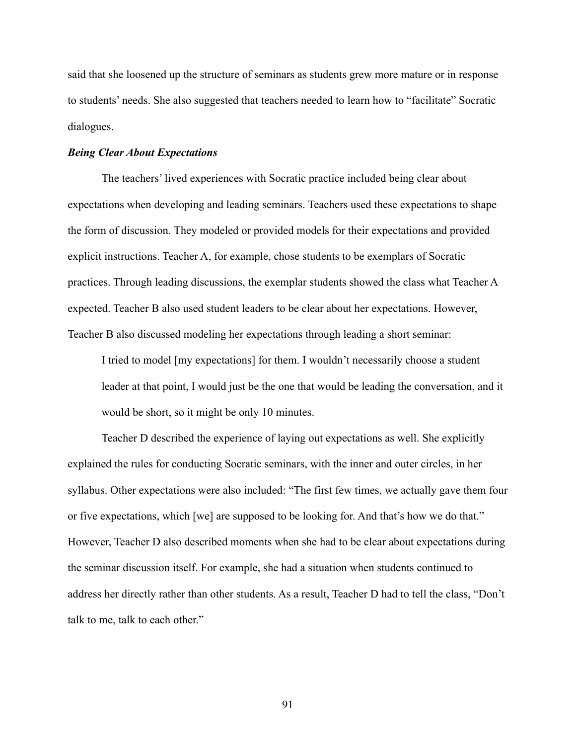said that she loosened up the structure of seminars as students grew more mature or in response to students' needs. She also suggested that teachers needed to learn how to "facilitate" Socratic dialogues.

#### *Being Clear About Expectations*

The teachers' lived experiences with Socratic practice included being clear about expectations when developing and leading seminars. Teachers used these expectations to shape the form of discussion. They modeled or provided models for their expectations and provided explicit instructions. Teacher A, for example, chose students to be exemplars of Socratic practices. Through leading discussions, the exemplar students showed the class what Teacher A expected. Teacher B also used student leaders to be clear about her expectations. However, Teacher B also discussed modeling her expectations through leading a short seminar:

I tried to model [my expectations] for them. I wouldn't necessarily choose a student leader at that point, I would just be the one that would be leading the conversation, and it would be short, so it might be only 10 minutes.

Teacher D described the experience of laying out expectations as well. She explicitly explained the rules for conducting Socratic seminars, with the inner and outer circles, in her syllabus. Other expectations were also included: "The first few times, we actually gave them four or five expectations, which [we] are supposed to be looking for. And that's how we do that." However, Teacher D also described moments when she had to be clear about expectations during the seminar discussion itself. For example, she had a situation when students continued to address her directly rather than other students. As a result, Teacher D had to tell the class, "Don't talk to me, talk to each other."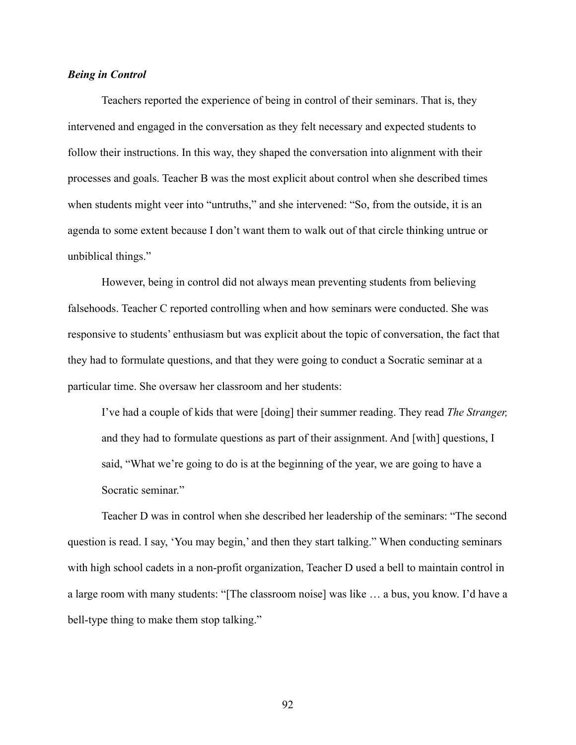# *Being in Control*

Teachers reported the experience of being in control of their seminars. That is, they intervened and engaged in the conversation as they felt necessary and expected students to follow their instructions. In this way, they shaped the conversation into alignment with their processes and goals. Teacher B was the most explicit about control when she described times when students might veer into "untruths," and she intervened: "So, from the outside, it is an agenda to some extent because I don't want them to walk out of that circle thinking untrue or unbiblical things."

However, being in control did not always mean preventing students from believing falsehoods. Teacher C reported controlling when and how seminars were conducted. She was responsive to students' enthusiasm but was explicit about the topic of conversation, the fact that they had to formulate questions, and that they were going to conduct a Socratic seminar at a particular time. She oversaw her classroom and her students:

I've had a couple of kids that were [doing] their summer reading. They read *The Stranger,* and they had to formulate questions as part of their assignment. And [with] questions, I said, "What we're going to do is at the beginning of the year, we are going to have a Socratic seminar."

Teacher D was in control when she described her leadership of the seminars: "The second question is read. I say, 'You may begin,' and then they start talking." When conducting seminars with high school cadets in a non-profit organization, Teacher D used a bell to maintain control in a large room with many students: "[The classroom noise] was like … a bus, you know. I'd have a bell-type thing to make them stop talking."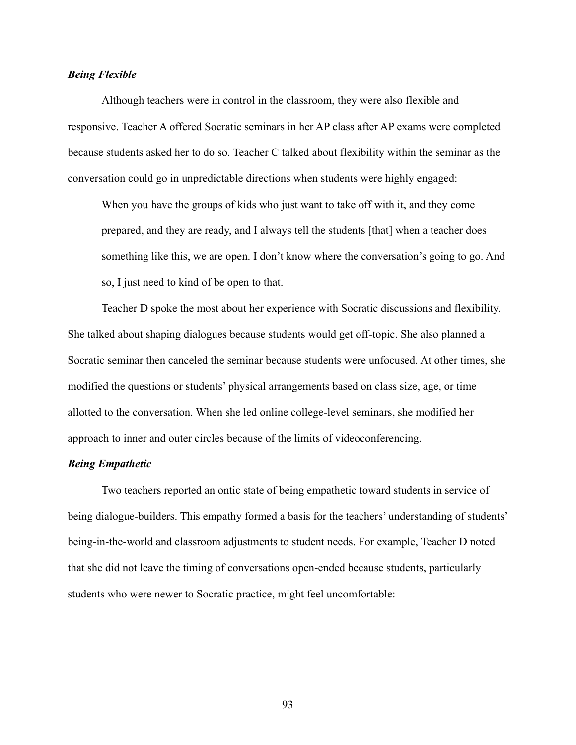# *Being Flexible*

Although teachers were in control in the classroom, they were also flexible and responsive. Teacher A offered Socratic seminars in her AP class after AP exams were completed because students asked her to do so. Teacher C talked about flexibility within the seminar as the conversation could go in unpredictable directions when students were highly engaged:

When you have the groups of kids who just want to take off with it, and they come prepared, and they are ready, and I always tell the students [that] when a teacher does something like this, we are open. I don't know where the conversation's going to go. And so, I just need to kind of be open to that.

Teacher D spoke the most about her experience with Socratic discussions and flexibility. She talked about shaping dialogues because students would get off-topic. She also planned a Socratic seminar then canceled the seminar because students were unfocused. At other times, she modified the questions or students' physical arrangements based on class size, age, or time allotted to the conversation. When she led online college-level seminars, she modified her approach to inner and outer circles because of the limits of videoconferencing.

## *Being Empathetic*

Two teachers reported an ontic state of being empathetic toward students in service of being dialogue-builders. This empathy formed a basis for the teachers' understanding of students' being-in-the-world and classroom adjustments to student needs. For example, Teacher D noted that she did not leave the timing of conversations open-ended because students, particularly students who were newer to Socratic practice, might feel uncomfortable: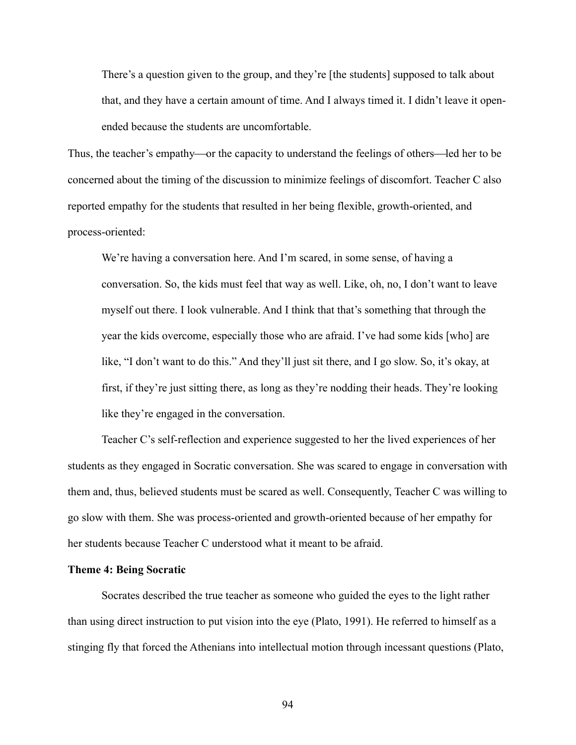There's a question given to the group, and they're [the students] supposed to talk about that, and they have a certain amount of time. And I always timed it. I didn't leave it openended because the students are uncomfortable.

Thus, the teacher's empathy—or the capacity to understand the feelings of others—led her to be concerned about the timing of the discussion to minimize feelings of discomfort. Teacher C also reported empathy for the students that resulted in her being flexible, growth-oriented, and process-oriented:

We're having a conversation here. And I'm scared, in some sense, of having a conversation. So, the kids must feel that way as well. Like, oh, no, I don't want to leave myself out there. I look vulnerable. And I think that that's something that through the year the kids overcome, especially those who are afraid. I've had some kids [who] are like, "I don't want to do this." And they'll just sit there, and I go slow. So, it's okay, at first, if they're just sitting there, as long as they're nodding their heads. They're looking like they're engaged in the conversation.

Teacher C's self-reflection and experience suggested to her the lived experiences of her students as they engaged in Socratic conversation. She was scared to engage in conversation with them and, thus, believed students must be scared as well. Consequently, Teacher C was willing to go slow with them. She was process-oriented and growth-oriented because of her empathy for her students because Teacher C understood what it meant to be afraid.

## **Theme 4: Being Socratic**

Socrates described the true teacher as someone who guided the eyes to the light rather than using direct instruction to put vision into the eye (Plato, 1991). He referred to himself as a stinging fly that forced the Athenians into intellectual motion through incessant questions (Plato,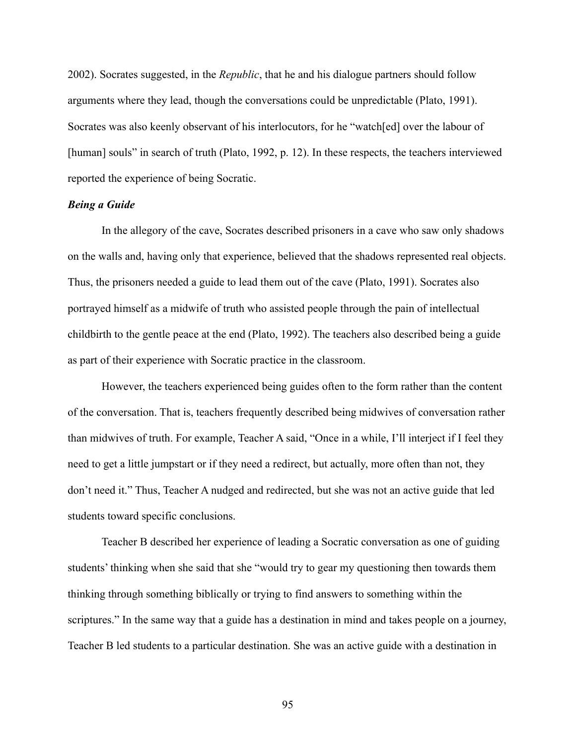2002). Socrates suggested, in the *Republic*, that he and his dialogue partners should follow arguments where they lead, though the conversations could be unpredictable (Plato, 1991). Socrates was also keenly observant of his interlocutors, for he "watch[ed] over the labour of [human] souls" in search of truth (Plato, 1992, p. 12). In these respects, the teachers interviewed reported the experience of being Socratic.

### *Being a Guide*

In the allegory of the cave, Socrates described prisoners in a cave who saw only shadows on the walls and, having only that experience, believed that the shadows represented real objects. Thus, the prisoners needed a guide to lead them out of the cave (Plato, 1991). Socrates also portrayed himself as a midwife of truth who assisted people through the pain of intellectual childbirth to the gentle peace at the end (Plato, 1992). The teachers also described being a guide as part of their experience with Socratic practice in the classroom.

However, the teachers experienced being guides often to the form rather than the content of the conversation. That is, teachers frequently described being midwives of conversation rather than midwives of truth. For example, Teacher A said, "Once in a while, I'll interject if I feel they need to get a little jumpstart or if they need a redirect, but actually, more often than not, they don't need it." Thus, Teacher A nudged and redirected, but she was not an active guide that led students toward specific conclusions.

Teacher B described her experience of leading a Socratic conversation as one of guiding students' thinking when she said that she "would try to gear my questioning then towards them thinking through something biblically or trying to find answers to something within the scriptures." In the same way that a guide has a destination in mind and takes people on a journey, Teacher B led students to a particular destination. She was an active guide with a destination in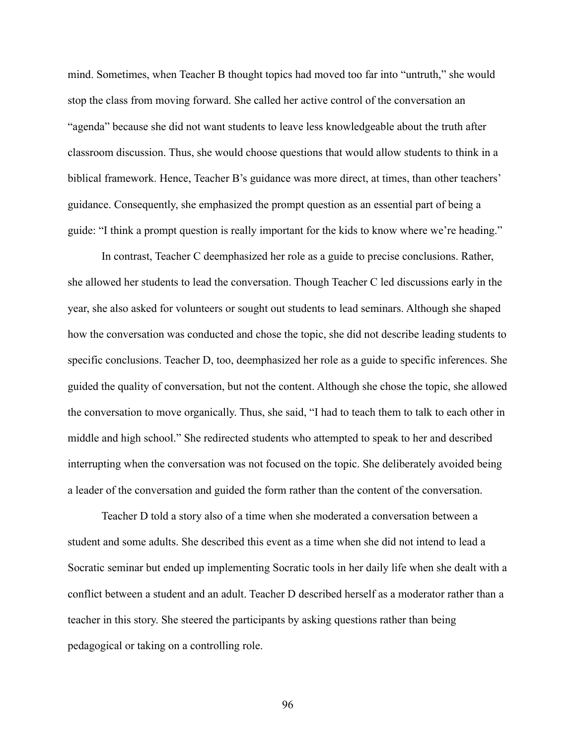mind. Sometimes, when Teacher B thought topics had moved too far into "untruth," she would stop the class from moving forward. She called her active control of the conversation an "agenda" because she did not want students to leave less knowledgeable about the truth after classroom discussion. Thus, she would choose questions that would allow students to think in a biblical framework. Hence, Teacher B's guidance was more direct, at times, than other teachers' guidance. Consequently, she emphasized the prompt question as an essential part of being a guide: "I think a prompt question is really important for the kids to know where we're heading."

In contrast, Teacher C deemphasized her role as a guide to precise conclusions. Rather, she allowed her students to lead the conversation. Though Teacher C led discussions early in the year, she also asked for volunteers or sought out students to lead seminars. Although she shaped how the conversation was conducted and chose the topic, she did not describe leading students to specific conclusions. Teacher D, too, deemphasized her role as a guide to specific inferences. She guided the quality of conversation, but not the content. Although she chose the topic, she allowed the conversation to move organically. Thus, she said, "I had to teach them to talk to each other in middle and high school." She redirected students who attempted to speak to her and described interrupting when the conversation was not focused on the topic. She deliberately avoided being a leader of the conversation and guided the form rather than the content of the conversation.

Teacher D told a story also of a time when she moderated a conversation between a student and some adults. She described this event as a time when she did not intend to lead a Socratic seminar but ended up implementing Socratic tools in her daily life when she dealt with a conflict between a student and an adult. Teacher D described herself as a moderator rather than a teacher in this story. She steered the participants by asking questions rather than being pedagogical or taking on a controlling role.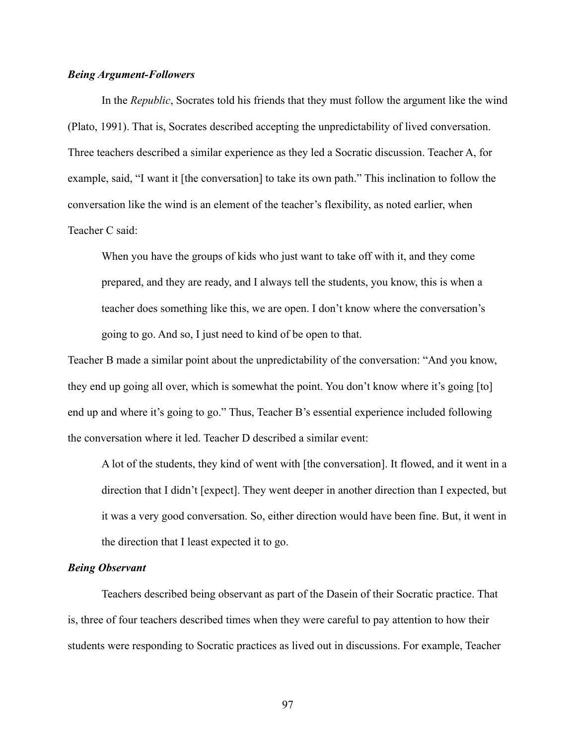## *Being Argument-Followers*

In the *Republic*, Socrates told his friends that they must follow the argument like the wind (Plato, 1991). That is, Socrates described accepting the unpredictability of lived conversation. Three teachers described a similar experience as they led a Socratic discussion. Teacher A, for example, said, "I want it [the conversation] to take its own path." This inclination to follow the conversation like the wind is an element of the teacher's flexibility, as noted earlier, when Teacher C said:

When you have the groups of kids who just want to take off with it, and they come prepared, and they are ready, and I always tell the students, you know, this is when a teacher does something like this, we are open. I don't know where the conversation's going to go. And so, I just need to kind of be open to that.

Teacher B made a similar point about the unpredictability of the conversation: "And you know, they end up going all over, which is somewhat the point. You don't know where it's going [to] end up and where it's going to go." Thus, Teacher B's essential experience included following the conversation where it led. Teacher D described a similar event:

A lot of the students, they kind of went with [the conversation]. It flowed, and it went in a direction that I didn't [expect]. They went deeper in another direction than I expected, but it was a very good conversation. So, either direction would have been fine. But, it went in the direction that I least expected it to go.

## *Being Observant*

Teachers described being observant as part of the Dasein of their Socratic practice. That is, three of four teachers described times when they were careful to pay attention to how their students were responding to Socratic practices as lived out in discussions. For example, Teacher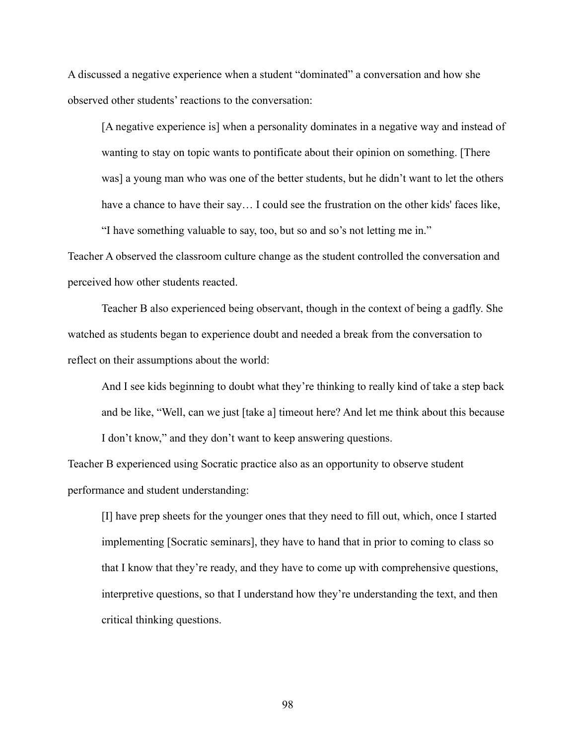A discussed a negative experience when a student "dominated" a conversation and how she observed other students' reactions to the conversation:

[A negative experience is] when a personality dominates in a negative way and instead of wanting to stay on topic wants to pontificate about their opinion on something. [There was] a young man who was one of the better students, but he didn't want to let the others have a chance to have their say... I could see the frustration on the other kids' faces like, "I have something valuable to say, too, but so and so's not letting me in."

Teacher A observed the classroom culture change as the student controlled the conversation and perceived how other students reacted.

Teacher B also experienced being observant, though in the context of being a gadfly. She watched as students began to experience doubt and needed a break from the conversation to reflect on their assumptions about the world:

And I see kids beginning to doubt what they're thinking to really kind of take a step back and be like, "Well, can we just [take a] timeout here? And let me think about this because I don't know," and they don't want to keep answering questions.

Teacher B experienced using Socratic practice also as an opportunity to observe student performance and student understanding:

[I] have prep sheets for the younger ones that they need to fill out, which, once I started implementing [Socratic seminars], they have to hand that in prior to coming to class so that I know that they're ready, and they have to come up with comprehensive questions, interpretive questions, so that I understand how they're understanding the text, and then critical thinking questions.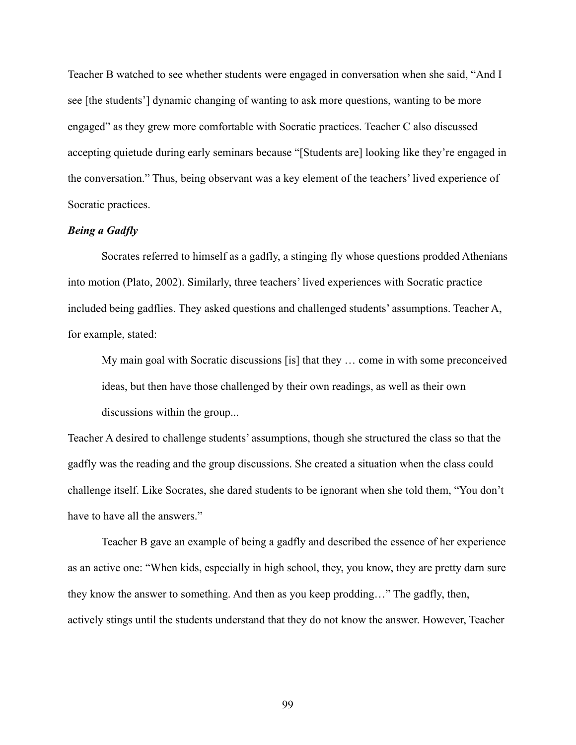Teacher B watched to see whether students were engaged in conversation when she said, "And I see [the students'] dynamic changing of wanting to ask more questions, wanting to be more engaged" as they grew more comfortable with Socratic practices. Teacher C also discussed accepting quietude during early seminars because "[Students are] looking like they're engaged in the conversation." Thus, being observant was a key element of the teachers' lived experience of Socratic practices.

# *Being a Gadfly*

Socrates referred to himself as a gadfly, a stinging fly whose questions prodded Athenians into motion (Plato, 2002). Similarly, three teachers' lived experiences with Socratic practice included being gadflies. They asked questions and challenged students' assumptions. Teacher A, for example, stated:

My main goal with Socratic discussions [is] that they … come in with some preconceived ideas, but then have those challenged by their own readings, as well as their own discussions within the group...

Teacher A desired to challenge students' assumptions, though she structured the class so that the gadfly was the reading and the group discussions. She created a situation when the class could challenge itself. Like Socrates, she dared students to be ignorant when she told them, "You don't have to have all the answers."

Teacher B gave an example of being a gadfly and described the essence of her experience as an active one: "When kids, especially in high school, they, you know, they are pretty darn sure they know the answer to something. And then as you keep prodding…" The gadfly, then, actively stings until the students understand that they do not know the answer. However, Teacher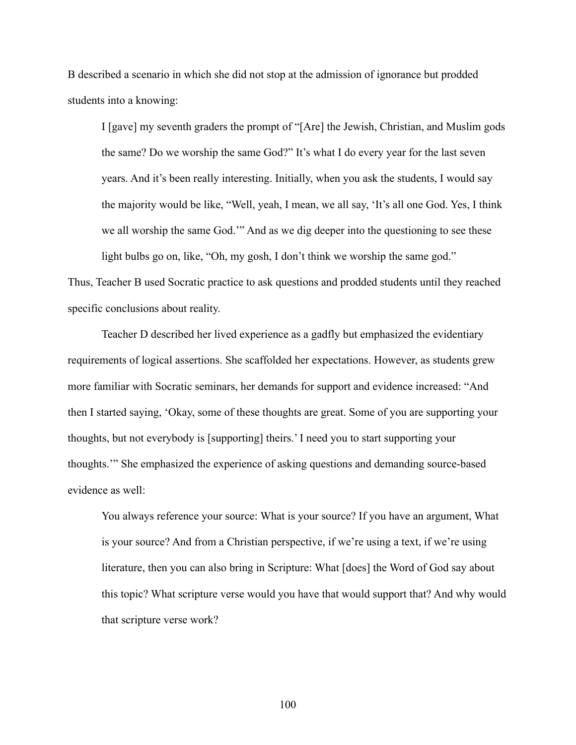B described a scenario in which she did not stop at the admission of ignorance but prodded students into a knowing:

I [gave] my seventh graders the prompt of "[Are] the Jewish, Christian, and Muslim gods the same? Do we worship the same God?" It's what I do every year for the last seven years. And it's been really interesting. Initially, when you ask the students, I would say the majority would be like, "Well, yeah, I mean, we all say, 'It's all one God. Yes, I think we all worship the same God.'" And as we dig deeper into the questioning to see these

light bulbs go on, like, "Oh, my gosh, I don't think we worship the same god." Thus, Teacher B used Socratic practice to ask questions and prodded students until they reached specific conclusions about reality.

Teacher D described her lived experience as a gadfly but emphasized the evidentiary requirements of logical assertions. She scaffolded her expectations. However, as students grew more familiar with Socratic seminars, her demands for support and evidence increased: "And then I started saying, 'Okay, some of these thoughts are great. Some of you are supporting your thoughts, but not everybody is [supporting] theirs.' I need you to start supporting your thoughts.'" She emphasized the experience of asking questions and demanding source-based evidence as well:

You always reference your source: What is your source? If you have an argument, What is your source? And from a Christian perspective, if we're using a text, if we're using literature, then you can also bring in Scripture: What [does] the Word of God say about this topic? What scripture verse would you have that would support that? And why would that scripture verse work?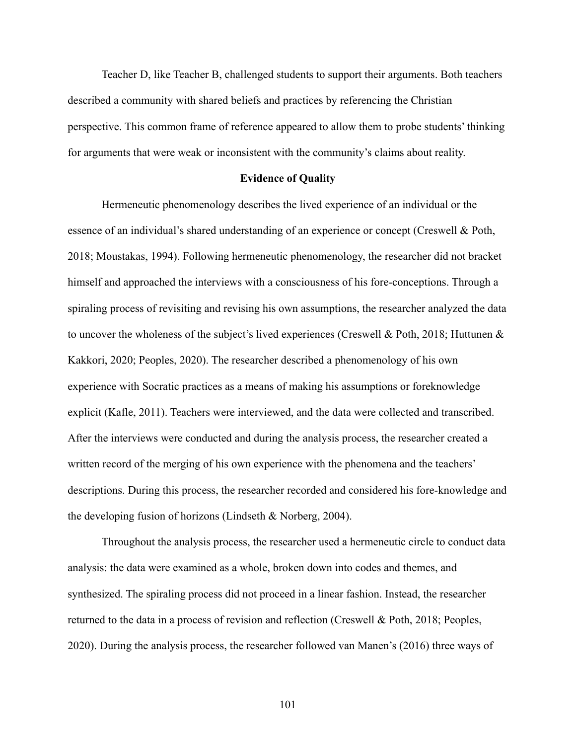Teacher D, like Teacher B, challenged students to support their arguments. Both teachers described a community with shared beliefs and practices by referencing the Christian perspective. This common frame of reference appeared to allow them to probe students' thinking for arguments that were weak or inconsistent with the community's claims about reality.

### **Evidence of Quality**

Hermeneutic phenomenology describes the lived experience of an individual or the essence of an individual's shared understanding of an experience or concept (Creswell & Poth, 2018; Moustakas, 1994). Following hermeneutic phenomenology, the researcher did not bracket himself and approached the interviews with a consciousness of his fore-conceptions. Through a spiraling process of revisiting and revising his own assumptions, the researcher analyzed the data to uncover the wholeness of the subject's lived experiences (Creswell & Poth, 2018; Huttunen & Kakkori, 2020; Peoples, 2020). The researcher described a phenomenology of his own experience with Socratic practices as a means of making his assumptions or foreknowledge explicit (Kafle, 2011). Teachers were interviewed, and the data were collected and transcribed. After the interviews were conducted and during the analysis process, the researcher created a written record of the merging of his own experience with the phenomena and the teachers' descriptions. During this process, the researcher recorded and considered his fore-knowledge and the developing fusion of horizons (Lindseth & Norberg, 2004).

Throughout the analysis process, the researcher used a hermeneutic circle to conduct data analysis: the data were examined as a whole, broken down into codes and themes, and synthesized. The spiraling process did not proceed in a linear fashion. Instead, the researcher returned to the data in a process of revision and reflection (Creswell & Poth, 2018; Peoples, 2020). During the analysis process, the researcher followed van Manen's (2016) three ways of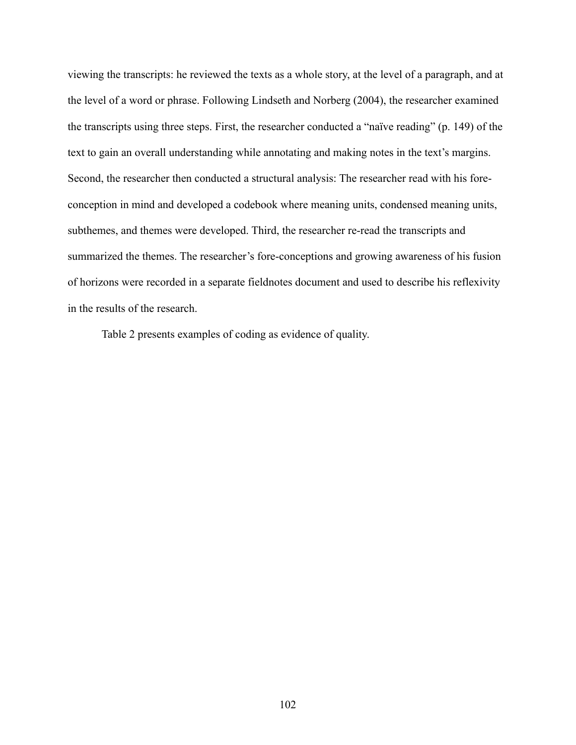viewing the transcripts: he reviewed the texts as a whole story, at the level of a paragraph, and at the level of a word or phrase. Following Lindseth and Norberg (2004), the researcher examined the transcripts using three steps. First, the researcher conducted a "naïve reading" (p. 149) of the text to gain an overall understanding while annotating and making notes in the text's margins. Second, the researcher then conducted a structural analysis: The researcher read with his foreconception in mind and developed a codebook where meaning units, condensed meaning units, subthemes, and themes were developed. Third, the researcher re-read the transcripts and summarized the themes. The researcher's fore-conceptions and growing awareness of his fusion of horizons were recorded in a separate fieldnotes document and used to describe his reflexivity in the results of the research.

Table 2 presents examples of coding as evidence of quality.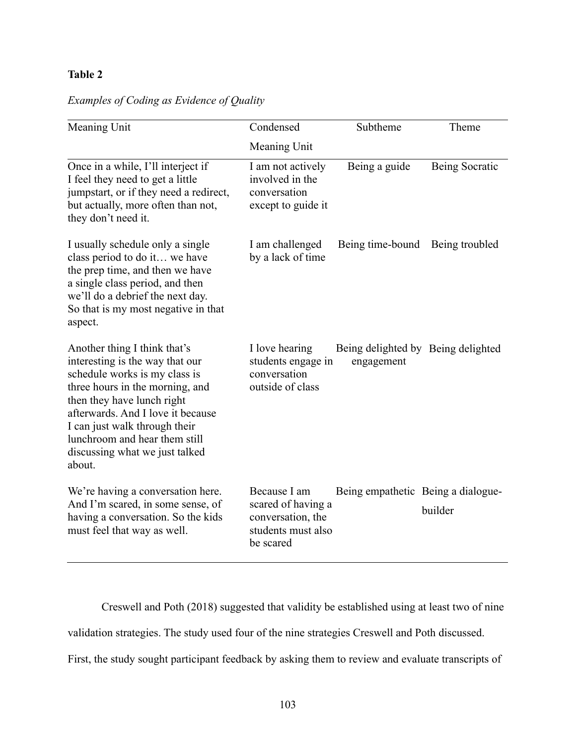# **Table 2**

| Meaning Unit                                                                                                                                                                                                                                                                                                         | Condensed                                                                                  | Subtheme                                         | Theme          |
|----------------------------------------------------------------------------------------------------------------------------------------------------------------------------------------------------------------------------------------------------------------------------------------------------------------------|--------------------------------------------------------------------------------------------|--------------------------------------------------|----------------|
|                                                                                                                                                                                                                                                                                                                      | Meaning Unit                                                                               |                                                  |                |
| Once in a while, I'll interject if<br>I feel they need to get a little<br>jumpstart, or if they need a redirect,<br>but actually, more often than not,<br>they don't need it.                                                                                                                                        | I am not actively<br>involved in the<br>conversation<br>except to guide it                 | Being a guide                                    | Being Socratic |
| I usually schedule only a single<br>class period to do it we have<br>the prep time, and then we have<br>a single class period, and then<br>we'll do a debrief the next day.<br>So that is my most negative in that<br>aspect.                                                                                        | I am challenged<br>by a lack of time                                                       | Being time-bound                                 | Being troubled |
| Another thing I think that's<br>interesting is the way that our<br>schedule works is my class is<br>three hours in the morning, and<br>then they have lunch right<br>afterwards. And I love it because<br>I can just walk through their<br>lunchroom and hear them still<br>discussing what we just talked<br>about. | I love hearing<br>students engage in<br>conversation<br>outside of class                   | Being delighted by Being delighted<br>engagement |                |
| We're having a conversation here.<br>And I'm scared, in some sense, of<br>having a conversation. So the kids<br>must feel that way as well.                                                                                                                                                                          | Because I am<br>scared of having a<br>conversation, the<br>students must also<br>be scared | Being empathetic Being a dialogue-               | builder        |

# *Examples of Coding as Evidence of Quality*

Creswell and Poth (2018) suggested that validity be established using at least two of nine validation strategies. The study used four of the nine strategies Creswell and Poth discussed.

First, the study sought participant feedback by asking them to review and evaluate transcripts of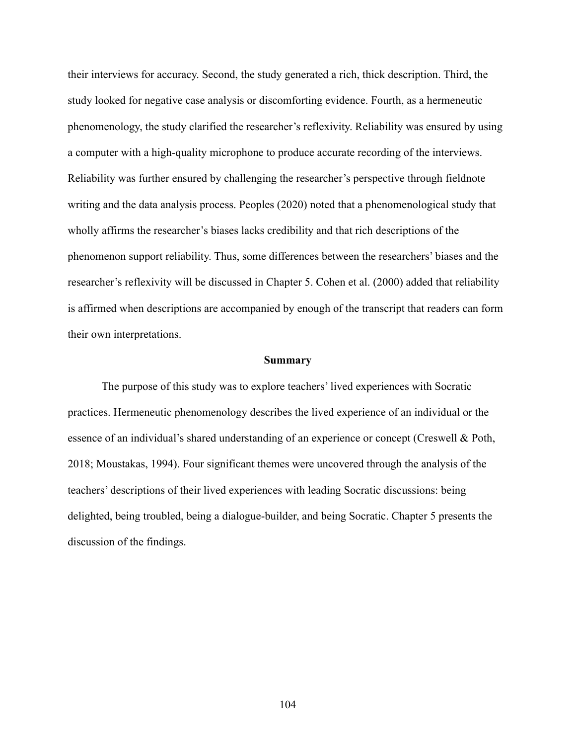their interviews for accuracy. Second, the study generated a rich, thick description. Third, the study looked for negative case analysis or discomforting evidence. Fourth, as a hermeneutic phenomenology, the study clarified the researcher's reflexivity. Reliability was ensured by using a computer with a high-quality microphone to produce accurate recording of the interviews. Reliability was further ensured by challenging the researcher's perspective through fieldnote writing and the data analysis process. Peoples (2020) noted that a phenomenological study that wholly affirms the researcher's biases lacks credibility and that rich descriptions of the phenomenon support reliability. Thus, some differences between the researchers' biases and the researcher's reflexivity will be discussed in Chapter 5. Cohen et al. (2000) added that reliability is affirmed when descriptions are accompanied by enough of the transcript that readers can form their own interpretations.

#### **Summary**

The purpose of this study was to explore teachers' lived experiences with Socratic practices. Hermeneutic phenomenology describes the lived experience of an individual or the essence of an individual's shared understanding of an experience or concept (Creswell & Poth, 2018; Moustakas, 1994). Four significant themes were uncovered through the analysis of the teachers' descriptions of their lived experiences with leading Socratic discussions: being delighted, being troubled, being a dialogue-builder, and being Socratic. Chapter 5 presents the discussion of the findings.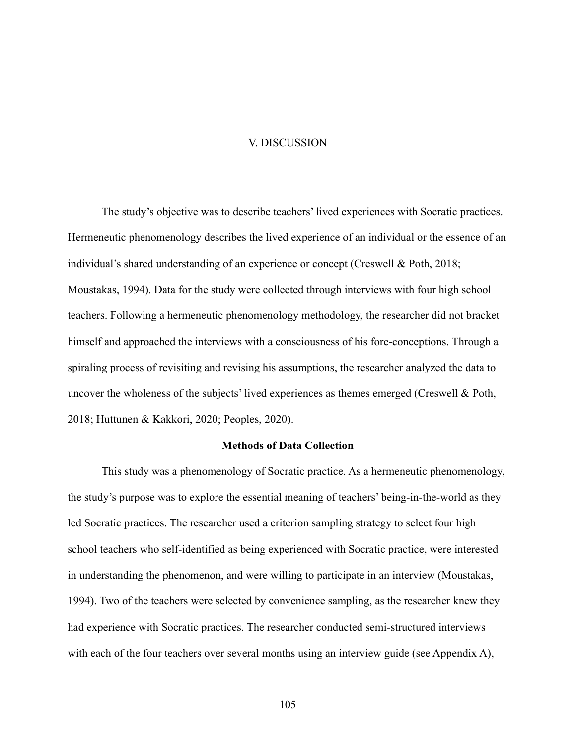## V. DISCUSSION

The study's objective was to describe teachers' lived experiences with Socratic practices. Hermeneutic phenomenology describes the lived experience of an individual or the essence of an individual's shared understanding of an experience or concept (Creswell & Poth, 2018; Moustakas, 1994). Data for the study were collected through interviews with four high school teachers. Following a hermeneutic phenomenology methodology, the researcher did not bracket himself and approached the interviews with a consciousness of his fore-conceptions. Through a spiraling process of revisiting and revising his assumptions, the researcher analyzed the data to uncover the wholeness of the subjects' lived experiences as themes emerged (Creswell & Poth, 2018; Huttunen & Kakkori, 2020; Peoples, 2020).

# **Methods of Data Collection**

This study was a phenomenology of Socratic practice. As a hermeneutic phenomenology, the study's purpose was to explore the essential meaning of teachers' being-in-the-world as they led Socratic practices. The researcher used a criterion sampling strategy to select four high school teachers who self-identified as being experienced with Socratic practice, were interested in understanding the phenomenon, and were willing to participate in an interview (Moustakas, 1994). Two of the teachers were selected by convenience sampling, as the researcher knew they had experience with Socratic practices. The researcher conducted semi-structured interviews with each of the four teachers over several months using an interview guide (see Appendix A),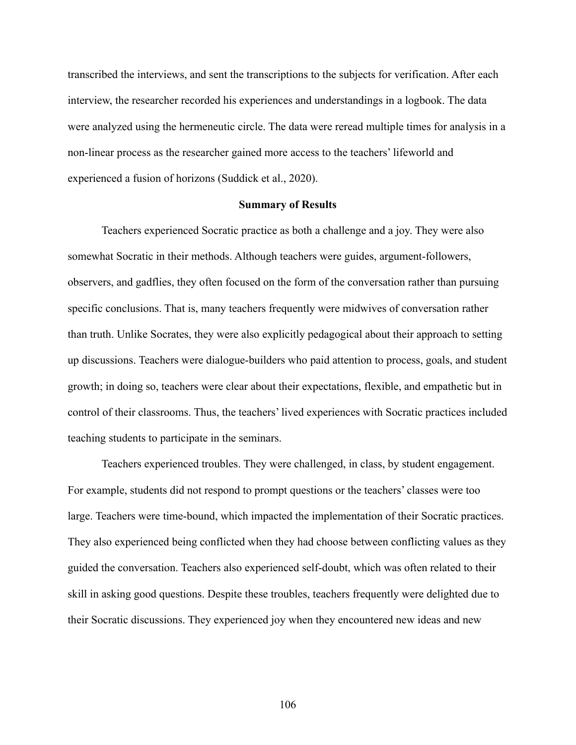transcribed the interviews, and sent the transcriptions to the subjects for verification. After each interview, the researcher recorded his experiences and understandings in a logbook. The data were analyzed using the hermeneutic circle. The data were reread multiple times for analysis in a non-linear process as the researcher gained more access to the teachers' lifeworld and experienced a fusion of horizons (Suddick et al., 2020).

# **Summary of Results**

Teachers experienced Socratic practice as both a challenge and a joy. They were also somewhat Socratic in their methods. Although teachers were guides, argument-followers, observers, and gadflies, they often focused on the form of the conversation rather than pursuing specific conclusions. That is, many teachers frequently were midwives of conversation rather than truth. Unlike Socrates, they were also explicitly pedagogical about their approach to setting up discussions. Teachers were dialogue-builders who paid attention to process, goals, and student growth; in doing so, teachers were clear about their expectations, flexible, and empathetic but in control of their classrooms. Thus, the teachers' lived experiences with Socratic practices included teaching students to participate in the seminars.

Teachers experienced troubles. They were challenged, in class, by student engagement. For example, students did not respond to prompt questions or the teachers' classes were too large. Teachers were time-bound, which impacted the implementation of their Socratic practices. They also experienced being conflicted when they had choose between conflicting values as they guided the conversation. Teachers also experienced self-doubt, which was often related to their skill in asking good questions. Despite these troubles, teachers frequently were delighted due to their Socratic discussions. They experienced joy when they encountered new ideas and new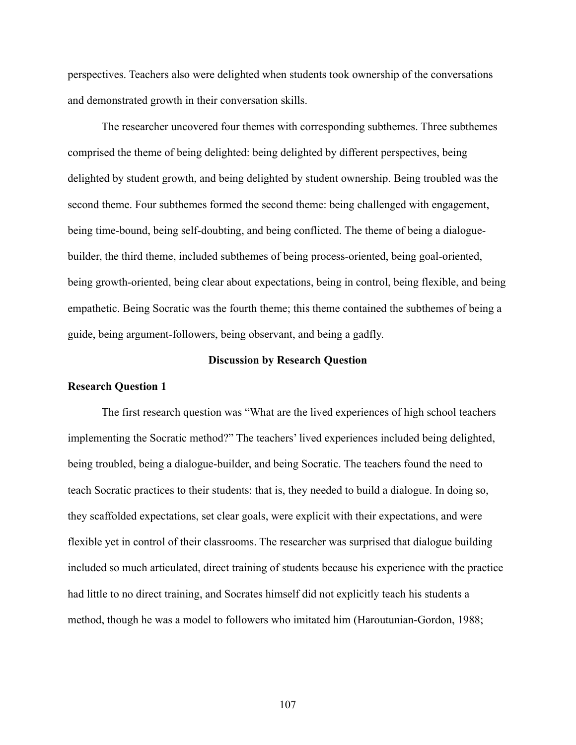perspectives. Teachers also were delighted when students took ownership of the conversations and demonstrated growth in their conversation skills.

The researcher uncovered four themes with corresponding subthemes. Three subthemes comprised the theme of being delighted: being delighted by different perspectives, being delighted by student growth, and being delighted by student ownership. Being troubled was the second theme. Four subthemes formed the second theme: being challenged with engagement, being time-bound, being self-doubting, and being conflicted. The theme of being a dialoguebuilder, the third theme, included subthemes of being process-oriented, being goal-oriented, being growth-oriented, being clear about expectations, being in control, being flexible, and being empathetic. Being Socratic was the fourth theme; this theme contained the subthemes of being a guide, being argument-followers, being observant, and being a gadfly.

# **Discussion by Research Question**

# **Research Question 1**

The first research question was "What are the lived experiences of high school teachers implementing the Socratic method?" The teachers' lived experiences included being delighted, being troubled, being a dialogue-builder, and being Socratic. The teachers found the need to teach Socratic practices to their students: that is, they needed to build a dialogue. In doing so, they scaffolded expectations, set clear goals, were explicit with their expectations, and were flexible yet in control of their classrooms. The researcher was surprised that dialogue building included so much articulated, direct training of students because his experience with the practice had little to no direct training, and Socrates himself did not explicitly teach his students a method, though he was a model to followers who imitated him (Haroutunian-Gordon, 1988;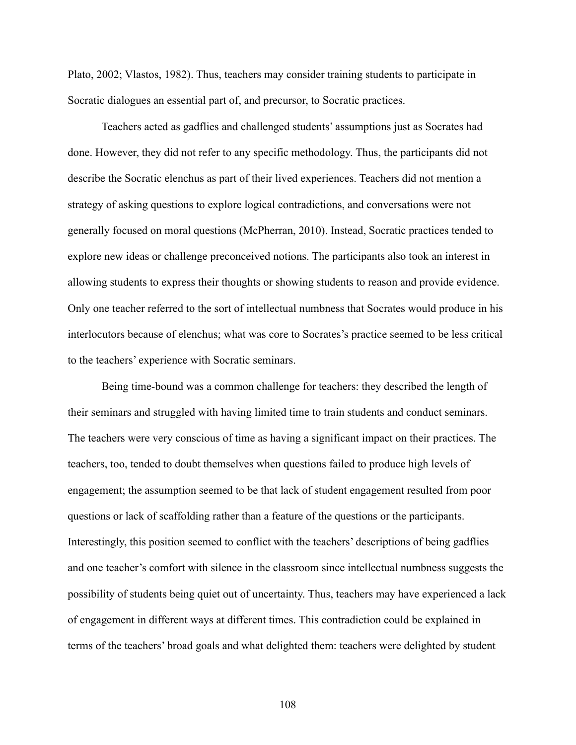Plato, 2002; Vlastos, 1982). Thus, teachers may consider training students to participate in Socratic dialogues an essential part of, and precursor, to Socratic practices.

Teachers acted as gadflies and challenged students' assumptions just as Socrates had done. However, they did not refer to any specific methodology. Thus, the participants did not describe the Socratic elenchus as part of their lived experiences. Teachers did not mention a strategy of asking questions to explore logical contradictions, and conversations were not generally focused on moral questions (McPherran, 2010). Instead, Socratic practices tended to explore new ideas or challenge preconceived notions. The participants also took an interest in allowing students to express their thoughts or showing students to reason and provide evidence. Only one teacher referred to the sort of intellectual numbness that Socrates would produce in his interlocutors because of elenchus; what was core to Socrates's practice seemed to be less critical to the teachers' experience with Socratic seminars.

Being time-bound was a common challenge for teachers: they described the length of their seminars and struggled with having limited time to train students and conduct seminars. The teachers were very conscious of time as having a significant impact on their practices. The teachers, too, tended to doubt themselves when questions failed to produce high levels of engagement; the assumption seemed to be that lack of student engagement resulted from poor questions or lack of scaffolding rather than a feature of the questions or the participants. Interestingly, this position seemed to conflict with the teachers' descriptions of being gadflies and one teacher's comfort with silence in the classroom since intellectual numbness suggests the possibility of students being quiet out of uncertainty. Thus, teachers may have experienced a lack of engagement in different ways at different times. This contradiction could be explained in terms of the teachers' broad goals and what delighted them: teachers were delighted by student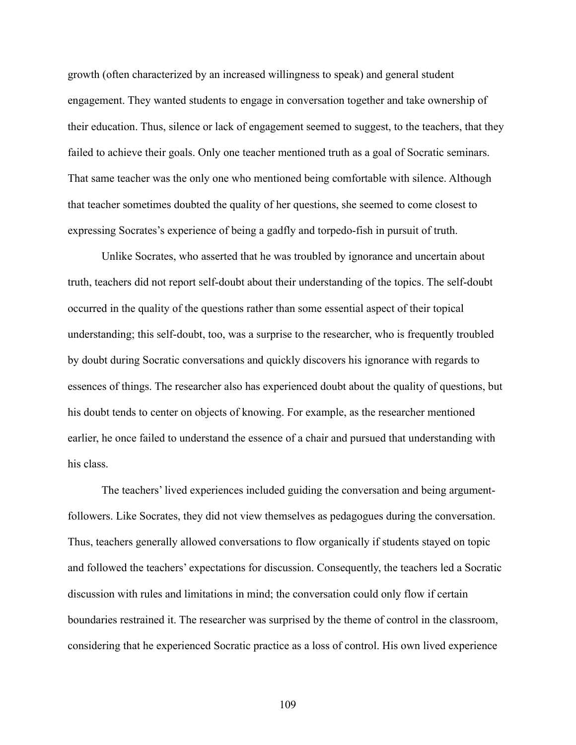growth (often characterized by an increased willingness to speak) and general student engagement. They wanted students to engage in conversation together and take ownership of their education. Thus, silence or lack of engagement seemed to suggest, to the teachers, that they failed to achieve their goals. Only one teacher mentioned truth as a goal of Socratic seminars. That same teacher was the only one who mentioned being comfortable with silence. Although that teacher sometimes doubted the quality of her questions, she seemed to come closest to expressing Socrates's experience of being a gadfly and torpedo-fish in pursuit of truth.

Unlike Socrates, who asserted that he was troubled by ignorance and uncertain about truth, teachers did not report self-doubt about their understanding of the topics. The self-doubt occurred in the quality of the questions rather than some essential aspect of their topical understanding; this self-doubt, too, was a surprise to the researcher, who is frequently troubled by doubt during Socratic conversations and quickly discovers his ignorance with regards to essences of things. The researcher also has experienced doubt about the quality of questions, but his doubt tends to center on objects of knowing. For example, as the researcher mentioned earlier, he once failed to understand the essence of a chair and pursued that understanding with his class.

The teachers' lived experiences included guiding the conversation and being argumentfollowers. Like Socrates, they did not view themselves as pedagogues during the conversation. Thus, teachers generally allowed conversations to flow organically if students stayed on topic and followed the teachers' expectations for discussion. Consequently, the teachers led a Socratic discussion with rules and limitations in mind; the conversation could only flow if certain boundaries restrained it. The researcher was surprised by the theme of control in the classroom, considering that he experienced Socratic practice as a loss of control. His own lived experience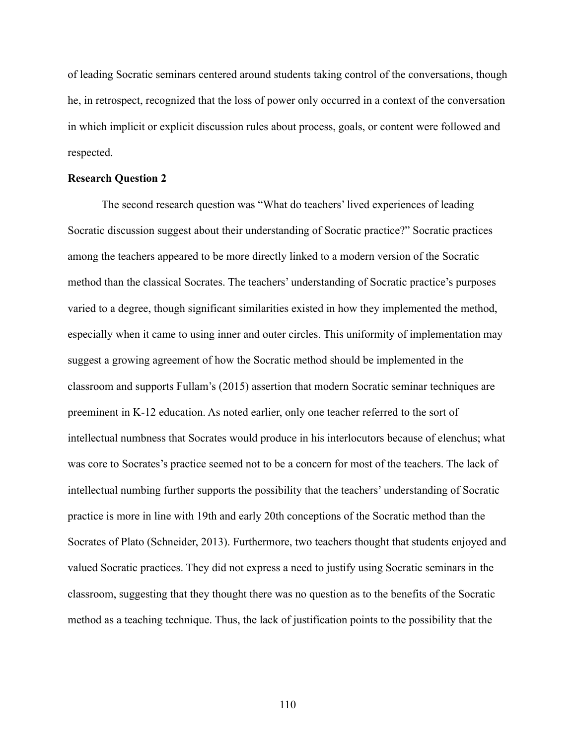of leading Socratic seminars centered around students taking control of the conversations, though he, in retrospect, recognized that the loss of power only occurred in a context of the conversation in which implicit or explicit discussion rules about process, goals, or content were followed and respected.

#### **Research Question 2**

The second research question was "What do teachers' lived experiences of leading Socratic discussion suggest about their understanding of Socratic practice?" Socratic practices among the teachers appeared to be more directly linked to a modern version of the Socratic method than the classical Socrates. The teachers' understanding of Socratic practice's purposes varied to a degree, though significant similarities existed in how they implemented the method, especially when it came to using inner and outer circles. This uniformity of implementation may suggest a growing agreement of how the Socratic method should be implemented in the classroom and supports Fullam's (2015) assertion that modern Socratic seminar techniques are preeminent in K-12 education. As noted earlier, only one teacher referred to the sort of intellectual numbness that Socrates would produce in his interlocutors because of elenchus; what was core to Socrates's practice seemed not to be a concern for most of the teachers. The lack of intellectual numbing further supports the possibility that the teachers' understanding of Socratic practice is more in line with 19th and early 20th conceptions of the Socratic method than the Socrates of Plato (Schneider, 2013). Furthermore, two teachers thought that students enjoyed and valued Socratic practices. They did not express a need to justify using Socratic seminars in the classroom, suggesting that they thought there was no question as to the benefits of the Socratic method as a teaching technique. Thus, the lack of justification points to the possibility that the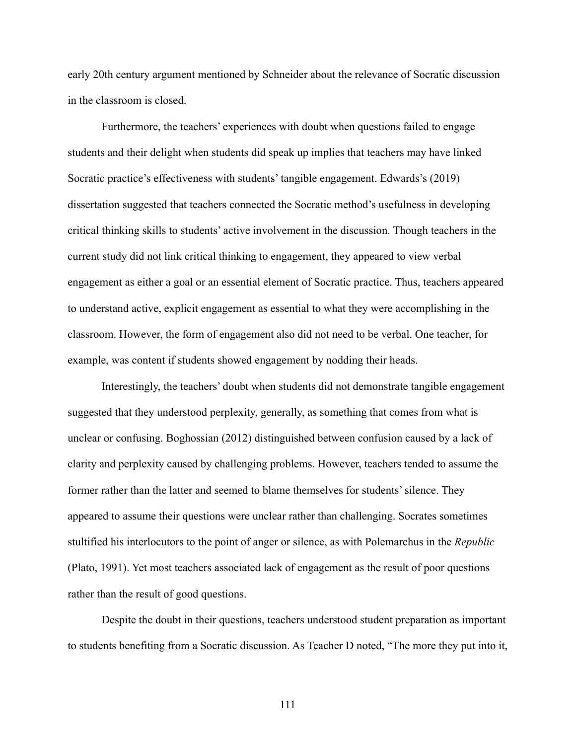early 20th century argument mentioned by Schneider about the relevance of Socratic discussion in the classroom is closed.

Furthermore, the teachers' experiences with doubt when questions failed to engage students and their delight when students did speak up implies that teachers may have linked Socratic practice's effectiveness with students' tangible engagement. Edwards's (2019) dissertation suggested that teachers connected the Socratic method's usefulness in developing critical thinking skills to students' active involvement in the discussion. Though teachers in the current study did not link critical thinking to engagement, they appeared to view verbal engagement as either a goal or an essential element of Socratic practice. Thus, teachers appeared to understand active, explicit engagement as essential to what they were accomplishing in the classroom. However, the form of engagement also did not need to be verbal. One teacher, for example, was content if students showed engagement by nodding their heads.

Interestingly, the teachers' doubt when students did not demonstrate tangible engagement suggested that they understood perplexity, generally, as something that comes from what is unclear or confusing. Boghossian (2012) distinguished between confusion caused by a lack of clarity and perplexity caused by challenging problems. However, teachers tended to assume the former rather than the latter and seemed to blame themselves for students' silence. They appeared to assume their questions were unclear rather than challenging. Socrates sometimes stultified his interlocutors to the point of anger or silence, as with Polemarchus in the *Republic* (Plato, 1991). Yet most teachers associated lack of engagement as the result of poor questions rather than the result of good questions.

Despite the doubt in their questions, teachers understood student preparation as important to students benefiting from a Socratic discussion. As Teacher D noted, "The more they put into it,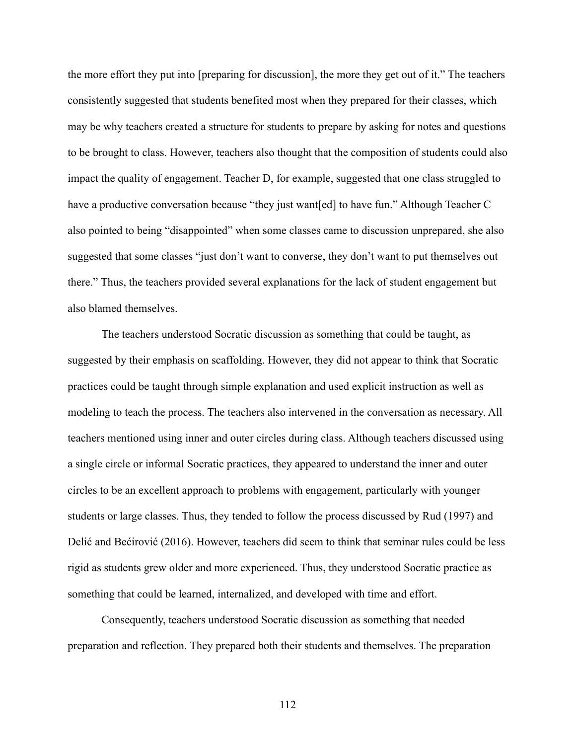the more effort they put into [preparing for discussion], the more they get out of it." The teachers consistently suggested that students benefited most when they prepared for their classes, which may be why teachers created a structure for students to prepare by asking for notes and questions to be brought to class. However, teachers also thought that the composition of students could also impact the quality of engagement. Teacher D, for example, suggested that one class struggled to have a productive conversation because "they just want [ed] to have fun." Although Teacher C also pointed to being "disappointed" when some classes came to discussion unprepared, she also suggested that some classes "just don't want to converse, they don't want to put themselves out there." Thus, the teachers provided several explanations for the lack of student engagement but also blamed themselves.

The teachers understood Socratic discussion as something that could be taught, as suggested by their emphasis on scaffolding. However, they did not appear to think that Socratic practices could be taught through simple explanation and used explicit instruction as well as modeling to teach the process. The teachers also intervened in the conversation as necessary. All teachers mentioned using inner and outer circles during class. Although teachers discussed using a single circle or informal Socratic practices, they appeared to understand the inner and outer circles to be an excellent approach to problems with engagement, particularly with younger students or large classes. Thus, they tended to follow the process discussed by Rud (1997) and Delić and Bećirović (2016). However, teachers did seem to think that seminar rules could be less rigid as students grew older and more experienced. Thus, they understood Socratic practice as something that could be learned, internalized, and developed with time and effort.

Consequently, teachers understood Socratic discussion as something that needed preparation and reflection. They prepared both their students and themselves. The preparation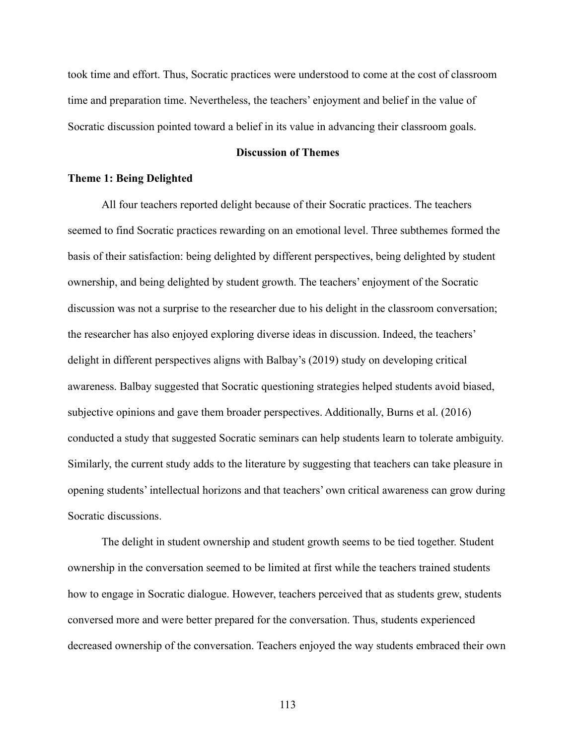took time and effort. Thus, Socratic practices were understood to come at the cost of classroom time and preparation time. Nevertheless, the teachers' enjoyment and belief in the value of Socratic discussion pointed toward a belief in its value in advancing their classroom goals.

# **Discussion of Themes**

## **Theme 1: Being Delighted**

All four teachers reported delight because of their Socratic practices. The teachers seemed to find Socratic practices rewarding on an emotional level. Three subthemes formed the basis of their satisfaction: being delighted by different perspectives, being delighted by student ownership, and being delighted by student growth. The teachers' enjoyment of the Socratic discussion was not a surprise to the researcher due to his delight in the classroom conversation; the researcher has also enjoyed exploring diverse ideas in discussion. Indeed, the teachers' delight in different perspectives aligns with Balbay's (2019) study on developing critical awareness. Balbay suggested that Socratic questioning strategies helped students avoid biased, subjective opinions and gave them broader perspectives. Additionally, Burns et al. (2016) conducted a study that suggested Socratic seminars can help students learn to tolerate ambiguity. Similarly, the current study adds to the literature by suggesting that teachers can take pleasure in opening students' intellectual horizons and that teachers' own critical awareness can grow during Socratic discussions.

The delight in student ownership and student growth seems to be tied together. Student ownership in the conversation seemed to be limited at first while the teachers trained students how to engage in Socratic dialogue. However, teachers perceived that as students grew, students conversed more and were better prepared for the conversation. Thus, students experienced decreased ownership of the conversation. Teachers enjoyed the way students embraced their own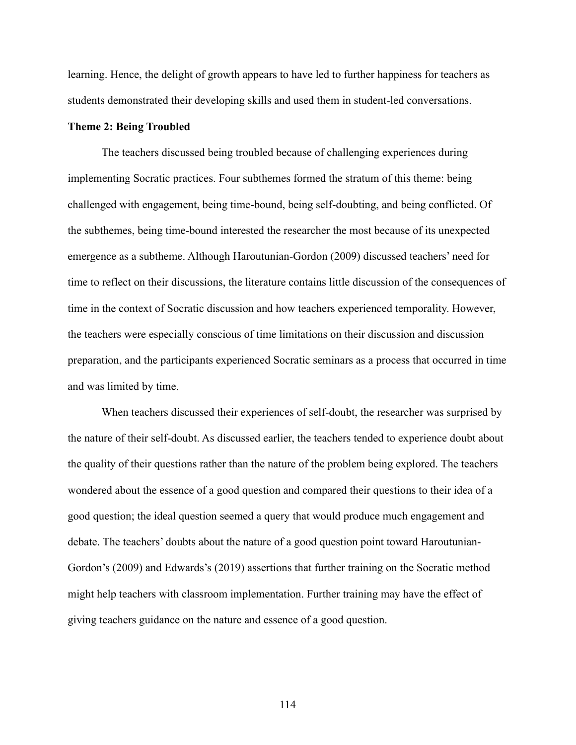learning. Hence, the delight of growth appears to have led to further happiness for teachers as students demonstrated their developing skills and used them in student-led conversations.

# **Theme 2: Being Troubled**

The teachers discussed being troubled because of challenging experiences during implementing Socratic practices. Four subthemes formed the stratum of this theme: being challenged with engagement, being time-bound, being self-doubting, and being conflicted. Of the subthemes, being time-bound interested the researcher the most because of its unexpected emergence as a subtheme. Although Haroutunian-Gordon (2009) discussed teachers' need for time to reflect on their discussions, the literature contains little discussion of the consequences of time in the context of Socratic discussion and how teachers experienced temporality. However, the teachers were especially conscious of time limitations on their discussion and discussion preparation, and the participants experienced Socratic seminars as a process that occurred in time and was limited by time.

When teachers discussed their experiences of self-doubt, the researcher was surprised by the nature of their self-doubt. As discussed earlier, the teachers tended to experience doubt about the quality of their questions rather than the nature of the problem being explored. The teachers wondered about the essence of a good question and compared their questions to their idea of a good question; the ideal question seemed a query that would produce much engagement and debate. The teachers' doubts about the nature of a good question point toward Haroutunian-Gordon's (2009) and Edwards's (2019) assertions that further training on the Socratic method might help teachers with classroom implementation. Further training may have the effect of giving teachers guidance on the nature and essence of a good question.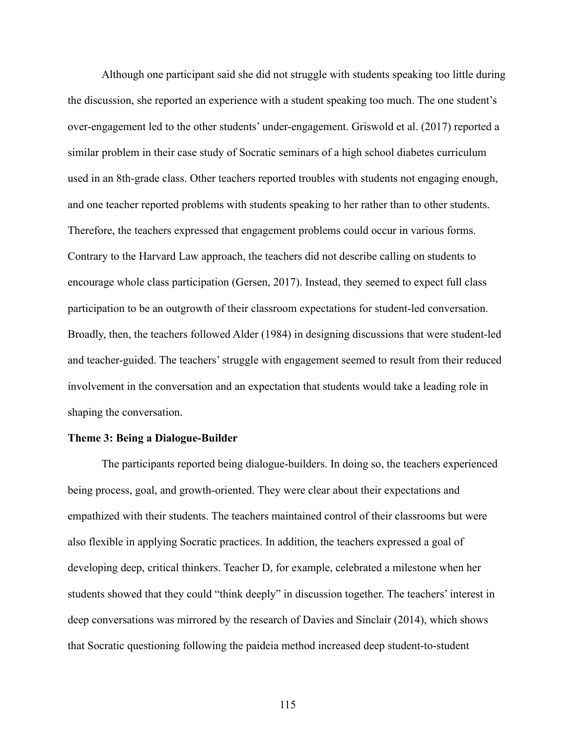Although one participant said she did not struggle with students speaking too little during the discussion, she reported an experience with a student speaking too much. The one student's over-engagement led to the other students' under-engagement. Griswold et al. (2017) reported a similar problem in their case study of Socratic seminars of a high school diabetes curriculum used in an 8th-grade class. Other teachers reported troubles with students not engaging enough, and one teacher reported problems with students speaking to her rather than to other students. Therefore, the teachers expressed that engagement problems could occur in various forms. Contrary to the Harvard Law approach, the teachers did not describe calling on students to encourage whole class participation (Gersen, 2017). Instead, they seemed to expect full class participation to be an outgrowth of their classroom expectations for student-led conversation. Broadly, then, the teachers followed Alder (1984) in designing discussions that were student-led and teacher-guided. The teachers' struggle with engagement seemed to result from their reduced involvement in the conversation and an expectation that students would take a leading role in shaping the conversation.

# **Theme 3: Being a Dialogue-Builder**

The participants reported being dialogue-builders. In doing so, the teachers experienced being process, goal, and growth-oriented. They were clear about their expectations and empathized with their students. The teachers maintained control of their classrooms but were also flexible in applying Socratic practices. In addition, the teachers expressed a goal of developing deep, critical thinkers. Teacher D, for example, celebrated a milestone when her students showed that they could "think deeply" in discussion together. The teachers' interest in deep conversations was mirrored by the research of Davies and Sinclair (2014), which shows that Socratic questioning following the paideia method increased deep student-to-student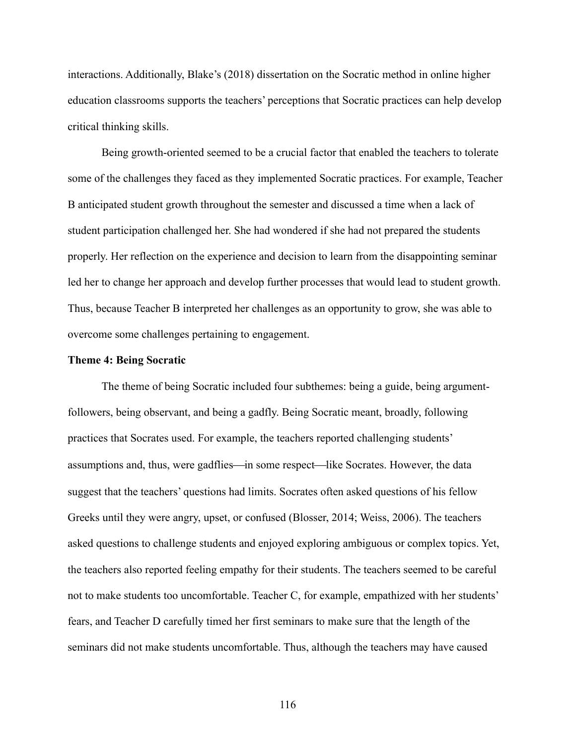interactions. Additionally, Blake's (2018) dissertation on the Socratic method in online higher education classrooms supports the teachers' perceptions that Socratic practices can help develop critical thinking skills.

Being growth-oriented seemed to be a crucial factor that enabled the teachers to tolerate some of the challenges they faced as they implemented Socratic practices. For example, Teacher B anticipated student growth throughout the semester and discussed a time when a lack of student participation challenged her. She had wondered if she had not prepared the students properly. Her reflection on the experience and decision to learn from the disappointing seminar led her to change her approach and develop further processes that would lead to student growth. Thus, because Teacher B interpreted her challenges as an opportunity to grow, she was able to overcome some challenges pertaining to engagement.

#### **Theme 4: Being Socratic**

The theme of being Socratic included four subthemes: being a guide, being argumentfollowers, being observant, and being a gadfly. Being Socratic meant, broadly, following practices that Socrates used. For example, the teachers reported challenging students' assumptions and, thus, were gadflies—in some respect—like Socrates. However, the data suggest that the teachers' questions had limits. Socrates often asked questions of his fellow Greeks until they were angry, upset, or confused (Blosser, 2014; Weiss, 2006). The teachers asked questions to challenge students and enjoyed exploring ambiguous or complex topics. Yet, the teachers also reported feeling empathy for their students. The teachers seemed to be careful not to make students too uncomfortable. Teacher C, for example, empathized with her students' fears, and Teacher D carefully timed her first seminars to make sure that the length of the seminars did not make students uncomfortable. Thus, although the teachers may have caused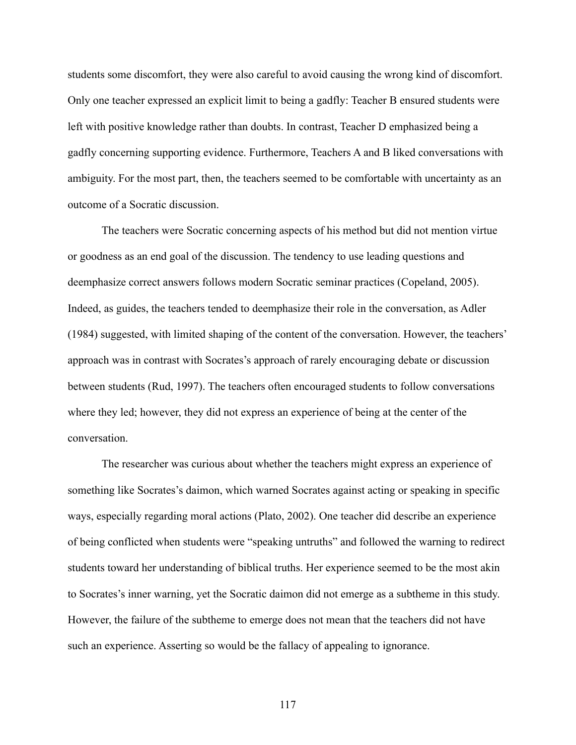students some discomfort, they were also careful to avoid causing the wrong kind of discomfort. Only one teacher expressed an explicit limit to being a gadfly: Teacher B ensured students were left with positive knowledge rather than doubts. In contrast, Teacher D emphasized being a gadfly concerning supporting evidence. Furthermore, Teachers A and B liked conversations with ambiguity. For the most part, then, the teachers seemed to be comfortable with uncertainty as an outcome of a Socratic discussion.

The teachers were Socratic concerning aspects of his method but did not mention virtue or goodness as an end goal of the discussion. The tendency to use leading questions and deemphasize correct answers follows modern Socratic seminar practices (Copeland, 2005). Indeed, as guides, the teachers tended to deemphasize their role in the conversation, as Adler (1984) suggested, with limited shaping of the content of the conversation. However, the teachers' approach was in contrast with Socrates's approach of rarely encouraging debate or discussion between students (Rud, 1997). The teachers often encouraged students to follow conversations where they led; however, they did not express an experience of being at the center of the conversation.

The researcher was curious about whether the teachers might express an experience of something like Socrates's daimon, which warned Socrates against acting or speaking in specific ways, especially regarding moral actions (Plato, 2002). One teacher did describe an experience of being conflicted when students were "speaking untruths" and followed the warning to redirect students toward her understanding of biblical truths. Her experience seemed to be the most akin to Socrates's inner warning, yet the Socratic daimon did not emerge as a subtheme in this study. However, the failure of the subtheme to emerge does not mean that the teachers did not have such an experience. Asserting so would be the fallacy of appealing to ignorance.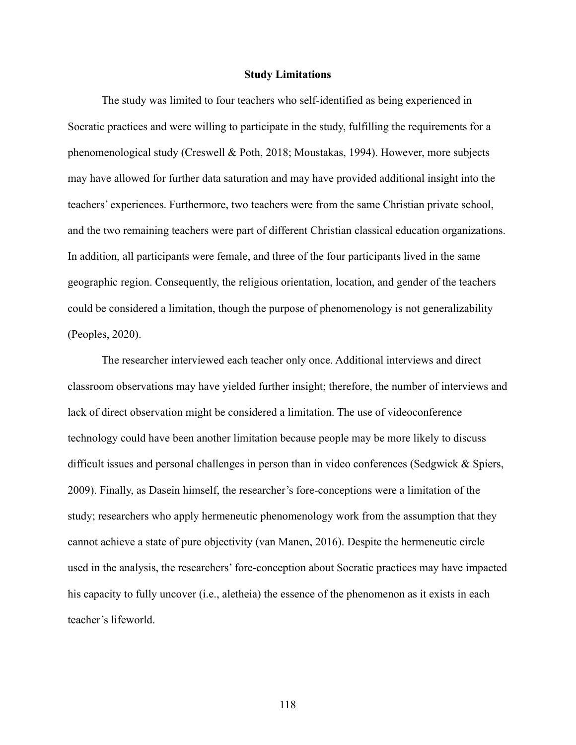## **Study Limitations**

The study was limited to four teachers who self-identified as being experienced in Socratic practices and were willing to participate in the study, fulfilling the requirements for a phenomenological study (Creswell & Poth, 2018; Moustakas, 1994). However, more subjects may have allowed for further data saturation and may have provided additional insight into the teachers' experiences. Furthermore, two teachers were from the same Christian private school, and the two remaining teachers were part of different Christian classical education organizations. In addition, all participants were female, and three of the four participants lived in the same geographic region. Consequently, the religious orientation, location, and gender of the teachers could be considered a limitation, though the purpose of phenomenology is not generalizability (Peoples, 2020).

The researcher interviewed each teacher only once. Additional interviews and direct classroom observations may have yielded further insight; therefore, the number of interviews and lack of direct observation might be considered a limitation. The use of videoconference technology could have been another limitation because people may be more likely to discuss difficult issues and personal challenges in person than in video conferences (Sedgwick & Spiers, 2009). Finally, as Dasein himself, the researcher's fore-conceptions were a limitation of the study; researchers who apply hermeneutic phenomenology work from the assumption that they cannot achieve a state of pure objectivity (van Manen, 2016). Despite the hermeneutic circle used in the analysis, the researchers' fore-conception about Socratic practices may have impacted his capacity to fully uncover (i.e., aletheia) the essence of the phenomenon as it exists in each teacher's lifeworld.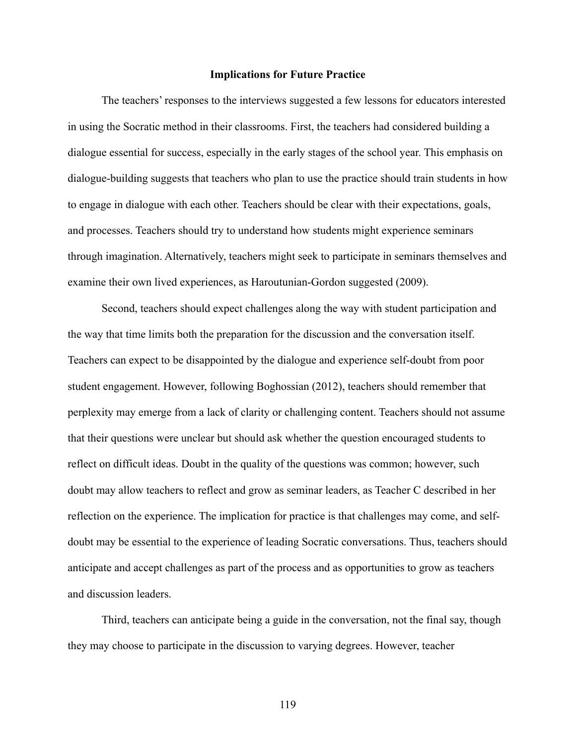# **Implications for Future Practice**

The teachers' responses to the interviews suggested a few lessons for educators interested in using the Socratic method in their classrooms. First, the teachers had considered building a dialogue essential for success, especially in the early stages of the school year. This emphasis on dialogue-building suggests that teachers who plan to use the practice should train students in how to engage in dialogue with each other. Teachers should be clear with their expectations, goals, and processes. Teachers should try to understand how students might experience seminars through imagination. Alternatively, teachers might seek to participate in seminars themselves and examine their own lived experiences, as Haroutunian-Gordon suggested (2009).

Second, teachers should expect challenges along the way with student participation and the way that time limits both the preparation for the discussion and the conversation itself. Teachers can expect to be disappointed by the dialogue and experience self-doubt from poor student engagement. However, following Boghossian (2012), teachers should remember that perplexity may emerge from a lack of clarity or challenging content. Teachers should not assume that their questions were unclear but should ask whether the question encouraged students to reflect on difficult ideas. Doubt in the quality of the questions was common; however, such doubt may allow teachers to reflect and grow as seminar leaders, as Teacher C described in her reflection on the experience. The implication for practice is that challenges may come, and selfdoubt may be essential to the experience of leading Socratic conversations. Thus, teachers should anticipate and accept challenges as part of the process and as opportunities to grow as teachers and discussion leaders.

Third, teachers can anticipate being a guide in the conversation, not the final say, though they may choose to participate in the discussion to varying degrees. However, teacher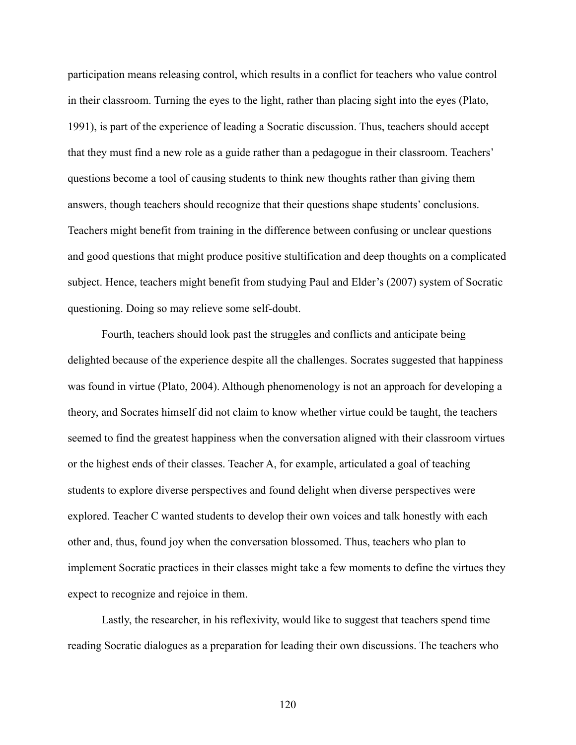participation means releasing control, which results in a conflict for teachers who value control in their classroom. Turning the eyes to the light, rather than placing sight into the eyes (Plato, 1991), is part of the experience of leading a Socratic discussion. Thus, teachers should accept that they must find a new role as a guide rather than a pedagogue in their classroom. Teachers' questions become a tool of causing students to think new thoughts rather than giving them answers, though teachers should recognize that their questions shape students' conclusions. Teachers might benefit from training in the difference between confusing or unclear questions and good questions that might produce positive stultification and deep thoughts on a complicated subject. Hence, teachers might benefit from studying Paul and Elder's (2007) system of Socratic questioning. Doing so may relieve some self-doubt.

Fourth, teachers should look past the struggles and conflicts and anticipate being delighted because of the experience despite all the challenges. Socrates suggested that happiness was found in virtue (Plato, 2004). Although phenomenology is not an approach for developing a theory, and Socrates himself did not claim to know whether virtue could be taught, the teachers seemed to find the greatest happiness when the conversation aligned with their classroom virtues or the highest ends of their classes. Teacher A, for example, articulated a goal of teaching students to explore diverse perspectives and found delight when diverse perspectives were explored. Teacher C wanted students to develop their own voices and talk honestly with each other and, thus, found joy when the conversation blossomed. Thus, teachers who plan to implement Socratic practices in their classes might take a few moments to define the virtues they expect to recognize and rejoice in them.

Lastly, the researcher, in his reflexivity, would like to suggest that teachers spend time reading Socratic dialogues as a preparation for leading their own discussions. The teachers who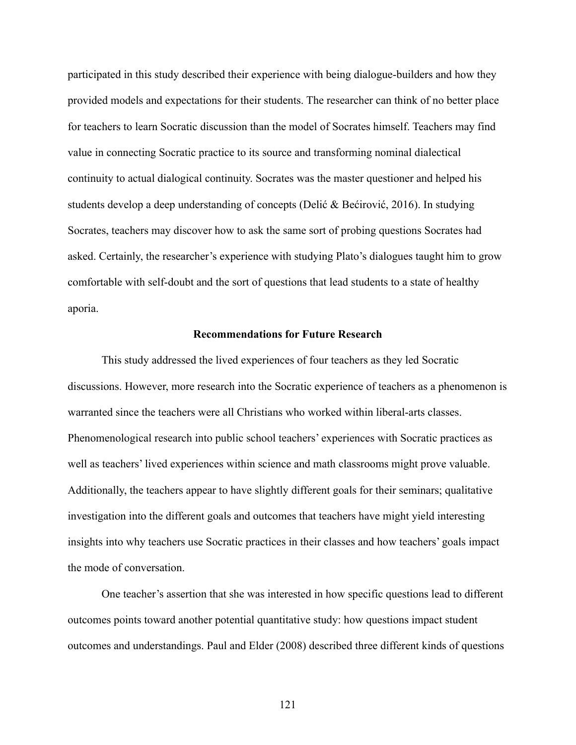participated in this study described their experience with being dialogue-builders and how they provided models and expectations for their students. The researcher can think of no better place for teachers to learn Socratic discussion than the model of Socrates himself. Teachers may find value in connecting Socratic practice to its source and transforming nominal dialectical continuity to actual dialogical continuity. Socrates was the master questioner and helped his students develop a deep understanding of concepts (Delić & Bećirović, 2016). In studying Socrates, teachers may discover how to ask the same sort of probing questions Socrates had asked. Certainly, the researcher's experience with studying Plato's dialogues taught him to grow comfortable with self-doubt and the sort of questions that lead students to a state of healthy aporia.

## **Recommendations for Future Research**

This study addressed the lived experiences of four teachers as they led Socratic discussions. However, more research into the Socratic experience of teachers as a phenomenon is warranted since the teachers were all Christians who worked within liberal-arts classes. Phenomenological research into public school teachers' experiences with Socratic practices as well as teachers' lived experiences within science and math classrooms might prove valuable. Additionally, the teachers appear to have slightly different goals for their seminars; qualitative investigation into the different goals and outcomes that teachers have might yield interesting insights into why teachers use Socratic practices in their classes and how teachers' goals impact the mode of conversation.

One teacher's assertion that she was interested in how specific questions lead to different outcomes points toward another potential quantitative study: how questions impact student outcomes and understandings. Paul and Elder (2008) described three different kinds of questions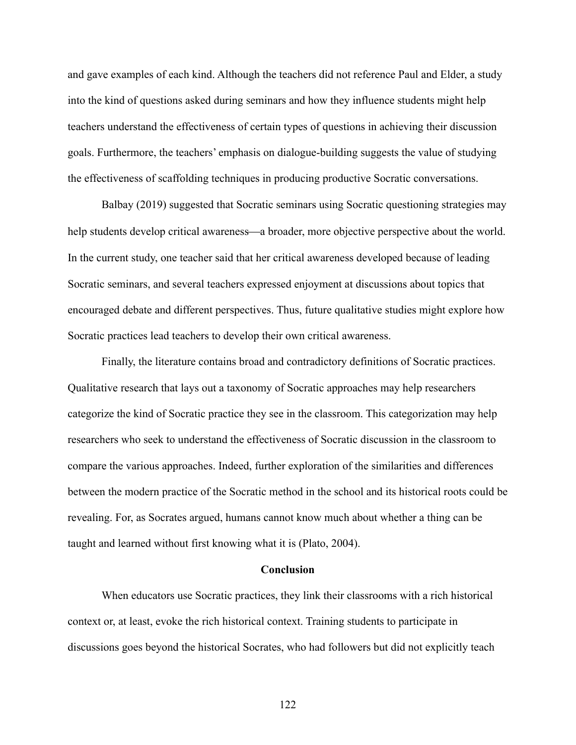and gave examples of each kind. Although the teachers did not reference Paul and Elder, a study into the kind of questions asked during seminars and how they influence students might help teachers understand the effectiveness of certain types of questions in achieving their discussion goals. Furthermore, the teachers' emphasis on dialogue-building suggests the value of studying the effectiveness of scaffolding techniques in producing productive Socratic conversations.

Balbay (2019) suggested that Socratic seminars using Socratic questioning strategies may help students develop critical awareness—a broader, more objective perspective about the world. In the current study, one teacher said that her critical awareness developed because of leading Socratic seminars, and several teachers expressed enjoyment at discussions about topics that encouraged debate and different perspectives. Thus, future qualitative studies might explore how Socratic practices lead teachers to develop their own critical awareness.

Finally, the literature contains broad and contradictory definitions of Socratic practices. Qualitative research that lays out a taxonomy of Socratic approaches may help researchers categorize the kind of Socratic practice they see in the classroom. This categorization may help researchers who seek to understand the effectiveness of Socratic discussion in the classroom to compare the various approaches. Indeed, further exploration of the similarities and differences between the modern practice of the Socratic method in the school and its historical roots could be revealing. For, as Socrates argued, humans cannot know much about whether a thing can be taught and learned without first knowing what it is (Plato, 2004).

## **Conclusion**

When educators use Socratic practices, they link their classrooms with a rich historical context or, at least, evoke the rich historical context. Training students to participate in discussions goes beyond the historical Socrates, who had followers but did not explicitly teach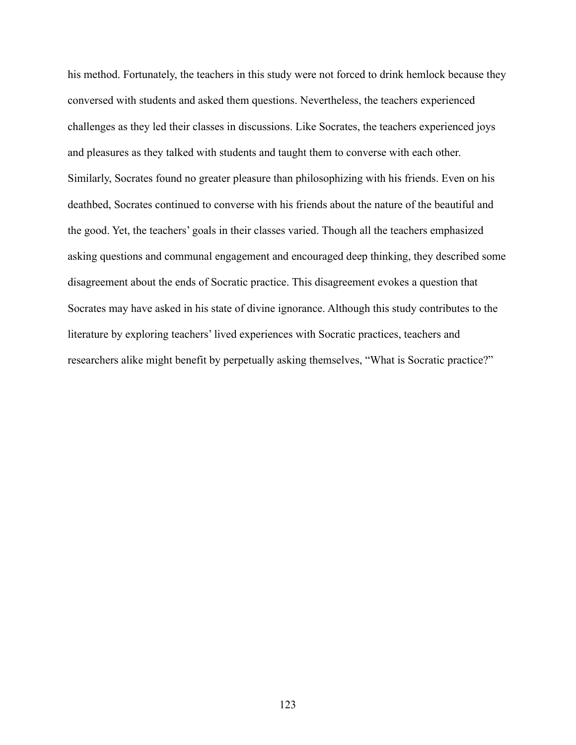his method. Fortunately, the teachers in this study were not forced to drink hemlock because they conversed with students and asked them questions. Nevertheless, the teachers experienced challenges as they led their classes in discussions. Like Socrates, the teachers experienced joys and pleasures as they talked with students and taught them to converse with each other. Similarly, Socrates found no greater pleasure than philosophizing with his friends. Even on his deathbed, Socrates continued to converse with his friends about the nature of the beautiful and the good. Yet, the teachers' goals in their classes varied. Though all the teachers emphasized asking questions and communal engagement and encouraged deep thinking, they described some disagreement about the ends of Socratic practice. This disagreement evokes a question that Socrates may have asked in his state of divine ignorance. Although this study contributes to the literature by exploring teachers' lived experiences with Socratic practices, teachers and researchers alike might benefit by perpetually asking themselves, "What is Socratic practice?"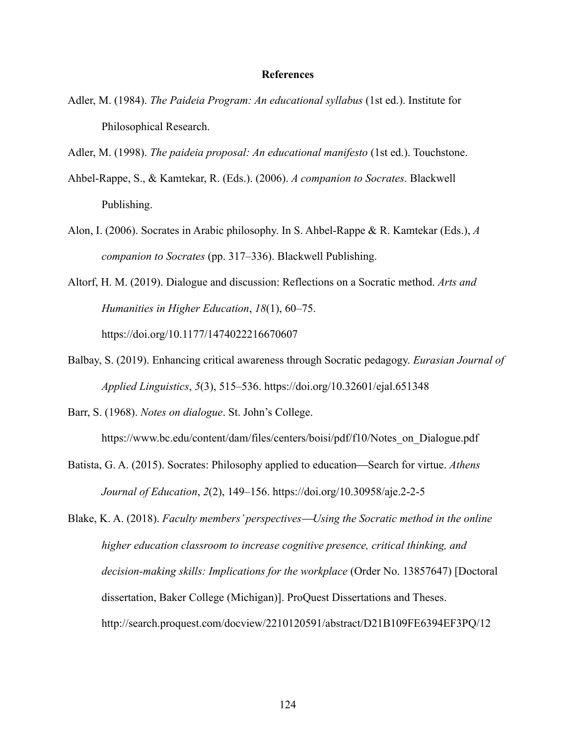# **References**

- Adler, M. (1984). *The Paideia Program: An educational syllabus* (1st ed.). Institute for Philosophical Research.
- Adler, M. (1998). *The paideia proposal: An educational manifesto* (1st ed.). Touchstone.
- Ahbel-Rappe, S., & Kamtekar, R. (Eds.). (2006). *A companion to Socrates*. Blackwell Publishing.
- Alon, I. (2006). Socrates in Arabic philosophy. In S. Ahbel-Rappe & R. Kamtekar (Eds.), *A companion to Socrates* (pp. 317–336). Blackwell Publishing.
- Altorf, H. M. (2019). Dialogue and discussion: Reflections on a Socratic method. *Arts and Humanities in Higher Education*, *18*(1), 60–75. https://doi.org/10.1177/1474022216670607
- Balbay, S. (2019). Enhancing critical awareness through Socratic pedagogy. *Eurasian Journal of Applied Linguistics*, *5*(3), 515–536. https://doi.org/10.32601/ejal.651348

Barr, S. (1968). *Notes on dialogue*. St. John's College.

https://www.bc.edu/content/dam/files/centers/boisi/pdf/f10/Notes\_on\_Dialogue.pdf

Batista, G. A. (2015). Socrates: Philosophy applied to education—Search for virtue. *Athens Journal of Education*, *2*(2), 149–156. https://doi.org/10.30958/aje.2-2-5

Blake, K. A. (2018). *Faculty members' perspectives—Using the Socratic method in the online higher education classroom to increase cognitive presence, critical thinking, and decision-making skills: Implications for the workplace* (Order No. 13857647) [Doctoral dissertation, Baker College (Michigan)]. ProQuest Dissertations and Theses. http://search.proquest.com/docview/2210120591/abstract/D21B109FE6394EF3PQ/12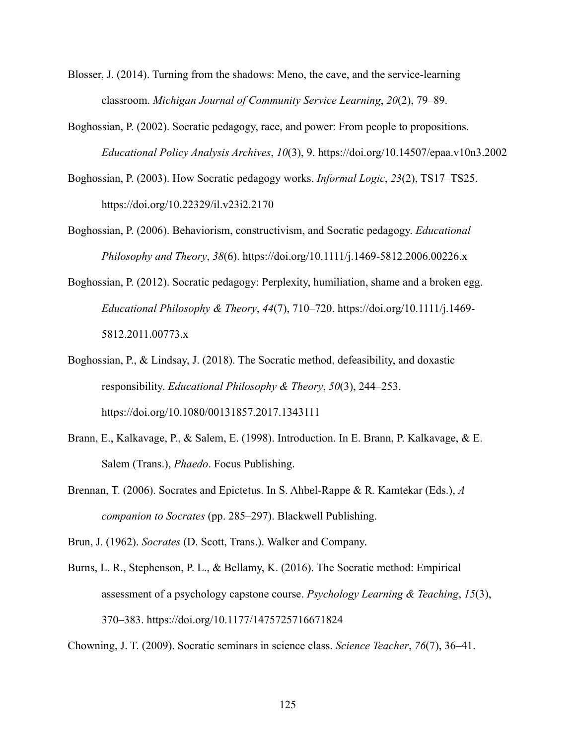- Blosser, J. (2014). Turning from the shadows: Meno, the cave, and the service-learning classroom. *Michigan Journal of Community Service Learning*, *20*(2), 79–89.
- Boghossian, P. (2002). Socratic pedagogy, race, and power: From people to propositions. *Educational Policy Analysis Archives*, *10*(3), 9. https://doi.org/10.14507/epaa.v10n3.2002
- Boghossian, P. (2003). How Socratic pedagogy works. *Informal Logic*, *23*(2), TS17–TS25. https://doi.org/10.22329/il.v23i2.2170
- Boghossian, P. (2006). Behaviorism, constructivism, and Socratic pedagogy. *Educational Philosophy and Theory*, *38*(6). https://doi.org/10.1111/j.1469-5812.2006.00226.x
- Boghossian, P. (2012). Socratic pedagogy: Perplexity, humiliation, shame and a broken egg. *Educational Philosophy & Theory*, *44*(7), 710–720. https://doi.org/10.1111/j.1469- 5812.2011.00773.x
- Boghossian, P., & Lindsay, J. (2018). The Socratic method, defeasibility, and doxastic responsibility. *Educational Philosophy & Theory*, *50*(3), 244–253. https://doi.org/10.1080/00131857.2017.1343111
- Brann, E., Kalkavage, P., & Salem, E. (1998). Introduction. In E. Brann, P. Kalkavage, & E. Salem (Trans.), *Phaedo*. Focus Publishing.
- Brennan, T. (2006). Socrates and Epictetus. In S. Ahbel-Rappe & R. Kamtekar (Eds.), *A companion to Socrates* (pp. 285–297). Blackwell Publishing.
- Brun, J. (1962). *Socrates* (D. Scott, Trans.). Walker and Company.
- Burns, L. R., Stephenson, P. L., & Bellamy, K. (2016). The Socratic method: Empirical assessment of a psychology capstone course. *Psychology Learning & Teaching*, *15*(3), 370–383. https://doi.org/10.1177/1475725716671824

Chowning, J. T. (2009). Socratic seminars in science class. *Science Teacher*, *76*(7), 36–41.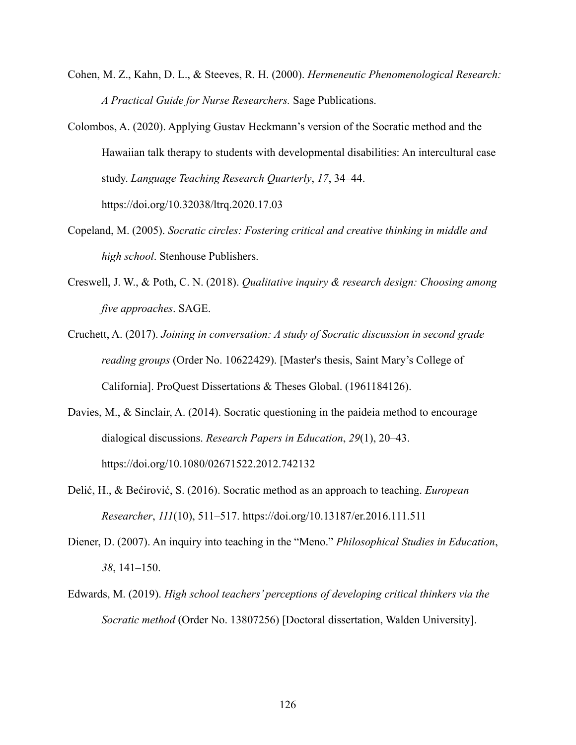- Cohen, M. Z., Kahn, D. L., & Steeves, R. H. (2000). *Hermeneutic Phenomenological Research: A Practical Guide for Nurse Researchers.* Sage Publications.
- Colombos, A. (2020). Applying Gustav Heckmann's version of the Socratic method and the Hawaiian talk therapy to students with developmental disabilities: An intercultural case study. *Language Teaching Research Quarterly*, *17*, 34–44. https://doi.org/10.32038/ltrq.2020.17.03
- Copeland, M. (2005). *Socratic circles: Fostering critical and creative thinking in middle and high school*. Stenhouse Publishers.
- Creswell, J. W., & Poth, C. N. (2018). *Qualitative inquiry & research design: Choosing among five approaches*. SAGE.
- Cruchett, A. (2017). *Joining in conversation: A study of Socratic discussion in second grade reading groups* (Order No. 10622429). [Master's thesis, Saint Mary's College of California]. ProQuest Dissertations & Theses Global. (1961184126).
- Davies, M., & Sinclair, A. (2014). Socratic questioning in the paideia method to encourage dialogical discussions. *Research Papers in Education*, *29*(1), 20–43. https://doi.org/10.1080/02671522.2012.742132
- Delić, H., & Bećirović, S. (2016). Socratic method as an approach to teaching. *European Researcher*, *111*(10), 511–517. https://doi.org/10.13187/er.2016.111.511
- Diener, D. (2007). An inquiry into teaching in the "Meno." *Philosophical Studies in Education*, *38*, 141–150.
- Edwards, M. (2019). *High school teachers' perceptions of developing critical thinkers via the Socratic method* (Order No. 13807256) [Doctoral dissertation, Walden University].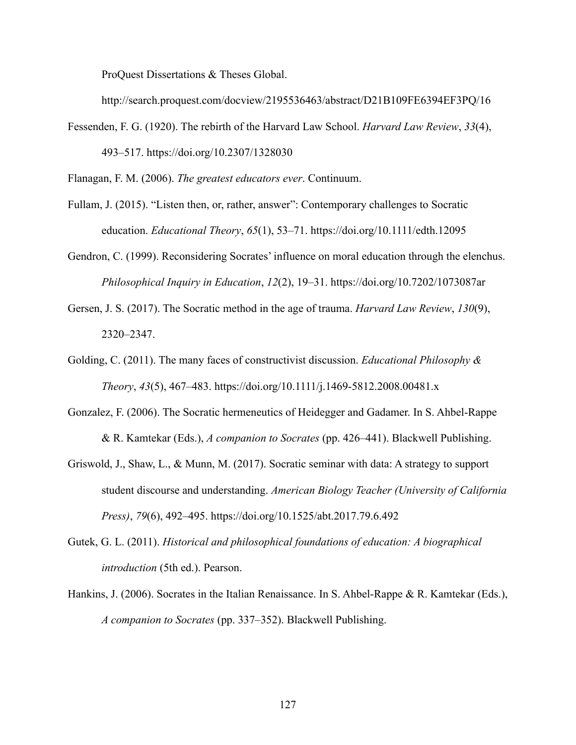ProQuest Dissertations & Theses Global.

http://search.proquest.com/docview/2195536463/abstract/D21B109FE6394EF3PQ/16

Fessenden, F. G. (1920). The rebirth of the Harvard Law School. *Harvard Law Review*, *33*(4), 493–517. https://doi.org/10.2307/1328030

Flanagan, F. M. (2006). *The greatest educators ever*. Continuum.

- Fullam, J. (2015). "Listen then, or, rather, answer": Contemporary challenges to Socratic education. *Educational Theory*, *65*(1), 53–71. https://doi.org/10.1111/edth.12095
- Gendron, C. (1999). Reconsidering Socrates' influence on moral education through the elenchus. *Philosophical Inquiry in Education*, *12*(2), 19–31. https://doi.org/10.7202/1073087ar
- Gersen, J. S. (2017). The Socratic method in the age of trauma. *Harvard Law Review*, *130*(9), 2320–2347.
- Golding, C. (2011). The many faces of constructivist discussion. *Educational Philosophy & Theory*, *43*(5), 467–483. https://doi.org/10.1111/j.1469-5812.2008.00481.x
- Gonzalez, F. (2006). The Socratic hermeneutics of Heidegger and Gadamer. In S. Ahbel-Rappe & R. Kamtekar (Eds.), *A companion to Socrates* (pp. 426–441). Blackwell Publishing.
- Griswold, J., Shaw, L., & Munn, M. (2017). Socratic seminar with data: A strategy to support student discourse and understanding. *American Biology Teacher (University of California Press)*, *79*(6), 492–495. https://doi.org/10.1525/abt.2017.79.6.492
- Gutek, G. L. (2011). *Historical and philosophical foundations of education: A biographical introduction* (5th ed.). Pearson.
- Hankins, J. (2006). Socrates in the Italian Renaissance. In S. Ahbel-Rappe & R. Kamtekar (Eds.), *A companion to Socrates* (pp. 337–352). Blackwell Publishing.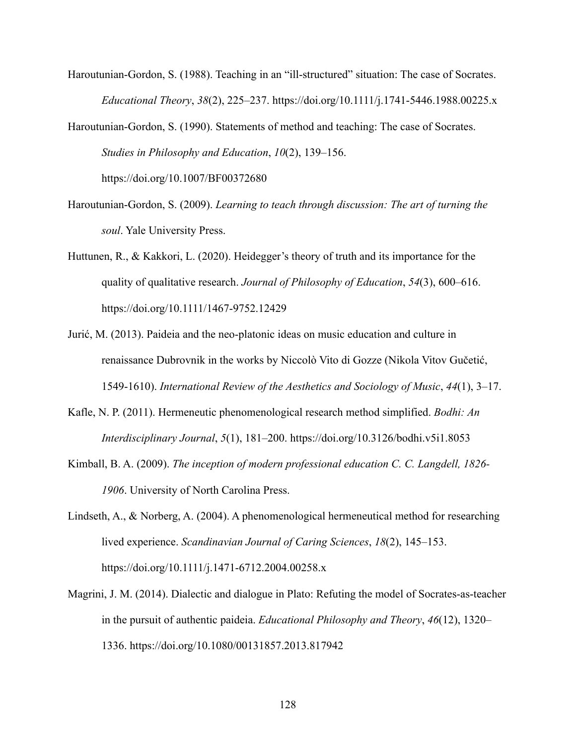Haroutunian-Gordon, S. (1988). Teaching in an "ill-structured" situation: The case of Socrates. *Educational Theory*, *38*(2), 225–237. https://doi.org/10.1111/j.1741-5446.1988.00225.x

Haroutunian-Gordon, S. (1990). Statements of method and teaching: The case of Socrates. *Studies in Philosophy and Education*, *10*(2), 139–156. https://doi.org/10.1007/BF00372680

- Haroutunian-Gordon, S. (2009). *Learning to teach through discussion: The art of turning the soul*. Yale University Press.
- Huttunen, R., & Kakkori, L. (2020). Heidegger's theory of truth and its importance for the quality of qualitative research. *Journal of Philosophy of Education*, *54*(3), 600–616. https://doi.org/10.1111/1467-9752.12429
- Jurić, M. (2013). Paideia and the neo-platonic ideas on music education and culture in renaissance Dubrovnik in the works by Niccolò Vito di Gozze (Nikola Vitov Gučetić, 1549-1610). *International Review of the Aesthetics and Sociology of Music*, *44*(1), 3–17.
- Kafle, N. P. (2011). Hermeneutic phenomenological research method simplified. *Bodhi: An Interdisciplinary Journal*, *5*(1), 181–200. https://doi.org/10.3126/bodhi.v5i1.8053
- Kimball, B. A. (2009). *The inception of modern professional education C. C. Langdell, 1826- 1906*. University of North Carolina Press.
- Lindseth, A., & Norberg, A. (2004). A phenomenological hermeneutical method for researching lived experience. *Scandinavian Journal of Caring Sciences*, *18*(2), 145–153. https://doi.org/10.1111/j.1471-6712.2004.00258.x
- Magrini, J. M. (2014). Dialectic and dialogue in Plato: Refuting the model of Socrates-as-teacher in the pursuit of authentic paideia. *Educational Philosophy and Theory*, *46*(12), 1320– 1336. https://doi.org/10.1080/00131857.2013.817942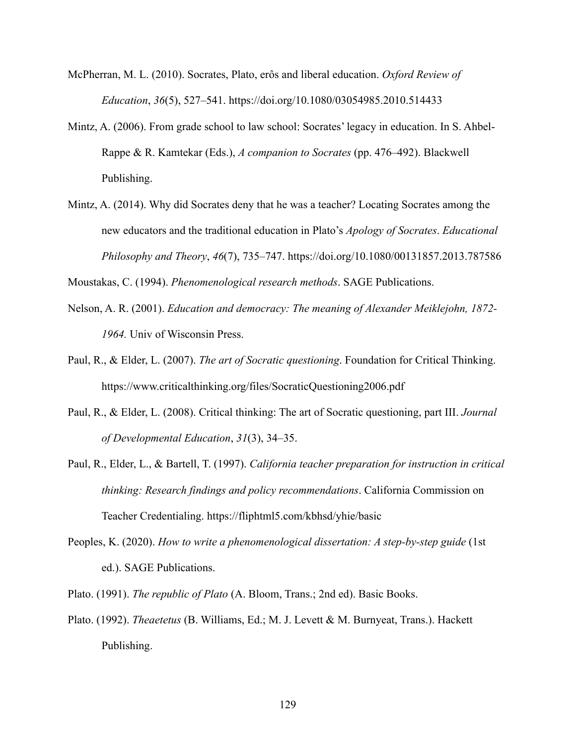- McPherran, M. L. (2010). Socrates, Plato, erôs and liberal education. *Oxford Review of Education*, *36*(5), 527–541. https://doi.org/10.1080/03054985.2010.514433
- Mintz, A. (2006). From grade school to law school: Socrates' legacy in education. In S. Ahbel-Rappe & R. Kamtekar (Eds.), *A companion to Socrates* (pp. 476–492). Blackwell Publishing.
- Mintz, A. (2014). Why did Socrates deny that he was a teacher? Locating Socrates among the new educators and the traditional education in Plato's *Apology of Socrates*. *Educational Philosophy and Theory*, *46*(7), 735–747. https://doi.org/10.1080/00131857.2013.787586

Moustakas, C. (1994). *Phenomenological research methods*. SAGE Publications.

- Nelson, A. R. (2001). *Education and democracy: The meaning of Alexander Meiklejohn, 1872- 1964.* Univ of Wisconsin Press.
- Paul, R., & Elder, L. (2007). *The art of Socratic questioning*. Foundation for Critical Thinking. https://www.criticalthinking.org/files/SocraticQuestioning2006.pdf
- Paul, R., & Elder, L. (2008). Critical thinking: The art of Socratic questioning, part III. *Journal of Developmental Education*, *31*(3), 34–35.
- Paul, R., Elder, L., & Bartell, T. (1997). *California teacher preparation for instruction in critical thinking: Research findings and policy recommendations*. California Commission on Teacher Credentialing. https://fliphtml5.com/kbhsd/yhie/basic
- Peoples, K. (2020). *How to write a phenomenological dissertation: A step-by-step guide* (1st ed.). SAGE Publications.
- Plato. (1991). *The republic of Plato* (A. Bloom, Trans.; 2nd ed). Basic Books.
- Plato. (1992). *Theaetetus* (B. Williams, Ed.; M. J. Levett & M. Burnyeat, Trans.). Hackett Publishing.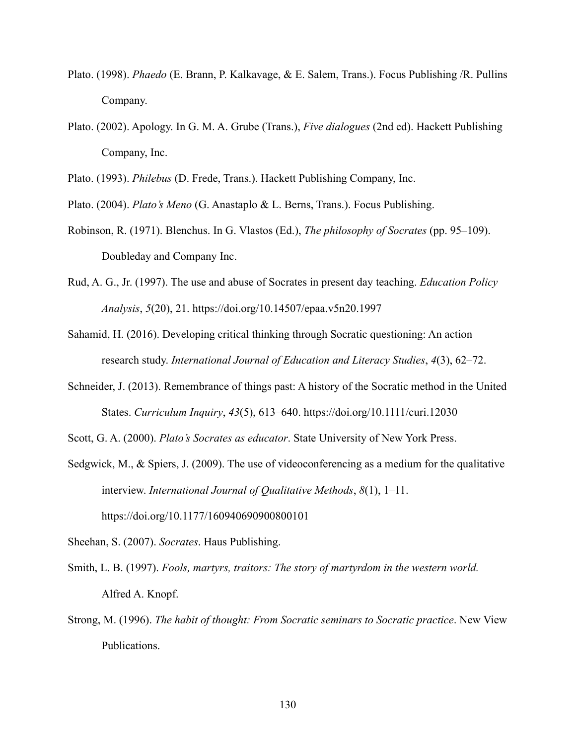- Plato. (1998). *Phaedo* (E. Brann, P. Kalkavage, & E. Salem, Trans.). Focus Publishing /R. Pullins Company.
- Plato. (2002). Apology. In G. M. A. Grube (Trans.), *Five dialogues* (2nd ed). Hackett Publishing Company, Inc.
- Plato. (1993). *Philebus* (D. Frede, Trans.). Hackett Publishing Company, Inc.

Plato. (2004). *Plato's Meno* (G. Anastaplo & L. Berns, Trans.). Focus Publishing.

- Robinson, R. (1971). Blenchus. In G. Vlastos (Ed.), *The philosophy of Socrates* (pp. 95–109). Doubleday and Company Inc.
- Rud, A. G., Jr. (1997). The use and abuse of Socrates in present day teaching. *Education Policy Analysis*, *5*(20), 21. https://doi.org/10.14507/epaa.v5n20.1997
- Sahamid, H. (2016). Developing critical thinking through Socratic questioning: An action research study. *International Journal of Education and Literacy Studies*, *4*(3), 62–72.
- Schneider, J. (2013). Remembrance of things past: A history of the Socratic method in the United States. *Curriculum Inquiry*, *43*(5), 613–640. https://doi.org/10.1111/curi.12030
- Scott, G. A. (2000). *Plato's Socrates as educator*. State University of New York Press.
- Sedgwick, M., & Spiers, J. (2009). The use of videoconferencing as a medium for the qualitative interview. *International Journal of Qualitative Methods*, *8*(1), 1–11. https://doi.org/10.1177/160940690900800101

Sheehan, S. (2007). *Socrates*. Haus Publishing.

- Smith, L. B. (1997). *Fools, martyrs, traitors: The story of martyrdom in the western world.* Alfred A. Knopf.
- Strong, M. (1996). *The habit of thought: From Socratic seminars to Socratic practice*. New View Publications.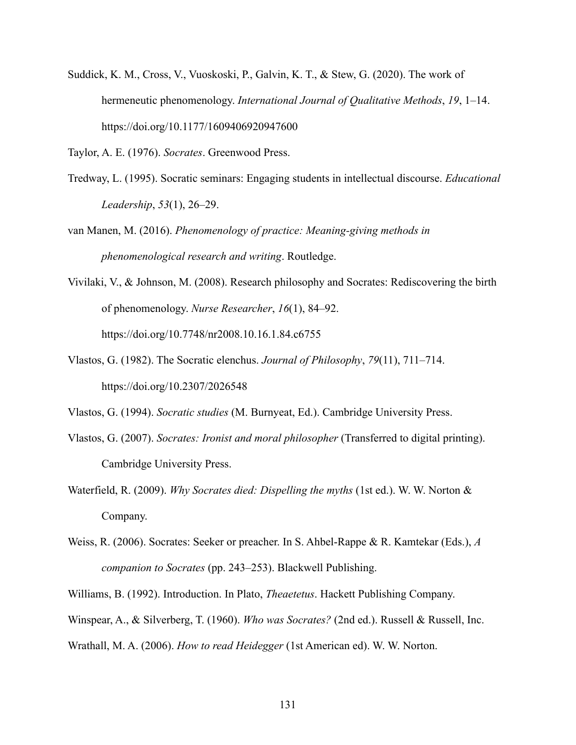Suddick, K. M., Cross, V., Vuoskoski, P., Galvin, K. T., & Stew, G. (2020). The work of hermeneutic phenomenology. *International Journal of Qualitative Methods*, *19*, 1–14. https://doi.org/10.1177/1609406920947600

Taylor, A. E. (1976). *Socrates*. Greenwood Press.

Tredway, L. (1995). Socratic seminars: Engaging students in intellectual discourse. *Educational Leadership*, *53*(1), 26–29.

van Manen, M. (2016). *Phenomenology of practice: Meaning-giving methods in phenomenological research and writing*. Routledge.

- Vivilaki, V., & Johnson, M. (2008). Research philosophy and Socrates: Rediscovering the birth of phenomenology. *Nurse Researcher*, *16*(1), 84–92. https://doi.org/10.7748/nr2008.10.16.1.84.c6755
- Vlastos, G. (1982). The Socratic elenchus. *Journal of Philosophy*, *79*(11), 711–714. https://doi.org/10.2307/2026548

Vlastos, G. (1994). *Socratic studies* (M. Burnyeat, Ed.). Cambridge University Press.

- Vlastos, G. (2007). *Socrates: Ironist and moral philosopher* (Transferred to digital printing). Cambridge University Press.
- Waterfield, R. (2009). *Why Socrates died: Dispelling the myths* (1st ed.). W. W. Norton & Company.
- Weiss, R. (2006). Socrates: Seeker or preacher. In S. Ahbel-Rappe & R. Kamtekar (Eds.), *A companion to Socrates* (pp. 243–253). Blackwell Publishing.

Williams, B. (1992). Introduction. In Plato, *Theaetetus*. Hackett Publishing Company.

Winspear, A., & Silverberg, T. (1960). *Who was Socrates?* (2nd ed.). Russell & Russell, Inc.

Wrathall, M. A. (2006). *How to read Heidegger* (1st American ed). W. W. Norton.